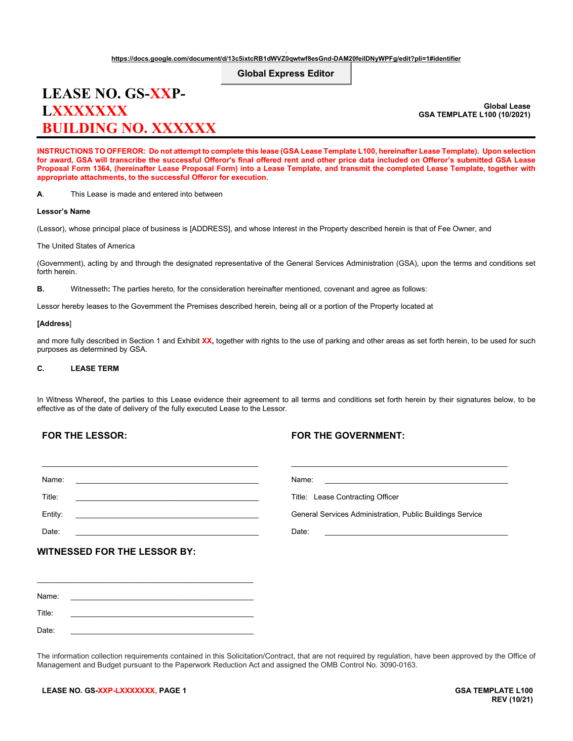# **Global Express Editor**

# **LEASE NO. GS-XXP-LXXXXXXX BUILDING NO. XXXXXX**

**Global Lease GSA TEMPLATE L100 (10/2021)**

**INSTRUCTIONS TO OFFEROR: Do not attempt to complete this lease (GSA Lease Template L100, hereinafter Lease Template). Upon selection for award, GSA will transcribe the successful Offeror's final offered rent and other price data included on Offeror's submitted GSA Lease Proposal Form 1364, (hereinafter Lease Proposal Form) into a Lease Template, and transmit the completed Lease Template, together with appropriate attachments, to the successful Offeror for execution.**

**A**. This Lease is made and entered into between

#### **Lessor's Name**

(Lessor), whose principal place of business is [ADDRESS], and whose interest in the Property described herein is that of Fee Owner, and

The United States of America

(Government), acting by and through the designated representative of the General Services Administration (GSA), upon the terms and conditions set forth herein.

**B.** Witnesseth**:** The parties hereto, for the consideration hereinafter mentioned, covenant and agree as follows:

Lessor hereby leases to the Government the Premises described herein, being all or a portion of the Property located at

# **[Address**]

and more fully described in Section 1 and Exhibit **XX,** together with rights to the use of parking and other areas as set forth herein, to be used for such purposes as determined by GSA.

# **C. LEASE TERM**

In Witness Whereof, the parties to this Lease evidence their agreement to all terms and conditions set forth herein by their signatures below, to be effective as of the date of delivery of the fully executed Lease to the Lessor.

# **FOR THE LESSOR:**

# **FOR THE GOVERNMENT:**

| Name:                                                                                                                     | Name:                                                     |
|---------------------------------------------------------------------------------------------------------------------------|-----------------------------------------------------------|
| Title:<br>the contract of the contract of the contract of the contract of the contract of the contract of the contract of | Title: Lease Contracting Officer                          |
| Entity:                                                                                                                   | General Services Administration, Public Buildings Service |
| Date:                                                                                                                     | Date:                                                     |
| <b>WITNESSED FOR THE LESSOR BY:</b>                                                                                       |                                                           |
|                                                                                                                           |                                                           |
|                                                                                                                           |                                                           |
| Name:                                                                                                                     |                                                           |
|                                                                                                                           |                                                           |

Date: \_\_\_\_\_\_\_\_\_\_\_\_\_\_\_\_\_\_\_\_\_\_\_\_\_\_\_\_\_\_\_\_\_\_\_\_\_\_\_\_\_\_\_\_

Title: \_\_\_\_\_\_\_\_\_\_\_\_\_\_\_\_\_\_\_\_\_\_\_\_\_\_\_\_\_\_\_\_\_\_\_\_\_\_\_\_\_\_\_\_

The information collection requirements contained in this Solicitation/Contract, that are not required by regulation, have been approved by the Office of Management and Budget pursuant to the Paperwork Reduction Act and assigned the OMB Control No. 3090-0163.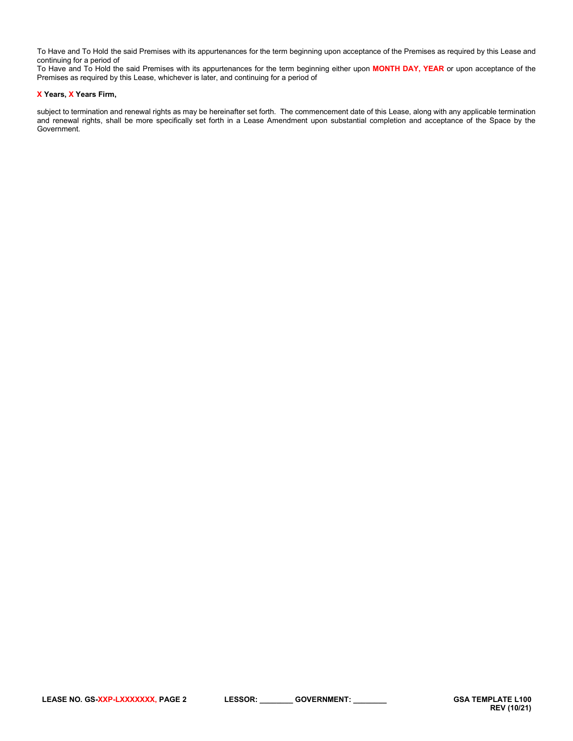To Have and To Hold the said Premises with its appurtenances for the term beginning upon acceptance of the Premises as required by this Lease and continuing for a period of

To Have and To Hold the said Premises with its appurtenances for the term beginning either upon **MONTH DAY, YEAR** or upon acceptance of the Premises as required by this Lease, whichever is later, and continuing for a period of

# **X Years, X Years Firm,**

subject to termination and renewal rights as may be hereinafter set forth. The commencement date of this Lease, along with any applicable termination and renewal rights, shall be more specifically set forth in a Lease Amendment upon substantial completion and acceptance of the Space by the Government.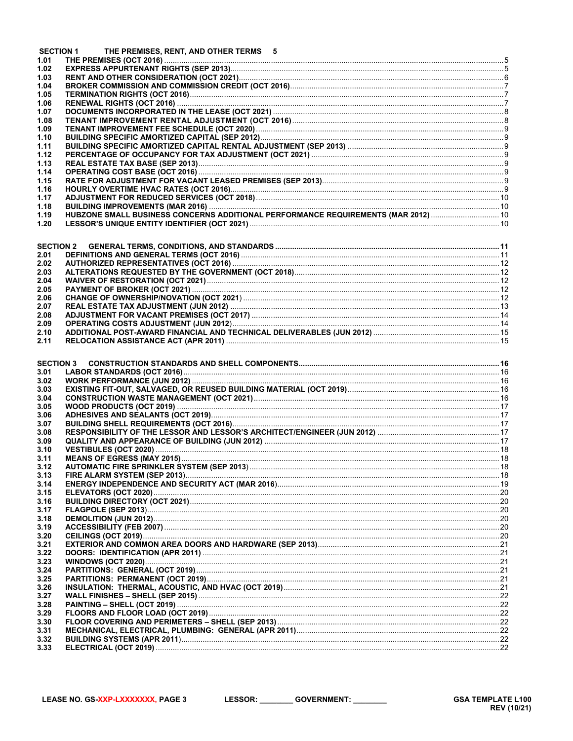|                  | <b>SECTION 1</b><br>THE PREMISES, RENT, AND OTHER TERMS 5                          |  |
|------------------|------------------------------------------------------------------------------------|--|
| 1.01             |                                                                                    |  |
| 1.02<br>1.03     |                                                                                    |  |
| 1.04             |                                                                                    |  |
| 1.05             |                                                                                    |  |
| 1.06             |                                                                                    |  |
| 1.07             |                                                                                    |  |
| 1.08             |                                                                                    |  |
| 1.09             |                                                                                    |  |
| 1.10             |                                                                                    |  |
| 1.11<br>1.12     |                                                                                    |  |
| 1.13             |                                                                                    |  |
| 1.14             |                                                                                    |  |
| 1.15             |                                                                                    |  |
| 1.16             |                                                                                    |  |
| 1.17             |                                                                                    |  |
| 1.18             | HUBZONE SMALL BUSINESS CONCERNS ADDITIONAL PERFORMANCE REQUIREMENTS (MAR 2012)  10 |  |
| 1.19<br>1.20     |                                                                                    |  |
|                  |                                                                                    |  |
| <b>SECTION 2</b> |                                                                                    |  |
| 2.01             |                                                                                    |  |
| 2.02             |                                                                                    |  |
| 2.03             |                                                                                    |  |
| 2.04             |                                                                                    |  |
| 2.05             |                                                                                    |  |
| 2.06             |                                                                                    |  |
| 2.07<br>2.08     |                                                                                    |  |
| 2.09             |                                                                                    |  |
| 2.10             |                                                                                    |  |
| 2.11             |                                                                                    |  |
|                  |                                                                                    |  |
|                  |                                                                                    |  |
| <b>SECTION 3</b> |                                                                                    |  |
| 3.01             |                                                                                    |  |
| 3.02             |                                                                                    |  |
| 3.03<br>3.04     |                                                                                    |  |
| 3.05             |                                                                                    |  |
| 3.06             |                                                                                    |  |
| 3.07             |                                                                                    |  |
| 3.08             |                                                                                    |  |
| 3.09             |                                                                                    |  |
| 3.10             |                                                                                    |  |
| 3.11<br>3.12     |                                                                                    |  |
| 3.13             |                                                                                    |  |
| 3.14             |                                                                                    |  |
| 3.15             |                                                                                    |  |
| 3.16             |                                                                                    |  |
| 3.17             |                                                                                    |  |
| 3.18             |                                                                                    |  |
| 3.19<br>3.20     |                                                                                    |  |
| 3.21             |                                                                                    |  |
| 3.22             |                                                                                    |  |
| 3.23             |                                                                                    |  |
| 3.24             |                                                                                    |  |
| 3.25             |                                                                                    |  |
| 3.26<br>3.27     |                                                                                    |  |
| 3.28             |                                                                                    |  |
| 3.29             |                                                                                    |  |
| 3.30             |                                                                                    |  |
| 3.31             |                                                                                    |  |
| 3.32<br>3.33     |                                                                                    |  |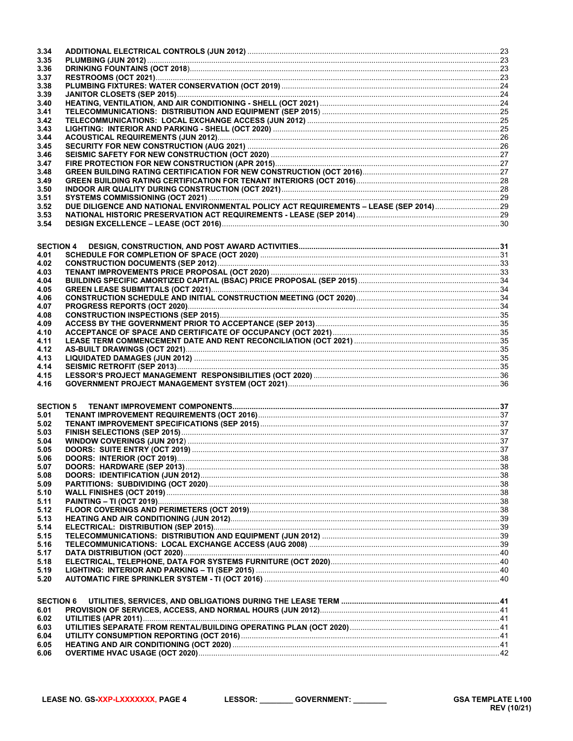| 3.34             |                                                                                       |  |
|------------------|---------------------------------------------------------------------------------------|--|
| 3.35             |                                                                                       |  |
| 3.36             |                                                                                       |  |
| 3.37             |                                                                                       |  |
| 3.38             |                                                                                       |  |
| 3.39             |                                                                                       |  |
| 3.40             |                                                                                       |  |
| 3.41             |                                                                                       |  |
| 3.42             |                                                                                       |  |
|                  |                                                                                       |  |
| 3.43             |                                                                                       |  |
| 3.44             |                                                                                       |  |
| 3.45             |                                                                                       |  |
| 3.46             |                                                                                       |  |
| 3.47             |                                                                                       |  |
| 3.48             |                                                                                       |  |
| 3.49             |                                                                                       |  |
| 3.50             |                                                                                       |  |
| 3.51             |                                                                                       |  |
| 3.52             | DUE DILIGENCE AND NATIONAL ENVIRONMENTAL POLICY ACT REQUIREMENTS - LEASE (SEP 2014)29 |  |
| 3.53             |                                                                                       |  |
| 3.54             |                                                                                       |  |
|                  |                                                                                       |  |
|                  |                                                                                       |  |
| <b>SECTION 4</b> |                                                                                       |  |
| 4.01             |                                                                                       |  |
| 4.02             |                                                                                       |  |
| 4.03             |                                                                                       |  |
| 4.04             |                                                                                       |  |
| 4.05             |                                                                                       |  |
|                  |                                                                                       |  |
| 4.06             |                                                                                       |  |
| 4.07             |                                                                                       |  |
| 4.08             |                                                                                       |  |
| 4.09             |                                                                                       |  |
| 4.10             |                                                                                       |  |
| 4.11             |                                                                                       |  |
| 4.12             |                                                                                       |  |
| 4.13             |                                                                                       |  |
| 4.14             |                                                                                       |  |
| 4.15             |                                                                                       |  |
| 4.16             |                                                                                       |  |
|                  |                                                                                       |  |
|                  |                                                                                       |  |
| <b>SECTION 5</b> |                                                                                       |  |
| 5.01             |                                                                                       |  |
| 5.02             |                                                                                       |  |
| 5.03             |                                                                                       |  |
| 5.04             |                                                                                       |  |
| 5.05             |                                                                                       |  |
|                  |                                                                                       |  |
| 5.06             |                                                                                       |  |
| 5.07             |                                                                                       |  |
|                  |                                                                                       |  |
| 5.08             |                                                                                       |  |
| 5.09             |                                                                                       |  |
| 5.10             |                                                                                       |  |
| 5.11             |                                                                                       |  |
| 5.12             |                                                                                       |  |
| 5.13             |                                                                                       |  |
| 5.14             |                                                                                       |  |
| 5.15             |                                                                                       |  |
| 5.16             |                                                                                       |  |
| 5.17             |                                                                                       |  |
| 5.18             |                                                                                       |  |
| 5.19             |                                                                                       |  |
| 5.20             |                                                                                       |  |
|                  |                                                                                       |  |
|                  |                                                                                       |  |
| <b>SECTION 6</b> |                                                                                       |  |
| 6.01             |                                                                                       |  |
| 6.02             |                                                                                       |  |
| 6.03             |                                                                                       |  |
| 6.04             |                                                                                       |  |
| 6.05<br>6.06     |                                                                                       |  |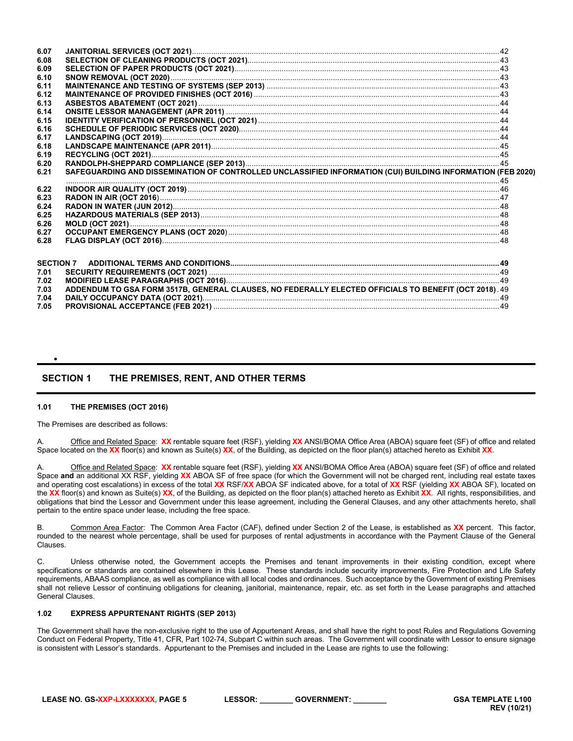| 6.07 |                                                                                                             |  |
|------|-------------------------------------------------------------------------------------------------------------|--|
| 6.08 |                                                                                                             |  |
| 6.09 |                                                                                                             |  |
| 6.10 |                                                                                                             |  |
| 6.11 |                                                                                                             |  |
| 6.12 |                                                                                                             |  |
| 6.13 |                                                                                                             |  |
| 6.14 |                                                                                                             |  |
| 6.15 |                                                                                                             |  |
| 6.16 |                                                                                                             |  |
| 6.17 |                                                                                                             |  |
| 6.18 |                                                                                                             |  |
| 6.19 |                                                                                                             |  |
| 6.20 |                                                                                                             |  |
| 6.21 | SAFEGUARDING AND DISSEMINATION OF CONTROLLED UNCLASSIFIED INFORMATION (CUI) BUILDING INFORMATION (FEB 2020) |  |
| 6.22 |                                                                                                             |  |
| 6.23 |                                                                                                             |  |
| 6.24 |                                                                                                             |  |
| 6.25 |                                                                                                             |  |
| 6.26 |                                                                                                             |  |
| 6.27 |                                                                                                             |  |
| 6.28 |                                                                                                             |  |
|      |                                                                                                             |  |
|      | <b>SECTION 7</b>                                                                                            |  |
| 7.01 |                                                                                                             |  |
| 7.02 |                                                                                                             |  |
| 7.03 | ADDENDUM TO GSA FORM 3517B, GENERAL CLAUSES, NO FEDERALLY ELECTED OFFICIALS TO BENEFIT (OCT 2018). 49       |  |
| 7.04 |                                                                                                             |  |
| 7.05 |                                                                                                             |  |

# <span id="page-4-0"></span>**SECTION 1 THE PREMISES, RENT, AND OTHER TERMS**

# <span id="page-4-1"></span>**1.01 THE PREMISES (OCT 2016)**

•

The Premises are described as follows:

A. Office and Related Space: **XX** rentable square feet (RSF), yielding **XX** ANSI/BOMA Office Area (ABOA) square feet (SF) of office and related Space located on the **XX** floor(s) and known as Suite(s) **XX**, of the Building, as depicted on the floor plan(s) attached hereto as Exhibit **XX**.

Office and Related Space: XX rentable square feet (RSF), yielding XX ANSI/BOMA Office Area (ABOA) square feet (SF) of office and related Space **and** an additional XX RSF, yielding **XX** ABOA SF of free space (for which the Government will not be charged rent, including real estate taxes and operating cost escalations) in excess of the total **XX** RSF/**XX** ABOA SF indicated above, for a total of **XX** RSF (yielding **XX** ABOA SF), located on the **XX** floor(s) and known as Suite(s) **XX**, of the Building, as depicted on the floor plan(s) attached hereto as Exhibit **XX**. All rights, responsibilities, and obligations that bind the Lessor and Government under this lease agreement, including the General Clauses, and any other attachments hereto, shall pertain to the entire space under lease, including the free space.

B. Common Area Factor: The Common Area Factor (CAF), defined under Section 2 of the Lease, is established as **XX** percent. This factor, rounded to the nearest whole percentage, shall be used for purposes of rental adjustments in accordance with the Payment Clause of the General Clauses.

C. Unless otherwise noted, the Government accepts the Premises and tenant improvements in their existing condition, except where specifications or standards are contained elsewhere in this Lease. These standards include security improvements, Fire Protection and Life Safety requirements, ABAAS compliance, as well as compliance with all local codes and ordinances. Such acceptance by the Government of existing Premises shall not relieve Lessor of continuing obligations for cleaning, janitorial, maintenance, repair, etc. as set forth in the Lease paragraphs and attached General Clauses.

# <span id="page-4-2"></span>**1.02 EXPRESS APPURTENANT RIGHTS (SEP 2013)**

The Government shall have the non-exclusive right to the use of Appurtenant Areas, and shall have the right to post Rules and Regulations Governing Conduct on Federal Property, Title 41, CFR, Part 102-74, Subpart C within such areas. The Government will coordinate with Lessor to ensure signage is consistent with Lessor's standards. Appurtenant to the Premises and included in the Lease are rights to use the following: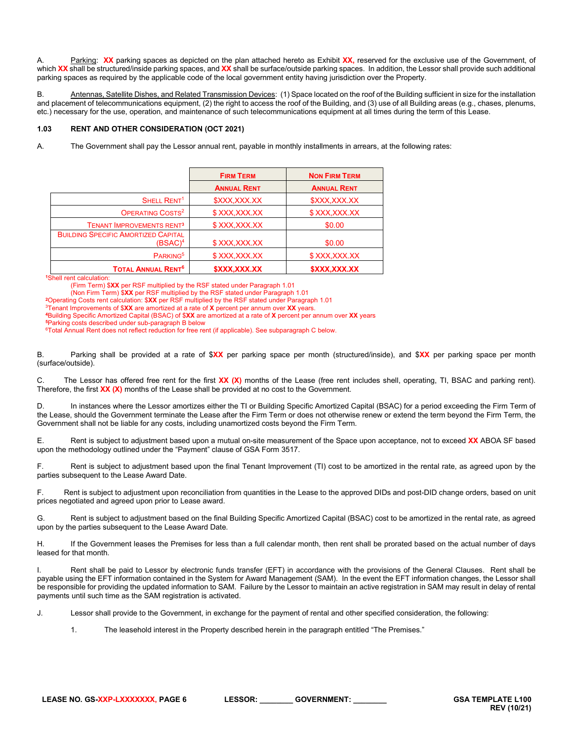A. Parking: **XX** parking spaces as depicted on the plan attached hereto as Exhibit **XX,** reserved for the exclusive use of the Government, of which **XX** shall be structured/inside parking spaces, and **XX** shall be surface/outside parking spaces. In addition, the Lessor shall provide such additional parking spaces as required by the applicable code of the local government entity having jurisdiction over the Property.

B. Antennas, Satellite Dishes, and Related Transmission Devices: (1) Space located on the roof of the Building sufficient in size for the installation and placement of telecommunications equipment, (2) the right to access the roof of the Building, and (3) use of all Building areas (e.g., chases, plenums, etc.) necessary for the use, operation, and maintenance of such telecommunications equipment at all times during the term of this Lease.

# <span id="page-5-0"></span>**1.03 RENT AND OTHER CONSIDERATION (OCT 2021)**

A. The Government shall pay the Lessor annual rent, payable in monthly installments in arrears, at the following rates:

|                                                          | <b>FIRM TERM</b>   | <b>NON FIRM TERM</b> |
|----------------------------------------------------------|--------------------|----------------------|
|                                                          | <b>ANNUAL RENT</b> | <b>ANNUAL RENT</b>   |
| SHELL RENT <sup>1</sup>                                  | \$XXX,XXX.XX       | \$XXX,XXX.XX         |
| OPERATING COSTS <sup>2</sup>                             | \$XXX,XXX.XX       | \$XXX,XXX.XX         |
| <b>TENANT IMPROVEMENTS RENT3</b>                         | \$XXX,XXX.XX       | \$0.00               |
| <b>BUILDING SPECIFIC AMORTIZED CAPITAL</b><br>$(BSAC)^4$ | \$XXX,XXX.XX       | \$0.00               |
| PARKING <sup>5</sup>                                     | \$XXX,XXX.XX       | \$XXX,XXX.XX         |
| <b>TOTAL ANNUAL RENT<sup>6</sup></b>                     | \$XXX,XXX.XX       | \$XXX,XXX.XX         |

**<sup>1</sup>**Shell rent calculation:

(Firm Term) \$**XX** per RSF multiplied by the RSF stated under Paragraph 1.01

(Non Firm Term) \$**XX** per RSF multiplied by the RSF stated under Paragraph 1.01

**<sup>2</sup>**Operating Costs rent calculation: \$**XX** per RSF multiplied by the RSF stated under Paragraph 1.01

3Tenant Improvements of \$**XX** are amortized at a rate of **X** percent per annum over **XX** years.

**<sup>4</sup>**Building Specific Amortized Capital (BSAC) of \$**XX** are amortized at a rate of **X** percent per annum over **XX** years

**<sup>5</sup>**Parking costs described under sub-paragraph B below

<sup>6</sup>Total Annual Rent does not reflect reduction for free rent (if applicable). See subparagraph C below.

B. Parking shall be provided at a rate of \$**XX** per parking space per month (structured/inside), and \$**XX** per parking space per month (surface/outside).

C. The Lessor has offered free rent for the first **XX (X)** months of the Lease (free rent includes shell, operating, TI, BSAC and parking rent). Therefore, the first **XX (X)** months of the Lease shall be provided at no cost to the Government.

D. In instances where the Lessor amortizes either the TI or Building Specific Amortized Capital (BSAC) for a period exceeding the Firm Term of the Lease, should the Government terminate the Lease after the Firm Term or does not otherwise renew or extend the term beyond the Firm Term, the Government shall not be liable for any costs, including unamortized costs beyond the Firm Term.

E. Rent is subject to adjustment based upon a mutual on-site measurement of the Space upon acceptance, not to exceed **XX** ABOA SF based upon the methodology outlined under the "Payment" clause of GSA Form 3517.

F. Rent is subject to adjustment based upon the final Tenant Improvement (TI) cost to be amortized in the rental rate, as agreed upon by the parties subsequent to the Lease Award Date.

F. Rent is subject to adjustment upon reconciliation from quantities in the Lease to the approved DIDs and post-DID change orders, based on unit prices negotiated and agreed upon prior to Lease award.

G. Rent is subject to adjustment based on the final Building Specific Amortized Capital (BSAC) cost to be amortized in the rental rate, as agreed upon by the parties subsequent to the Lease Award Date.

H. If the Government leases the Premises for less than a full calendar month, then rent shall be prorated based on the actual number of days leased for that month.

I. Rent shall be paid to Lessor by electronic funds transfer (EFT) in accordance with the provisions of the General Clauses. Rent shall be payable using the EFT information contained in the System for Award Management (SAM). In the event the EFT information changes, the Lessor shall be responsible for providing the updated information to SAM. Failure by the Lessor to maintain an active registration in SAM may result in delay of rental payments until such time as the SAM registration is activated.

J. Lessor shall provide to the Government, in exchange for the payment of rental and other specified consideration, the following:

1. The leasehold interest in the Property described herein in the paragraph entitled "The Premises."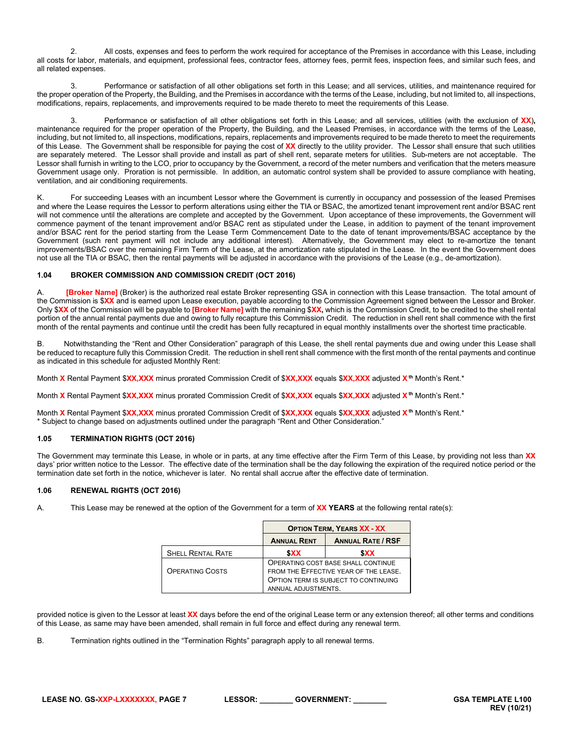2. All costs, expenses and fees to perform the work required for acceptance of the Premises in accordance with this Lease, including all costs for labor, materials, and equipment, professional fees, contractor fees, attorney fees, permit fees, inspection fees, and similar such fees, and all related expenses.

3. Performance or satisfaction of all other obligations set forth in this Lease; and all services, utilities, and maintenance required for the proper operation of the Property, the Building, and the Premises in accordance with the terms of the Lease, including, but not limited to, all inspections, modifications, repairs, replacements, and improvements required to be made thereto to meet the requirements of this Lease.

3. Performance or satisfaction of all other obligations set forth in this Lease; and all services, utilities (with the exclusion of **XX**)**,** maintenance required for the proper operation of the Property, the Building, and the Leased Premises, in accordance with the terms of the Lease, including, but not limited to, all inspections, modifications, repairs, replacements and improvements required to be made thereto to meet the requirements of this Lease. The Government shall be responsible for paying the cost of **XX** directly to the utility provider. The Lessor shall ensure that such utilities are separately metered. The Lessor shall provide and install as part of shell rent, separate meters for utilities. Sub-meters are not acceptable. The Lessor shall furnish in writing to the LCO, prior to occupancy by the Government, a record of the meter numbers and verification that the meters measure Government usage only. Proration is not permissible. In addition, an automatic control system shall be provided to assure compliance with heating, ventilation, and air conditioning requirements.

K. For succeeding Leases with an incumbent Lessor where the Government is currently in occupancy and possession of the leased Premises and where the Lease requires the Lessor to perform alterations using either the TIA or BSAC, the amortized tenant improvement rent and/or BSAC rent will not commence until the alterations are complete and accepted by the Government. Upon acceptance of these improvements, the Government will commence payment of the tenant improvement and/or BSAC rent as stipulated under the Lease, in addition to payment of the tenant improvement and/or BSAC rent for the period starting from the Lease Term Commencement Date to the date of tenant improvements/BSAC acceptance by the Government (such rent payment will not include any additional interest). Alternatively, the Government may elect to re-amortize the tenant improvements/BSAC over the remaining Firm Term of the Lease, at the amortization rate stipulated in the Lease. In the event the Government does not use all the TIA or BSAC, then the rental payments will be adjusted in accordance with the provisions of the Lease (e.g., de-amortization).

# <span id="page-6-0"></span>**1.04 BROKER COMMISSION AND COMMISSION CREDIT (OCT 2016)**

A. **[Broker Name]** (Broker) is the authorized real estate Broker representing GSA in connection with this Lease transaction. The total amount of the Commission is \$**XX** and is earned upon Lease execution, payable according to the Commission Agreement signed between the Lessor and Broker. Only \$**XX** of the Commission will be payable to **[Broker Name]** with the remaining \$**XX,** which is the Commission Credit, to be credited to the shell rental portion of the annual rental payments due and owing to fully recapture this Commission Credit. The reduction in shell rent shall commence with the first month of the rental payments and continue until the credit has been fully recaptured in equal monthly installments over the shortest time practicable.

B. Notwithstanding the "Rent and Other Consideration" paragraph of this Lease, the shell rental payments due and owing under this Lease shall be reduced to recapture fully this Commission Credit. The reduction in shell rent shall commence with the first month of the rental payments and continue as indicated in this schedule for adjusted Monthly Rent:

Month **X** Rental Payment \$**XX,XXX** minus prorated Commission Credit of \$**XX,XXX** equals \$**XX,XXX** adjusted **Xth** Month's Rent.\*

Month **X** Rental Payment \$**XX,XXX** minus prorated Commission Credit of \$**XX,XXX** equals \$**XX,XXX** adjusted **Xth** Month's Rent.\*

Month **X** Rental Payment \$**XX,XXX** minus prorated Commission Credit of \$**XX,XXX** equals \$**XX,XXX** adjusted **Xth** Month's Rent.\* \* Subject to change based on adjustments outlined under the paragraph "Rent and Other Consideration."

# <span id="page-6-1"></span>**1.05 TERMINATION RIGHTS (OCT 2016)**

The Government may terminate this Lease, in whole or in parts, at any time effective after the Firm Term of this Lease, by providing not less than **XX** days' prior written notice to the Lessor. The effective date of the termination shall be the day following the expiration of the required notice period or the termination date set forth in the notice, whichever is later. No rental shall accrue after the effective date of termination.

# <span id="page-6-2"></span>**1.06 RENEWAL RIGHTS (OCT 2016)**

A. This Lease may be renewed at the option of the Government for a term of **XX YEARS** at the following rental rate(s):

|                          | <b>OPTION TERM, YEARS XX - XX</b>              |  |  |  |
|--------------------------|------------------------------------------------|--|--|--|
|                          | <b>ANNUAL RATE / RSF</b><br><b>ANNUAL RENT</b> |  |  |  |
| <b>SHELL RENTAL RATE</b> | <b>SXX</b><br><b>SXX</b>                       |  |  |  |
|                          | OPERATING COST BASE SHALL CONTINUE             |  |  |  |
| <b>OPERATING COSTS</b>   | FROM THE EFFECTIVE YEAR OF THE LEASE.          |  |  |  |
|                          | OPTION TERM IS SUBJECT TO CONTINUING           |  |  |  |
|                          | ANNUAL ADJUSTMENTS.                            |  |  |  |

provided notice is given to the Lessor at least **XX** days before the end of the original Lease term or any extension thereof; all other terms and conditions of this Lease, as same may have been amended, shall remain in full force and effect during any renewal term.

B. Termination rights outlined in the "Termination Rights" paragraph apply to all renewal terms.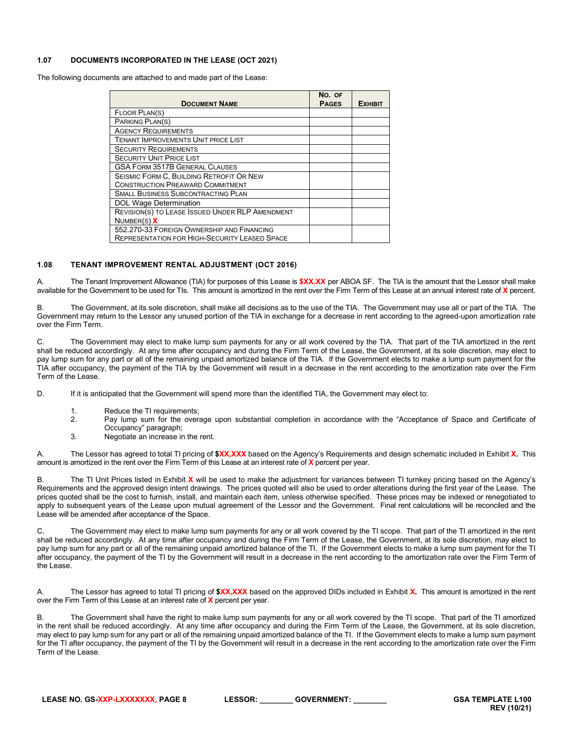# <span id="page-7-0"></span>**1.07 DOCUMENTS INCORPORATED IN THE LEASE (OCT 2021)**

The following documents are attached to and made part of the Lease:

| <b>DOCUMENT NAME</b>                                 | NO. OF<br><b>PAGES</b> | <b>EXHIBIT</b> |
|------------------------------------------------------|------------------------|----------------|
| FLOOR PLAN(S)                                        |                        |                |
| PARKING PLAN(S)                                      |                        |                |
| <b>AGENCY REQUIREMENTS</b>                           |                        |                |
| <b>TENANT IMPROVEMENTS UNIT PRICE LIST</b>           |                        |                |
| <b>SECURITY REQUIREMENTS</b>                         |                        |                |
| <b>SECURITY UNIT PRICE LIST</b>                      |                        |                |
| <b>GSA FORM 3517B GENERAL CLAUSES</b>                |                        |                |
| SEISMIC FORM C, BUILDING RETROFIT OR NEW             |                        |                |
| <b>CONSTRUCTION PREAWARD COMMITMENT</b>              |                        |                |
| <b>SMALL BUSINESS SUBCONTRACTING PLAN</b>            |                        |                |
| <b>DOL Wage Determination</b>                        |                        |                |
| REVISION(S) TO LEASE ISSUED UNDER RLP AMENDMENT      |                        |                |
| NUMBER(S) X                                          |                        |                |
| 552.270-33 FOREIGN OWNERSHIP AND FINANCING           |                        |                |
| <b>REPRESENTATION FOR HIGH-SECURITY LEASED SPACE</b> |                        |                |

# <span id="page-7-1"></span>**1.08 TENANT IMPROVEMENT RENTAL ADJUSTMENT (OCT 2016)**

A. The Tenant Improvement Allowance (TIA) for purposes of this Lease is **\$XX.XX** per ABOA SF. The TIA is the amount that the Lessor shall make available for the Government to be used for TIs. This amount is amortized in the rent over the Firm Term of this Lease at an annual interest rate of **X** percent.

B. The Government, at its sole discretion, shall make all decisions as to the use of the TIA. The Government may use all or part of the TIA. The Government may return to the Lessor any unused portion of the TIA in exchange for a decrease in rent according to the agreed-upon amortization rate over the Firm Term.

C. The Government may elect to make lump sum payments for any or all work covered by the TIA. That part of the TIA amortized in the rent shall be reduced accordingly. At any time after occupancy and during the Firm Term of the Lease, the Government, at its sole discretion, may elect to pay lump sum for any part or all of the remaining unpaid amortized balance of the TIA. If the Government elects to make a lump sum payment for the TIA after occupancy, the payment of the TIA by the Government will result in a decrease in the rent according to the amortization rate over the Firm Term of the Lease.

D. If it is anticipated that the Government will spend more than the identified TIA, the Government may elect to:

- 1. Reduce the TI requirements;
- 2. Pay lump sum for the overage upon substantial completion in accordance with the "Acceptance of Space and Certificate of Occupancy" paragraph;
- 3. Negotiate an increase in the rent.

A. The Lessor has agreed to total TI pricing of **\$XX,XXX** based on the Agency's Requirements and design schematic included in Exhibit **X.** This amount is amortized in the rent over the Firm Term of this Lease at an interest rate of **X** percent per year.

B. The TI Unit Prices listed in Exhibit **X** will be used to make the adjustment for variances between TI turnkey pricing based on the Agency's Requirements and the approved design intent drawings. The prices quoted will also be used to order alterations during the first year of the Lease. The prices quoted shall be the cost to furnish, install, and maintain each item, unless otherwise specified. These prices may be indexed or renegotiated to apply to subsequent years of the Lease upon mutual agreement of the Lessor and the Government. Final rent calculations will be reconciled and the Lease will be amended after acceptance of the Space.

C. The Government may elect to make lump sum payments for any or all work covered by the TI scope. That part of the TI amortized in the rent shall be reduced accordingly. At any time after occupancy and during the Firm Term of the Lease, the Government, at its sole discretion, may elect to pay lump sum for any part or all of the remaining unpaid amortized balance of the TI. If the Government elects to make a lump sum payment for the TI after occupancy, the payment of the TI by the Government will result in a decrease in the rent according to the amortization rate over the Firm Term of the Lease.

A. The Lessor has agreed to total TI pricing of **\$XX,XXX** based on the approved DIDs included in Exhibit **X.** This amount is amortized in the rent over the Firm Term of this Lease at an interest rate of **X** percent per year.

B. The Government shall have the right to make lump sum payments for any or all work covered by the TI scope. That part of the TI amortized in the rent shall be reduced accordingly. At any time after occupancy and during the Firm Term of the Lease, the Government, at its sole discretion, may elect to pay lump sum for any part or all of the remaining unpaid amortized balance of the TI. If the Government elects to make a lump sum payment for the TI after occupancy, the payment of the TI by the Government will result in a decrease in the rent according to the amortization rate over the Firm Term of the Lease.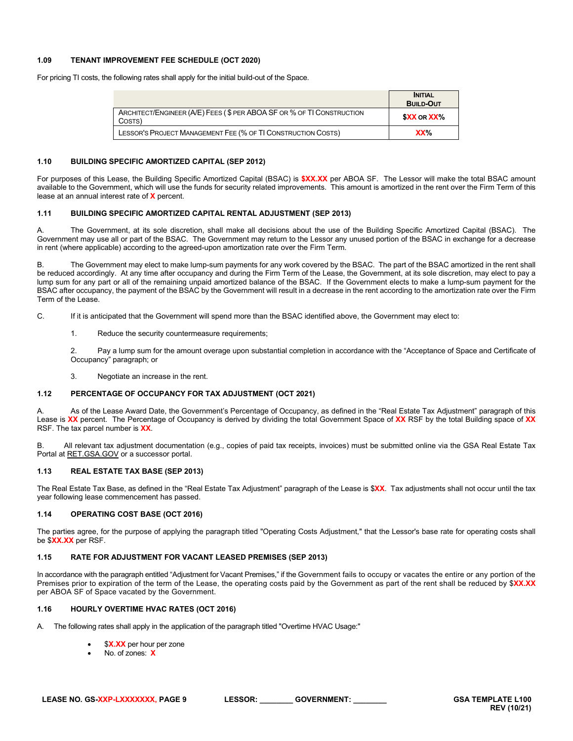# <span id="page-8-0"></span>**1.09 TENANT IMPROVEMENT FEE SCHEDULE (OCT 2020)**

For pricing TI costs, the following rates shall apply for the initial build-out of the Space.

|                                                                                 | <b>INITIAL</b><br><b>BUILD-OUT</b> |
|---------------------------------------------------------------------------------|------------------------------------|
| ARCHITECT/ENGINEER (A/E) FEES (\$ PER ABOA SF OR % OF TI CONSTRUCTION<br>COSTS) | <b>SXX OR XX%</b>                  |
| LESSOR'S PROJECT MANAGEMENT FEE (% OF TI CONSTRUCTION COSTS)                    | XX <sub>0</sub>                    |

#### <span id="page-8-1"></span>**1.10 BUILDING SPECIFIC AMORTIZED CAPITAL (SEP 2012)**

For purposes of this Lease, the Building Specific Amortized Capital (BSAC) is **\$XX.XX** per ABOA SF. The Lessor will make the total BSAC amount available to the Government, which will use the funds for security related improvements. This amount is amortized in the rent over the Firm Term of this lease at an annual interest rate of **X** percent.

# <span id="page-8-2"></span>**1.11 BUILDING SPECIFIC AMORTIZED CAPITAL RENTAL ADJUSTMENT (SEP 2013)**

A. The Government, at its sole discretion, shall make all decisions about the use of the Building Specific Amortized Capital (BSAC). The Government may use all or part of the BSAC. The Government may return to the Lessor any unused portion of the BSAC in exchange for a decrease in rent (where applicable) according to the agreed-upon amortization rate over the Firm Term.

B. The Government may elect to make lump-sum payments for any work covered by the BSAC. The part of the BSAC amortized in the rent shall be reduced accordingly. At any time after occupancy and during the Firm Term of the Lease, the Government, at its sole discretion, may elect to pay a lump sum for any part or all of the remaining unpaid amortized balance of the BSAC. If the Government elects to make a lump-sum payment for the BSAC after occupancy, the payment of the BSAC by the Government will result in a decrease in the rent according to the amortization rate over the Firm Term of the Lease.

C. If it is anticipated that the Government will spend more than the BSAC identified above, the Government may elect to:

1. Reduce the security countermeasure requirements;

2. Pay a lump sum for the amount overage upon substantial completion in accordance with the "Acceptance of Space and Certificate of Occupancy" paragraph; or

<span id="page-8-3"></span>3. Negotiate an increase in the rent.

# **1.12 PERCENTAGE OF OCCUPANCY FOR TAX ADJUSTMENT (OCT 2021)**

As of the Lease Award Date, the Government's Percentage of Occupancy, as defined in the "Real Estate Tax Adjustment" paragraph of this Lease is **XX** percent. The Percentage of Occupancy is derived by dividing the total Government Space of **XX** RSF by the total Building space of **XX** RSF. The tax parcel number is **XX**.

B. All relevant tax adjustment documentation (e.g., copies of paid tax receipts, invoices) must be submitted online via the GSA Real Estate Tax Portal at RET.GSA.GOV or a successor portal.

# <span id="page-8-4"></span>**1.13 REAL ESTATE TAX BASE (SEP 2013)**

The Real Estate Tax Base, as defined in the "Real Estate Tax Adjustment" paragraph of the Lease is \$**XX**. Tax adjustments shall not occur until the tax year following lease commencement has passed.

# <span id="page-8-5"></span>**1.14 OPERATING COST BASE (OCT 2016)**

The parties agree, for the purpose of applying the paragraph titled "Operating Costs Adjustment," that the Lessor's base rate for operating costs shall be \$**XX.XX** per RSF.

#### <span id="page-8-6"></span>**1.15 RATE FOR ADJUSTMENT FOR VACANT LEASED PREMISES (SEP 2013)**

In accordance with the paragraph entitled "Adjustment for Vacant Premises," if the Government fails to occupy or vacates the entire or any portion of the Premises prior to expiration of the term of the Lease, the operating costs paid by the Government as part of the rent shall be reduced by \$**XX.XX** per ABOA SF of Space vacated by the Government.

#### <span id="page-8-7"></span>**1.16 HOURLY OVERTIME HVAC RATES (OCT 2016)**

- A. The following rates shall apply in the application of the paragraph titled "Overtime HVAC Usage:"
	- \$X.XX per hour per zone
	- No. of zones: **X**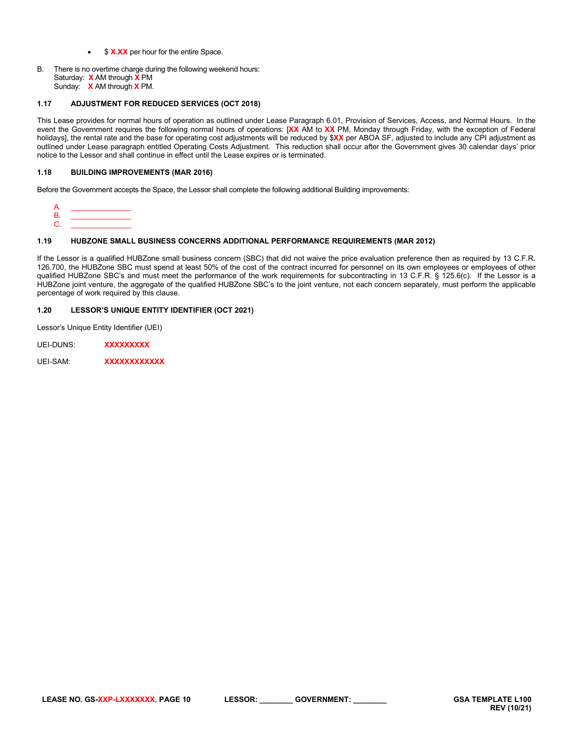- \$ **X.XX** per hour for the entire Space.
- B. There is no overtime charge during the following weekend hours: Saturday: **X** AM through **X** PM Sunday: **X** AM through **X** PM.

# <span id="page-9-0"></span>**1.17 ADJUSTMENT FOR REDUCED SERVICES (OCT 2018)**

This Lease provides for normal hours of operation as outlined under Lease Paragraph 6.01, Provision of Services, Access, and Normal Hours. In the event the Government requires the following normal hours of operations: [**XX** AM to **XX** PM, Monday through Friday, with the exception of Federal holidays], the rental rate and the base for operating cost adjustments will be reduced by \$**XX** per ABOA SF, adjusted to include any CPI adjustment as outlined under Lease paragraph entitled Operating Costs Adjustment. This reduction shall occur after the Government gives 30 calendar days' prior notice to the Lessor and shall continue in effect until the Lease expires or is terminated.

# <span id="page-9-1"></span>**1.18 BUILDING IMPROVEMENTS (MAR 2016)**

Before the Government accepts the Space, the Lessor shall complete the following additional Building improvements:

A. \_\_\_\_\_\_\_\_\_\_\_\_\_\_\_ B. \_\_\_\_\_\_\_\_\_\_\_\_\_\_\_ C. \_\_\_\_\_\_\_\_\_\_\_\_\_\_\_

# <span id="page-9-2"></span>**1.19 HUBZONE SMALL BUSINESS CONCERNS ADDITIONAL PERFORMANCE REQUIREMENTS (MAR 2012)**

If the Lessor is a qualified HUBZone small business concern (SBC) that did not waive the price evaluation preference then as required by 13 C.F.R. 126.700, the HUBZone SBC must spend at least 50% of the cost of the contract incurred for personnel on its own employees or employees of other qualified HUBZone SBC's and must meet the performance of the work requirements for subcontracting in 13 C.F.R. § 125.6(c). If the Lessor is a HUBZone joint venture, the aggregate of the qualified HUBZone SBC's to the joint venture, not each concern separately, must perform the applicable percentage of work required by this clause.

# <span id="page-9-3"></span>**1.20 LESSOR'S UNIQUE ENTITY IDENTIFIER (OCT 2021)**

Lessor's Unique Entity Identifier (UEI)

UEI-DUNS: **XXXXXXXXX**

UEI-SAM: **XXXXXXXXXXXX**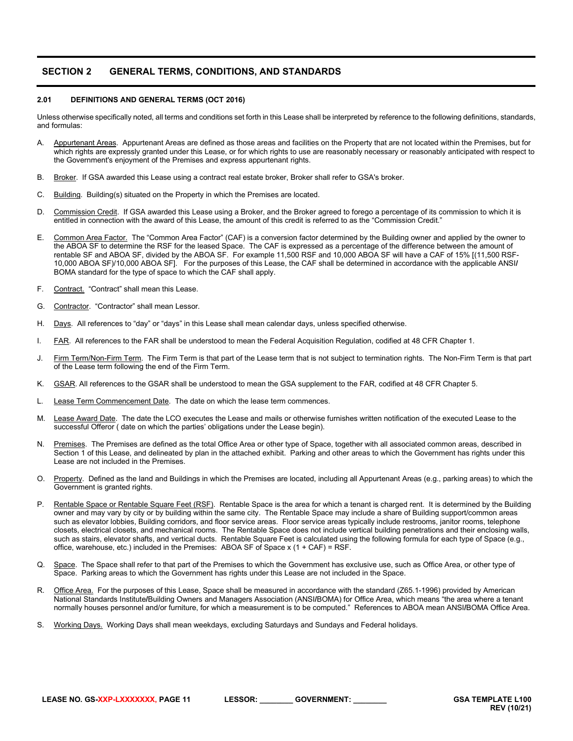# <span id="page-10-0"></span>**SECTION 2 GENERAL TERMS, CONDITIONS, AND STANDARDS**

#### <span id="page-10-1"></span>**2.01 DEFINITIONS AND GENERAL TERMS (OCT 2016)**

Unless otherwise specifically noted, all terms and conditions set forth in this Lease shall be interpreted by reference to the following definitions, standards, and formulas:

- A. Appurtenant Areas. Appurtenant Areas are defined as those areas and facilities on the Property that are not located within the Premises, but for which rights are expressly granted under this Lease, or for which rights to use are reasonably necessary or reasonably anticipated with respect to the Government's enjoyment of the Premises and express appurtenant rights.
- B. Broker. If GSA awarded this Lease using a contract real estate broker, Broker shall refer to GSA's broker.
- C. Building. Building(s) situated on the Property in which the Premises are located.
- D. Commission Credit. If GSA awarded this Lease using a Broker, and the Broker agreed to forego a percentage of its commission to which it is entitled in connection with the award of this Lease, the amount of this credit is referred to as the "Commission Credit."
- E. Common Area Factor. The "Common Area Factor" (CAF) is a conversion factor determined by the Building owner and applied by the owner to the ABOA SF to determine the RSF for the leased Space. The CAF is expressed as a percentage of the difference between the amount of rentable SF and ABOA SF, divided by the ABOA SF. For example 11,500 RSF and 10,000 ABOA SF will have a CAF of 15% [(11.500 RSF-10,000 ABOA SF)/10,000 ABOA SF]. For the purposes of this Lease, the CAF shall be determined in accordance with the applicable ANSI**/** BOMA standard for the type of space to which the CAF shall apply.
- F. Contract. "Contract" shall mean this Lease.
- G. Contractor. "Contractor" shall mean Lessor.
- H. Days. All references to "day" or "days" in this Lease shall mean calendar days, unless specified otherwise.
- I. FAR. All references to the FAR shall be understood to mean the Federal Acquisition Regulation, codified at 48 CFR Chapter 1.
- J. Firm Term/Non-Firm Term. The Firm Term is that part of the Lease term that is not subject to termination rights. The Non-Firm Term is that part of the Lease term following the end of the Firm Term.
- K. GSAR. All references to the GSAR shall be understood to mean the GSA supplement to the FAR, codified at 48 CFR Chapter 5.
- L. Lease Term Commencement Date. The date on which the lease term commences.
- M. Lease Award Date. The date the LCO executes the Lease and mails or otherwise furnishes written notification of the executed Lease to the successful Offeror ( date on which the parties' obligations under the Lease begin).
- N. Premises. The Premises are defined as the total Office Area or other type of Space, together with all associated common areas, described in Section 1 of this Lease, and delineated by plan in the attached exhibit. Parking and other areas to which the Government has rights under this Lease are not included in the Premises.
- O. Property. Defined as the land and Buildings in which the Premises are located, including all Appurtenant Areas (e.g., parking areas) to which the Government is granted rights.
- P. Rentable Space or Rentable Square Feet (RSF). Rentable Space is the area for which a tenant is charged rent. It is determined by the Building owner and may vary by city or by building within the same city. The Rentable Space may include a share of Building support/common areas such as elevator lobbies, Building corridors, and floor service areas. Floor service areas typically include restrooms, janitor rooms, telephone closets, electrical closets, and mechanical rooms. The Rentable Space does not include vertical building penetrations and their enclosing walls, such as stairs, elevator shafts, and vertical ducts. Rentable Square Feet is calculated using the following formula for each type of Space (e.g., office, warehouse, etc.) included in the Premises: ABOA SF of Space x  $(1 + CAF) = RSF$ .
- Q. Space. The Space shall refer to that part of the Premises to which the Government has exclusive use, such as Office Area, or other type of Space. Parking areas to which the Government has rights under this Lease are not included in the Space.
- R. Office Area. For the purposes of this Lease, Space shall be measured in accordance with the standard (Z65.1-1996) provided by American National Standards Institute**/**Building Owners and Managers Association (ANSI**/**BOMA) for Office Area, which means "the area where a tenant normally houses personnel and/or furniture, for which a measurement is to be computed." References to ABOA mean ANSI**/**BOMA Office Area.
- S. Working Days. Working Days shall mean weekdays, excluding Saturdays and Sundays and Federal holidays.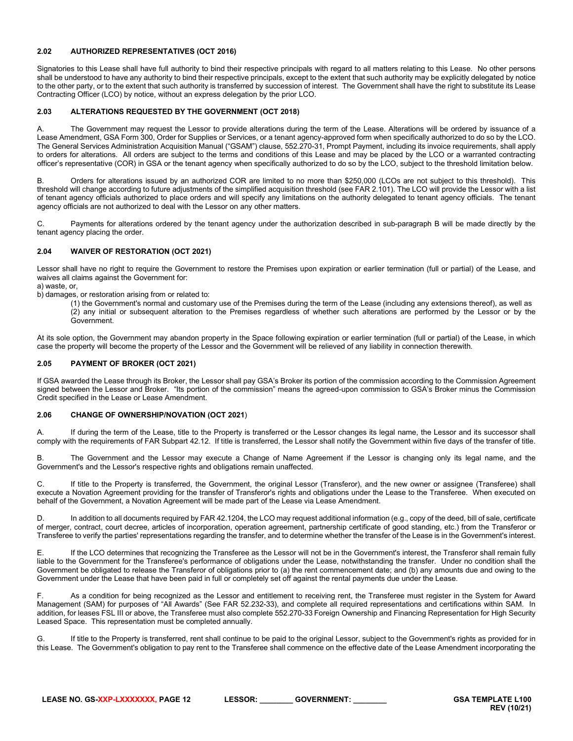# <span id="page-11-0"></span>**2.02 AUTHORIZED REPRESENTATIVES (OCT 2016)**

Signatories to this Lease shall have full authority to bind their respective principals with regard to all matters relating to this Lease. No other persons shall be understood to have any authority to bind their respective principals, except to the extent that such authority may be explicitly delegated by notice to the other party, or to the extent that such authority is transferred by succession of interest. The Government shall have the right to substitute its Lease Contracting Officer (LCO) by notice, without an express delegation by the prior LCO.

# <span id="page-11-1"></span>**2.03 ALTERATIONS REQUESTED BY THE GOVERNMENT (OCT 2018)**

A. The Government may request the Lessor to provide alterations during the term of the Lease. Alterations will be ordered by issuance of a Lease Amendment, GSA Form 300, Order for Supplies or Services, or a tenant agency-approved form when specifically authorized to do so by the LCO. The General Services Administration Acquisition Manual ("GSAM") clause, 552.270-31, Prompt Payment, including its invoice requirements, shall apply to orders for alterations. All orders are subject to the terms and conditions of this Lease and may be placed by the LCO or a warranted contracting officer's representative (COR) in GSA or the tenant agency when specifically authorized to do so by the LCO, subject to the threshold limitation below.

B. Orders for alterations issued by an authorized COR are limited to no more than \$250,000 (LCOs are not subject to this threshold). This threshold will change according to future adjustments of the simplified acquisition threshold (see FAR 2.101). The LCO will provide the Lessor with a list of tenant agency officials authorized to place orders and will specify any limitations on the authority delegated to tenant agency officials. The tenant agency officials are not authorized to deal with the Lessor on any other matters.

C. Payments for alterations ordered by the tenant agency under the authorization described in sub-paragraph B will be made directly by the tenant agency placing the order.

# <span id="page-11-2"></span>**2.04 WAIVER OF RESTORATION (OCT 2021)**

Lessor shall have no right to require the Government to restore the Premises upon expiration or earlier termination (full or partial) of the Lease, and waives all claims against the Government for:

- a) waste, or,
- b) damages, or restoration arising from or related to:
	- (1) the Government's normal and customary use of the Premises during the term of the Lease (including any extensions thereof), as well as (2) any initial or subsequent alteration to the Premises regardless of whether such alterations are performed by the Lessor or by the Government.

At its sole option, the Government may abandon property in the Space following expiration or earlier termination (full or partial) of the Lease, in which case the property will become the property of the Lessor and the Government will be relieved of any liability in connection therewith.

# <span id="page-11-3"></span>**2.05 PAYMENT OF BROKER (OCT 2021)**

If GSA awarded the Lease through its Broker, the Lessor shall pay GSA's Broker its portion of the commission according to the Commission Agreement signed between the Lessor and Broker. "Its portion of the commission" means the agreed-upon commission to GSA's Broker minus the Commission Credit specified in the Lease or Lease Amendment.

# <span id="page-11-4"></span>**2.06 CHANGE OF OWNERSHIP/NOVATION (OCT 2021**)

A. If during the term of the Lease, title to the Property is transferred or the Lessor changes its legal name, the Lessor and its successor shall comply with the requirements of FAR Subpart 42.12. If title is transferred, the Lessor shall notify the Government within five days of the transfer of title.

B. The Government and the Lessor may execute a Change of Name Agreement if the Lessor is changing only its legal name, and the Government's and the Lessor's respective rights and obligations remain unaffected.

C. If title to the Property is transferred, the Government, the original Lessor (Transferor), and the new owner or assignee (Transferee) shall execute a Novation Agreement providing for the transfer of Transferor's rights and obligations under the Lease to the Transferee. When executed on behalf of the Government, a Novation Agreement will be made part of the Lease via Lease Amendment.

D. In addition to all documents required by FAR 42.1204, the LCO may request additional information (e.g., copy of the deed, bill of sale, certificate of merger, contract, court decree, articles of incorporation, operation agreement, partnership certificate of good standing, etc.) from the Transferor or Transferee to verify the parties' representations regarding the transfer, and to determine whether the transfer of the Lease is in the Government's interest.

E. If the LCO determines that recognizing the Transferee as the Lessor will not be in the Government's interest, the Transferor shall remain fully liable to the Government for the Transferee's performance of obligations under the Lease, notwithstanding the transfer. Under no condition shall the Government be obligated to release the Transferor of obligations prior to (a) the rent commencement date; and (b) any amounts due and owing to the Government under the Lease that have been paid in full or completely set off against the rental payments due under the Lease.

F. As a condition for being recognized as the Lessor and entitlement to receiving rent, the Transferee must register in the System for Award Management (SAM) for purposes of "All Awards" (See FAR 52.232-33), and complete all required representations and certifications within SAM. In addition, for leases FSL III or above, the Transferee must also complete 552.270-33 Foreign Ownership and Financing Representation for High Security Leased Space. This representation must be completed annually.

G. If title to the Property is transferred, rent shall continue to be paid to the original Lessor, subject to the Government's rights as provided for in this Lease. The Government's obligation to pay rent to the Transferee shall commence on the effective date of the Lease Amendment incorporating the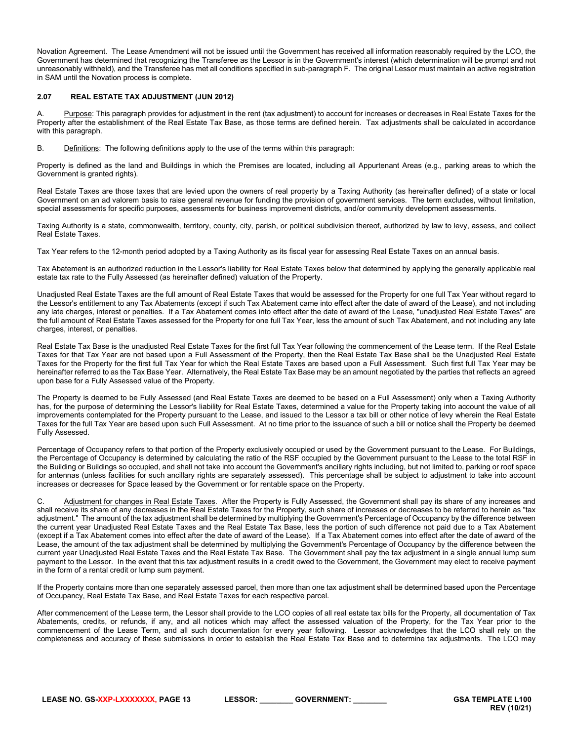Novation Agreement. The Lease Amendment will not be issued until the Government has received all information reasonably required by the LCO, the Government has determined that recognizing the Transferee as the Lessor is in the Government's interest (which determination will be prompt and not unreasonably withheld), and the Transferee has met all conditions specified in sub-paragraph F. The original Lessor must maintain an active registration in SAM until the Novation process is complete.

# <span id="page-12-0"></span>**2.07 REAL ESTATE TAX ADJUSTMENT (JUN 2012)**

A. Purpose: This paragraph provides for adjustment in the rent (tax adjustment) to account for increases or decreases in Real Estate Taxes for the Property after the establishment of the Real Estate Tax Base, as those terms are defined herein. Tax adjustments shall be calculated in accordance with this paragraph.

B. Definitions: The following definitions apply to the use of the terms within this paragraph:

Property is defined as the land and Buildings in which the Premises are located, including all Appurtenant Areas (e.g., parking areas to which the Government is granted rights).

Real Estate Taxes are those taxes that are levied upon the owners of real property by a Taxing Authority (as hereinafter defined) of a state or local Government on an ad valorem basis to raise general revenue for funding the provision of government services. The term excludes, without limitation, special assessments for specific purposes, assessments for business improvement districts, and/or community development assessments.

Taxing Authority is a state, commonwealth, territory, county, city, parish, or political subdivision thereof, authorized by law to levy, assess, and collect Real Estate Taxes.

Tax Year refers to the 12-month period adopted by a Taxing Authority as its fiscal year for assessing Real Estate Taxes on an annual basis.

Tax Abatement is an authorized reduction in the Lessor's liability for Real Estate Taxes below that determined by applying the generally applicable real estate tax rate to the Fully Assessed (as hereinafter defined) valuation of the Property.

Unadjusted Real Estate Taxes are the full amount of Real Estate Taxes that would be assessed for the Property for one full Tax Year without regard to the Lessor's entitlement to any Tax Abatements (except if such Tax Abatement came into effect after the date of award of the Lease), and not including any late charges, interest or penalties. If a Tax Abatement comes into effect after the date of award of the Lease, "unadjusted Real Estate Taxes" are the full amount of Real Estate Taxes assessed for the Property for one full Tax Year, less the amount of such Tax Abatement, and not including any late charges, interest, or penalties.

Real Estate Tax Base is the unadjusted Real Estate Taxes for the first full Tax Year following the commencement of the Lease term. If the Real Estate Taxes for that Tax Year are not based upon a Full Assessment of the Property, then the Real Estate Tax Base shall be the Unadjusted Real Estate Taxes for the Property for the first full Tax Year for which the Real Estate Taxes are based upon a Full Assessment. Such first full Tax Year may be hereinafter referred to as the Tax Base Year. Alternatively, the Real Estate Tax Base may be an amount negotiated by the parties that reflects an agreed upon base for a Fully Assessed value of the Property.

The Property is deemed to be Fully Assessed (and Real Estate Taxes are deemed to be based on a Full Assessment) only when a Taxing Authority has, for the purpose of determining the Lessor's liability for Real Estate Taxes, determined a value for the Property taking into account the value of all improvements contemplated for the Property pursuant to the Lease, and issued to the Lessor a tax bill or other notice of levy wherein the Real Estate Taxes for the full Tax Year are based upon such Full Assessment. At no time prior to the issuance of such a bill or notice shall the Property be deemed Fully Assessed.

Percentage of Occupancy refers to that portion of the Property exclusively occupied or used by the Government pursuant to the Lease. For Buildings, the Percentage of Occupancy is determined by calculating the ratio of the RSF occupied by the Government pursuant to the Lease to the total RSF in the Building or Buildings so occupied, and shall not take into account the Government's ancillary rights including, but not limited to, parking or roof space for antennas (unless facilities for such ancillary rights are separately assessed). This percentage shall be subject to adjustment to take into account increases or decreases for Space leased by the Government or for rentable space on the Property.

C. Adjustment for changes in Real Estate Taxes. After the Property is Fully Assessed, the Government shall pay its share of any increases and shall receive its share of any decreases in the Real Estate Taxes for the Property, such share of increases or decreases to be referred to herein as "tax adjustment." The amount of the tax adjustment shall be determined by multiplying the Government's Percentage of Occupancy by the difference between the current year Unadjusted Real Estate Taxes and the Real Estate Tax Base, less the portion of such difference not paid due to a Tax Abatement (except if a Tax Abatement comes into effect after the date of award of the Lease). If a Tax Abatement comes into effect after the date of award of the Lease, the amount of the tax adjustment shall be determined by multiplying the Government's Percentage of Occupancy by the difference between the current year Unadjusted Real Estate Taxes and the Real Estate Tax Base. The Government shall pay the tax adjustment in a single annual lump sum payment to the Lessor. In the event that this tax adjustment results in a credit owed to the Government, the Government may elect to receive payment in the form of a rental credit or lump sum payment.

If the Property contains more than one separately assessed parcel, then more than one tax adjustment shall be determined based upon the Percentage of Occupancy, Real Estate Tax Base, and Real Estate Taxes for each respective parcel.

After commencement of the Lease term, the Lessor shall provide to the LCO copies of all real estate tax bills for the Property, all documentation of Tax Abatements, credits, or refunds, if any, and all notices which may affect the assessed valuation of the Property, for the Tax Year prior to the commencement of the Lease Term, and all such documentation for every year following. Lessor acknowledges that the LCO shall rely on the completeness and accuracy of these submissions in order to establish the Real Estate Tax Base and to determine tax adjustments. The LCO may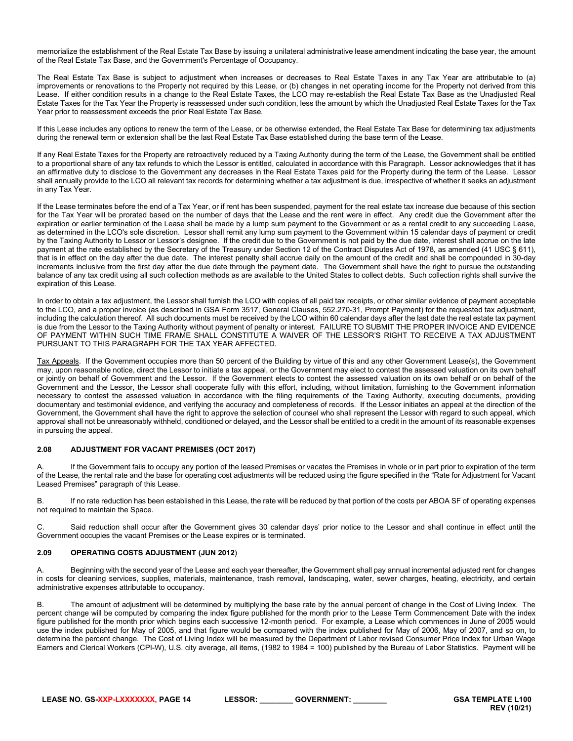memorialize the establishment of the Real Estate Tax Base by issuing a unilateral administrative lease amendment indicating the base year, the amount of the Real Estate Tax Base, and the Government's Percentage of Occupancy.

The Real Estate Tax Base is subject to adjustment when increases or decreases to Real Estate Taxes in any Tax Year are attributable to (a) improvements or renovations to the Property not required by this Lease, or (b) changes in net operating income for the Property not derived from this Lease. If either condition results in a change to the Real Estate Taxes, the LCO may re-establish the Real Estate Tax Base as the Unadjusted Real Estate Taxes for the Tax Year the Property is reassessed under such condition, less the amount by which the Unadjusted Real Estate Taxes for the Tax Year prior to reassessment exceeds the prior Real Estate Tax Base.

If this Lease includes any options to renew the term of the Lease, or be otherwise extended, the Real Estate Tax Base for determining tax adjustments during the renewal term or extension shall be the last Real Estate Tax Base established during the base term of the Lease.

If any Real Estate Taxes for the Property are retroactively reduced by a Taxing Authority during the term of the Lease, the Government shall be entitled to a proportional share of any tax refunds to which the Lessor is entitled, calculated in accordance with this Paragraph. Lessor acknowledges that it has an affirmative duty to disclose to the Government any decreases in the Real Estate Taxes paid for the Property during the term of the Lease. Lessor shall annually provide to the LCO all relevant tax records for determining whether a tax adjustment is due, irrespective of whether it seeks an adjustment in any Tax Year.

If the Lease terminates before the end of a Tax Year, or if rent has been suspended, payment for the real estate tax increase due because of this section for the Tax Year will be prorated based on the number of days that the Lease and the rent were in effect. Any credit due the Government after the expiration or earlier termination of the Lease shall be made by a lump sum payment to the Government or as a rental credit to any succeeding Lease, as determined in the LCO's sole discretion. Lessor shall remit any lump sum payment to the Government within 15 calendar days of payment or credit by the Taxing Authority to Lessor or Lessor's designee. If the credit due to the Government is not paid by the due date, interest shall accrue on the late payment at the rate established by the Secretary of the Treasury under Section 12 of the Contract Disputes Act of 1978, as amended (41 USC § 611), that is in effect on the day after the due date. The interest penalty shall accrue daily on the amount of the credit and shall be compounded in 30-day increments inclusive from the first day after the due date through the payment date. The Government shall have the right to pursue the outstanding balance of any tax credit using all such collection methods as are available to the United States to collect debts. Such collection rights shall survive the expiration of this Lease.

In order to obtain a tax adjustment, the Lessor shall furnish the LCO with copies of all paid tax receipts, or other similar evidence of payment acceptable to the LCO, and a proper invoice (as described in GSA Form 3517, General Clauses, 552.270-31, Prompt Payment) for the requested tax adjustment, including the calculation thereof. All such documents must be received by the LCO within 60 calendar days after the last date the real estate tax payment is due from the Lessor to the Taxing Authority without payment of penalty or interest. FAILURE TO SUBMIT THE PROPER INVOICE AND EVIDENCE OF PAYMENT WITHIN SUCH TIME FRAME SHALL CONSTITUTE A WAIVER OF THE LESSOR'S RIGHT TO RECEIVE A TAX ADJUSTMENT PURSUANT TO THIS PARAGRAPH FOR THE TAX YEAR AFFECTED.

Tax Appeals. If the Government occupies more than 50 percent of the Building by virtue of this and any other Government Lease(s), the Government may, upon reasonable notice, direct the Lessor to initiate a tax appeal, or the Government may elect to contest the assessed valuation on its own behalf or jointly on behalf of Government and the Lessor. If the Government elects to contest the assessed valuation on its own behalf or on behalf of the Government and the Lessor, the Lessor shall cooperate fully with this effort, including, without limitation, furnishing to the Government information necessary to contest the assessed valuation in accordance with the filing requirements of the Taxing Authority, executing documents, providing documentary and testimonial evidence, and verifying the accuracy and completeness of records. If the Lessor initiates an appeal at the direction of the Government, the Government shall have the right to approve the selection of counsel who shall represent the Lessor with regard to such appeal, which approval shall not be unreasonably withheld, conditioned or delayed, and the Lessor shall be entitled to a credit in the amount of its reasonable expenses in pursuing the appeal.

# <span id="page-13-0"></span>**2.08 ADJUSTMENT FOR VACANT PREMISES (OCT 2017)**

If the Government fails to occupy any portion of the leased Premises or vacates the Premises in whole or in part prior to expiration of the term of the Lease, the rental rate and the base for operating cost adjustments will be reduced using the figure specified in the "Rate for Adjustment for Vacant Leased Premises" paragraph of this Lease.

B. If no rate reduction has been established in this Lease, the rate will be reduced by that portion of the costs per ABOA SF of operating expenses not required to maintain the Space.

C. Said reduction shall occur after the Government gives 30 calendar days' prior notice to the Lessor and shall continue in effect until the Government occupies the vacant Premises or the Lease expires or is terminated.

# <span id="page-13-1"></span>**2.09 OPERATING COSTS ADJUSTMENT (JUN 2012**)

A. Beginning with the second year of the Lease and each year thereafter, the Government shall pay annual incremental adjusted rent for changes in costs for cleaning services, supplies, materials, maintenance, trash removal, landscaping, water, sewer charges, heating, electricity, and certain administrative expenses attributable to occupancy.

B. The amount of adjustment will be determined by multiplying the base rate by the annual percent of change in the Cost of Living Index. The percent change will be computed by comparing the index figure published for the month prior to the Lease Term Commencement Date with the index figure published for the month prior which begins each successive 12-month period. For example, a Lease which commences in June of 2005 would use the index published for May of 2005, and that figure would be compared with the index published for May of 2006, May of 2007, and so on, to determine the percent change. The Cost of Living Index will be measured by the Department of Labor revised Consumer Price Index for Urban Wage Earners and Clerical Workers (CPI-W), U.S. city average, all items, (1982 to 1984 = 100) published by the Bureau of Labor Statistics. Payment will be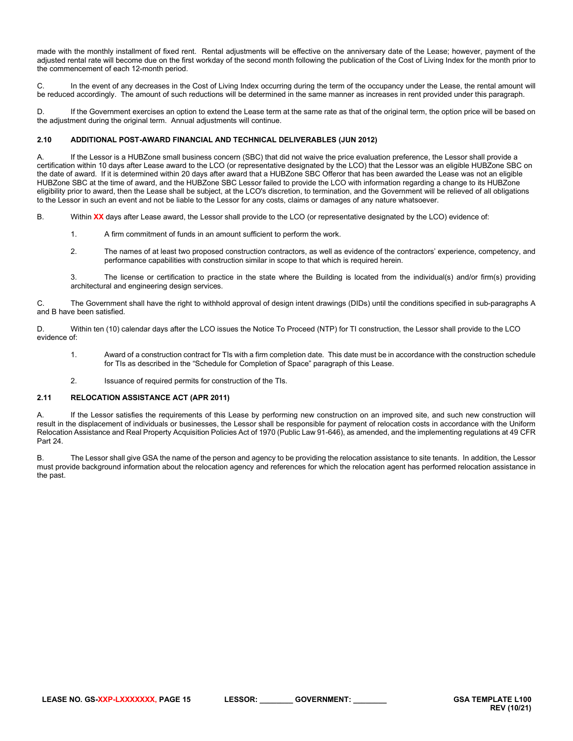made with the monthly installment of fixed rent. Rental adjustments will be effective on the anniversary date of the Lease; however, payment of the adjusted rental rate will become due on the first workday of the second month following the publication of the Cost of Living Index for the month prior to the commencement of each 12-month period.

C. In the event of any decreases in the Cost of Living Index occurring during the term of the occupancy under the Lease, the rental amount will be reduced accordingly. The amount of such reductions will be determined in the same manner as increases in rent provided under this paragraph.

D. If the Government exercises an option to extend the Lease term at the same rate as that of the original term, the option price will be based on the adjustment during the original term. Annual adjustments will continue.

# <span id="page-14-0"></span>**2.10 ADDITIONAL POST-AWARD FINANCIAL AND TECHNICAL DELIVERABLES (JUN 2012)**

A. If the Lessor is a HUBZone small business concern (SBC) that did not waive the price evaluation preference, the Lessor shall provide a certification within 10 days after Lease award to the LCO (or representative designated by the LCO) that the Lessor was an eligible HUBZone SBC on the date of award. If it is determined within 20 days after award that a HUBZone SBC Offeror that has been awarded the Lease was not an eligible HUBZone SBC at the time of award, and the HUBZone SBC Lessor failed to provide the LCO with information regarding a change to its HUBZone eligibility prior to award, then the Lease shall be subject, at the LCO's discretion, to termination, and the Government will be relieved of all obligations to the Lessor in such an event and not be liable to the Lessor for any costs, claims or damages of any nature whatsoever.

- B. Within **XX** days after Lease award, the Lessor shall provide to the LCO (or representative designated by the LCO) evidence of:
	- 1. A firm commitment of funds in an amount sufficient to perform the work.
	- 2. The names of at least two proposed construction contractors, as well as evidence of the contractors' experience, competency, and performance capabilities with construction similar in scope to that which is required herein.

3. The license or certification to practice in the state where the Building is located from the individual(s) and/or firm(s) providing architectural and engineering design services.

C. The Government shall have the right to withhold approval of design intent drawings (DIDs) until the conditions specified in sub-paragraphs A and B have been satisfied.

D. Within ten (10) calendar days after the LCO issues the Notice To Proceed (NTP) for TI construction, the Lessor shall provide to the LCO evidence of:

- 1. Award of a construction contract for TIs with a firm completion date. This date must be in accordance with the construction schedule for TIs as described in the "Schedule for Completion of Space" paragraph of this Lease.
- <span id="page-14-1"></span>2. Issuance of required permits for construction of the TIs.

# **2.11 RELOCATION ASSISTANCE ACT (APR 2011)**

A. If the Lessor satisfies the requirements of this Lease by performing new construction on an improved site, and such new construction will result in the displacement of individuals or businesses, the Lessor shall be responsible for payment of relocation costs in accordance with the Uniform Relocation Assistance and Real Property Acquisition Policies Act of 1970 (Public Law 91-646), as amended, and the implementing regulations at 49 CFR Part 24.

B. The Lessor shall give GSA the name of the person and agency to be providing the relocation assistance to site tenants. In addition, the Lessor must provide background information about the relocation agency and references for which the relocation agent has performed relocation assistance in the past.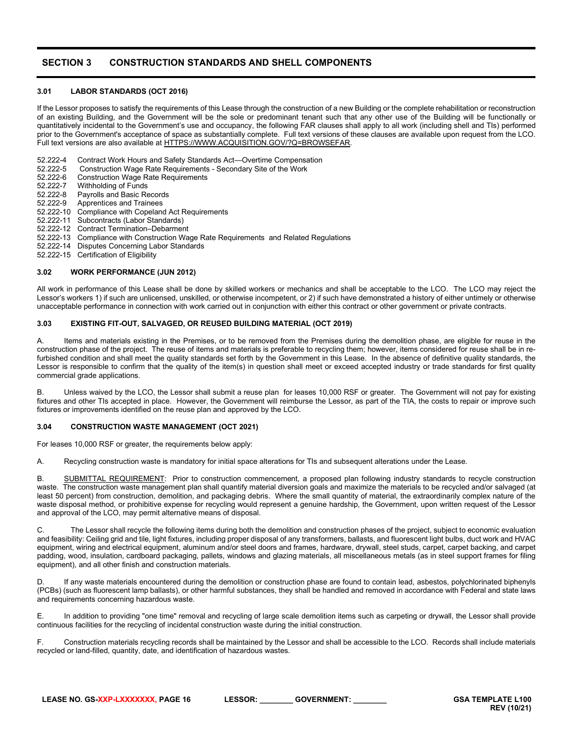# <span id="page-15-0"></span>**SECTION 3 CONSTRUCTION STANDARDS AND SHELL COMPONENTS**

# <span id="page-15-1"></span>**3.01 LABOR STANDARDS (OCT 2016)**

If the Lessor proposes to satisfy the requirements of this Lease through the construction of a new Building or the complete rehabilitation or reconstruction of an existing Building, and the Government will be the sole or predominant tenant such that any other use of the Building will be functionally or quantitatively incidental to the Government's use and occupancy, the following FAR clauses shall apply to all work (including shell and TIs) performed prior to the Government's acceptance of space as substantially complete. Full text versions of these clauses are available upon request from the LCO. Full text versions are also available at [HTTPS://WWW.ACQUISITION.GOV/?Q=BROWSEFAR.](https://www.acquisition.gov/?q=browsefar)

52.222-4 Contract Work Hours and Safety Standards Act—Overtime Compensation<br>52.222-5 Construction Wage Rate Reguirements - Secondary Site of the Work

- 52.222-5 Construction Wage Rate Requirements Secondary Site of the Work<br>52.222-6 Construction Wage Rate Requirements
- 52.222-6 Construction Wage Rate Requirements<br>52.222-7 Withholding of Funds
- 52.222-7 Withholding of Funds<br>52.222-8 Payrolls and Basic Re
- 52.222-8 Payrolls and Basic Records<br>52.222-9 Apprentices and Trainees
- Apprentices and Trainees
- 52.222-10 Compliance with Copeland Act Requirements
- 52.222-11 Subcontracts (Labor Standards)
- 52.222-12 Contract Termination–Debarment
- 52.222-13 Compliance with Construction Wage Rate Requirements and Related Regulations
- 52.222-14 Disputes Concerning Labor Standards
- 52.222-15 Certification of Eligibility

# <span id="page-15-2"></span>**3.02 WORK PERFORMANCE (JUN 2012)**

All work in performance of this Lease shall be done by skilled workers or mechanics and shall be acceptable to the LCO. The LCO may reject the Lessor's workers 1) if such are unlicensed, unskilled, or otherwise incompetent, or 2) if such have demonstrated a history of either untimely or otherwise unacceptable performance in connection with work carried out in conjunction with either this contract or other government or private contracts.

#### <span id="page-15-3"></span>**3.03 EXISTING FIT-OUT, SALVAGED, OR REUSED BUILDING MATERIAL (OCT 2019)**

A. Items and materials existing in the Premises, or to be removed from the Premises during the demolition phase, are eligible for reuse in the construction phase of the project. The reuse of items and materials is preferable to recycling them; however, items considered for reuse shall be in refurbished condition and shall meet the quality standards set forth by the Government in this Lease. In the absence of definitive quality standards, the Lessor is responsible to confirm that the quality of the item(s) in question shall meet or exceed accepted industry or trade standards for first quality commercial grade applications.

B. Unless waived by the LCO, the Lessor shall submit a reuse plan for leases 10,000 RSF or greater. The Government will not pay for existing fixtures and other TIs accepted in place. However, the Government will reimburse the Lessor, as part of the TIA, the costs to repair or improve such fixtures or improvements identified on the reuse plan and approved by the LCO.

# <span id="page-15-4"></span>**3.04 CONSTRUCTION WASTE MANAGEMENT (OCT 2021)**

For leases 10,000 RSF or greater, the requirements below apply:

A. Recycling construction waste is mandatory for initial space alterations for TIs and subsequent alterations under the Lease.

B. SUBMITTAL REQUIREMENT: Prior to construction commencement, a proposed plan following industry standards to recycle construction waste. The construction waste management plan shall quantify material diversion goals and maximize the materials to be recycled and/or salvaged (at least 50 percent) from construction, demolition, and packaging debris. Where the small quantity of material, the extraordinarily complex nature of the waste disposal method, or prohibitive expense for recycling would represent a genuine hardship, the Government, upon written request of the Lessor and approval of the LCO, may permit alternative means of disposal.

C. The Lessor shall recycle the following items during both the demolition and construction phases of the project, subject to economic evaluation and feasibility: Ceiling grid and tile, light fixtures, including proper disposal of any transformers, ballasts, and fluorescent light bulbs, duct work and HVAC equipment, wiring and electrical equipment, aluminum and/or steel doors and frames, hardware, drywall, steel studs, carpet, carpet backing, and carpet padding, wood, insulation, cardboard packaging, pallets, windows and glazing materials, all miscellaneous metals (as in steel support frames for filing equipment), and all other finish and construction materials.

D. If any waste materials encountered during the demolition or construction phase are found to contain lead, asbestos, polychlorinated biphenyls (PCBs) (such as fluorescent lamp ballasts), or other harmful substances, they shall be handled and removed in accordance with Federal and state laws and requirements concerning hazardous waste.

E. In addition to providing "one time" removal and recycling of large scale demolition items such as carpeting or drywall, the Lessor shall provide continuous facilities for the recycling of incidental construction waste during the initial construction.

F. Construction materials recycling records shall be maintained by the Lessor and shall be accessible to the LCO. Records shall include materials recycled or land-filled, quantity, date, and identification of hazardous wastes.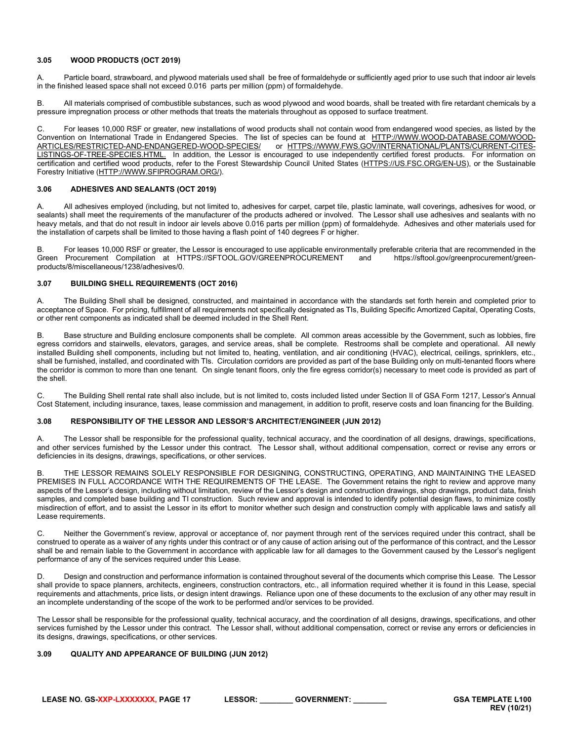# <span id="page-16-0"></span>**3.05 WOOD PRODUCTS (OCT 2019)**

A. Particle board, strawboard, and plywood materials used shall be free of formaldehyde or sufficiently aged prior to use such that indoor air levels in the finished leased space shall not exceed 0.016 parts per million (ppm) of formaldehyde.

B. All materials comprised of combustible substances, such as wood plywood and wood boards, shall be treated with fire retardant chemicals by a pressure impregnation process or other methods that treats the materials throughout as opposed to surface treatment.

C. For leases 10,000 RSF or greater, new installations of wood products shall not contain wood from endangered wood species, as listed by the Convention on International Trade in Endangered Species. The list of species can be found at [HTTP://WWW.WOOD-DATABASE.COM/WOOD-](http://www.wood-database.com/wood-articles/restricted-and-endangered-wood-species/)[ARTICLES/RESTRICTED-AND-ENDANGERED-WOOD-SPECIES/](http://www.wood-database.com/wood-articles/restricted-and-endangered-wood-species/) or [HTTPS://WWW.FWS.GOV/INTERNATIONAL/PLANTS/CURRENT-CITES-](https://www.fws.gov/international/plants/current-cites-listings-of-tree-species.html)[LISTINGS-OF-TREE-SPECIES.HTML.](https://www.fws.gov/international/plants/current-cites-listings-of-tree-species.html) In addition, the Lessor is encouraged to use independently certified forest products. For information on certification and certified wood products, refer to the Forest Stewardship Council United States [\(HTTPS://US.FSC.ORG/EN-US\)](https://us.fsc.org/en-us), or the Sustainable Forestry Initiative [\(HTTP://WWW.SFIPROGRAM.ORG/\).](http://www.sfiprogram.org/)

# <span id="page-16-1"></span>**3.06 ADHESIVES AND SEALANTS (OCT 2019)**

A. All adhesives employed (including, but not limited to, adhesives for carpet, carpet tile, plastic laminate, wall coverings, adhesives for wood, or sealants) shall meet the requirements of the manufacturer of the products adhered or involved. The Lessor shall use adhesives and sealants with no heavy metals, and that do not result in indoor air levels above 0.016 parts per million (ppm) of formaldehyde. Adhesives and other materials used for the installation of carpets shall be limited to those having a flash point of 140 degrees F or higher.

B. For leases 10,000 RSF or greater, the Lessor is encouraged to use applicable environmentally preferable criteria that are recommended in the Green Procurement Compilation at HTTPS://SFTOOL.GOV/GREENPROCUREMENT and https://sftool.gov/greenprocurement/greenproducts/8/miscellaneous/1238/adhesives/0.

# <span id="page-16-2"></span>**3.07 BUILDING SHELL REQUIREMENTS (OCT 2016)**

A. The Building Shell shall be designed, constructed, and maintained in accordance with the standards set forth herein and completed prior to acceptance of Space. For pricing, fulfillment of all requirements not specifically designated as TIs, Building Specific Amortized Capital, Operating Costs, or other rent components as indicated shall be deemed included in the Shell Rent.

Base structure and Building enclosure components shall be complete. All common areas accessible by the Government, such as lobbies, fire egress corridors and stairwells, elevators, garages, and service areas, shall be complete. Restrooms shall be complete and operational. All newly installed Building shell components, including but not limited to, heating, ventilation, and air conditioning (HVAC), electrical, ceilings, sprinklers, etc., shall be furnished, installed, and coordinated with TIs. Circulation corridors are provided as part of the base Building only on multi-tenanted floors where the corridor is common to more than one tenant. On single tenant floors, only the fire egress corridor(s) necessary to meet code is provided as part of the shell.

C. The Building Shell rental rate shall also include, but is not limited to, costs included listed under Section II of GSA Form 1217, Lessor's Annual Cost Statement, including insurance, taxes, lease commission and management, in addition to profit, reserve costs and loan financing for the Building.

#### <span id="page-16-3"></span>**3.08 RESPONSIBILITY OF THE LESSOR AND LESSOR'S ARCHITECT/ENGINEER (JUN 2012)**

A. The Lessor shall be responsible for the professional quality, technical accuracy, and the coordination of all designs, drawings, specifications, and other services furnished by the Lessor under this contract. The Lessor shall, without additional compensation, correct or revise any errors or deficiencies in its designs, drawings, specifications, or other services.

B. THE LESSOR REMAINS SOLELY RESPONSIBLE FOR DESIGNING, CONSTRUCTING, OPERATING, AND MAINTAINING THE LEASED PREMISES IN FULL ACCORDANCE WITH THE REQUIREMENTS OF THE LEASE. The Government retains the right to review and approve many aspects of the Lessor's design, including without limitation, review of the Lessor's design and construction drawings, shop drawings, product data, finish samples, and completed base building and TI construction. Such review and approval is intended to identify potential design flaws, to minimize costly misdirection of effort, and to assist the Lessor in its effort to monitor whether such design and construction comply with applicable laws and satisfy all Lease requirements.

C. Neither the Government's review, approval or acceptance of, nor payment through rent of the services required under this contract, shall be construed to operate as a waiver of any rights under this contract or of any cause of action arising out of the performance of this contract, and the Lessor shall be and remain liable to the Government in accordance with applicable law for all damages to the Government caused by the Lessor's negligent performance of any of the services required under this Lease.

D. Design and construction and performance information is contained throughout several of the documents which comprise this Lease. The Lessor shall provide to space planners, architects, engineers, construction contractors, etc., all information required whether it is found in this Lease, special requirements and attachments, price lists, or design intent drawings. Reliance upon one of these documents to the exclusion of any other may result in an incomplete understanding of the scope of the work to be performed and/or services to be provided.

The Lessor shall be responsible for the professional quality, technical accuracy, and the coordination of all designs, drawings, specifications, and other services furnished by the Lessor under this contract. The Lessor shall, without additional compensation, correct or revise any errors or deficiencies in its designs, drawings, specifications, or other services.

# <span id="page-16-4"></span>**3.09 QUALITY AND APPEARANCE OF BUILDING (JUN 2012)**

**LEASE NO. GS-XXP-LXXXXXXX, PAGE 17 LESSOR: \_\_\_\_\_\_\_\_ GOVERNMENT: \_\_\_\_\_\_\_\_ GSA TEMPLATE L100**

**REV (10/21)**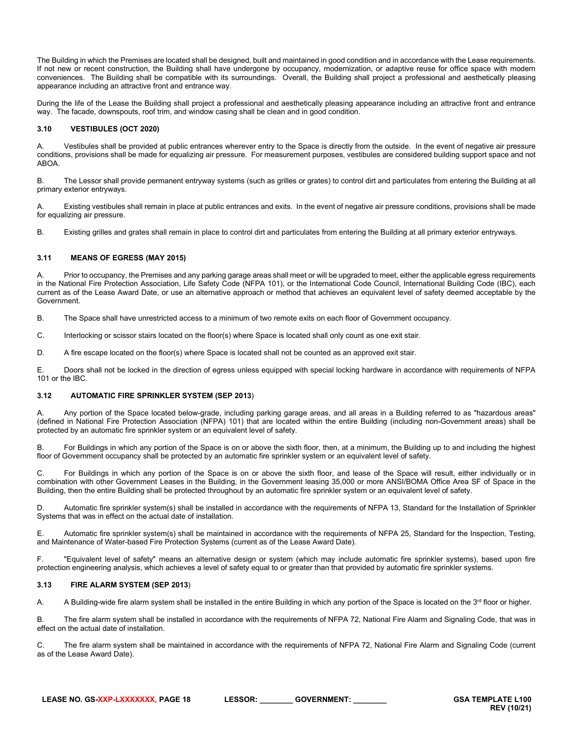The Building in which the Premises are located shall be designed, built and maintained in good condition and in accordance with the Lease requirements. If not new or recent construction, the Building shall have undergone by occupancy, modernization, or adaptive reuse for office space with modern conveniences. The Building shall be compatible with its surroundings. Overall, the Building shall project a professional and aesthetically pleasing appearance including an attractive front and entrance way.

During the life of the Lease the Building shall project a professional and aesthetically pleasing appearance including an attractive front and entrance way. The facade, downspouts, roof trim, and window casing shall be clean and in good condition.

# <span id="page-17-0"></span>**3.10 VESTIBULES (OCT 2020)**

A. Vestibules shall be provided at public entrances wherever entry to the Space is directly from the outside. In the event of negative air pressure conditions, provisions shall be made for equalizing air pressure. For measurement purposes, vestibules are considered building support space and not ABOA.

B. The Lessor shall provide permanent entryway systems (such as grilles or grates) to control dirt and particulates from entering the Building at all primary exterior entryways.

A. Existing vestibules shall remain in place at public entrances and exits. In the event of negative air pressure conditions, provisions shall be made for equalizing air pressure.

B. Existing grilles and grates shall remain in place to control dirt and particulates from entering the Building at all primary exterior entryways.

# <span id="page-17-1"></span>**3.11 MEANS OF EGRESS (MAY 2015)**

A. Prior to occupancy, the Premises and any parking garage areas shall meet or will be upgraded to meet, either the applicable egress requirements in the National Fire Protection Association, Life Safety Code (NFPA 101), or the International Code Council, International Building Code (IBC), each current as of the Lease Award Date, or use an alternative approach or method that achieves an equivalent level of safety deemed acceptable by the Government.

B. The Space shall have unrestricted access to a minimum of two remote exits on each floor of Government occupancy.

C. Interlocking or scissor stairs located on the floor(s) where Space is located shall only count as one exit stair.

D. A fire escape located on the floor(s) where Space is located shall not be counted as an approved exit stair.

E. Doors shall not be locked in the direction of egress unless equipped with special locking hardware in accordance with requirements of NFPA 101 or the IBC.

# <span id="page-17-2"></span>**3.12 AUTOMATIC FIRE SPRINKLER SYSTEM (SEP 2013**)

A. Any portion of the Space located below-grade, including parking garage areas, and all areas in a Building referred to as "hazardous areas" (defined in National Fire Protection Association (NFPA) 101) that are located within the entire Building (including non-Government areas) shall be protected by an automatic fire sprinkler system or an equivalent level of safety.

B. For Buildings in which any portion of the Space is on or above the sixth floor, then, at a minimum, the Building up to and including the highest floor of Government occupancy shall be protected by an automatic fire sprinkler system or an equivalent level of safety.

C. For Buildings in which any portion of the Space is on or above the sixth floor, and lease of the Space will result, either individually or in combination with other Government Leases in the Building, in the Government leasing 35,000 or more ANSI/BOMA Office Area SF of Space in the Building, then the entire Building shall be protected throughout by an automatic fire sprinkler system or an equivalent level of safety.

D. Automatic fire sprinkler system(s) shall be installed in accordance with the requirements of NFPA 13, Standard for the Installation of Sprinkler Systems that was in effect on the actual date of installation.

E. Automatic fire sprinkler system(s) shall be maintained in accordance with the requirements of NFPA 25, Standard for the Inspection, Testing, and Maintenance of Water-based Fire Protection Systems (current as of the Lease Award Date).

F. "Equivalent level of safety" means an alternative design or system (which may include automatic fire sprinkler systems), based upon fire protection engineering analysis, which achieves a level of safety equal to or greater than that provided by automatic fire sprinkler systems.

# <span id="page-17-3"></span>**3.13 FIRE ALARM SYSTEM (SEP 2013**)

A. A Building-wide fire alarm system shall be installed in the entire Building in which any portion of the Space is located on the 3<sup>rd</sup> floor or higher.

B. The fire alarm system shall be installed in accordance with the requirements of NFPA 72, National Fire Alarm and Signaling Code, that was in effect on the actual date of installation.

C. The fire alarm system shall be maintained in accordance with the requirements of NFPA 72, National Fire Alarm and Signaling Code (current as of the Lease Award Date).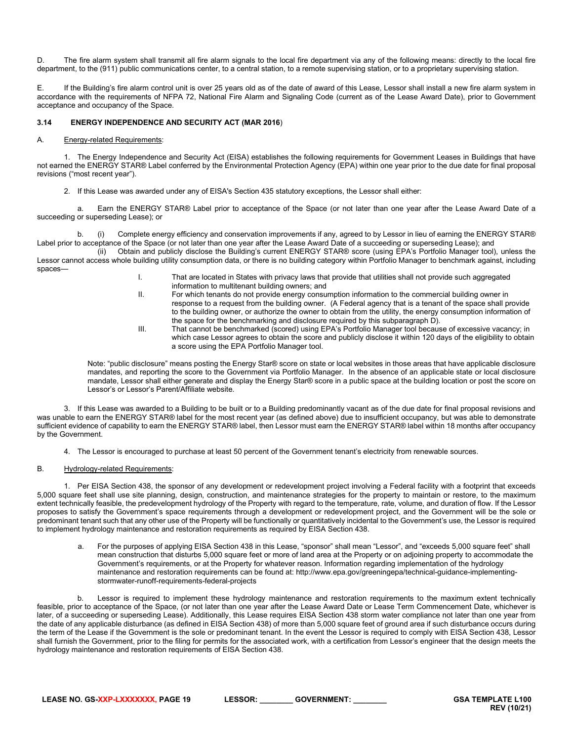D. The fire alarm system shall transmit all fire alarm signals to the local fire department via any of the following means: directly to the local fire department, to the (911) public communications center, to a central station, to a remote supervising station, or to a proprietary supervising station.

E. If the Building's fire alarm control unit is over 25 years old as of the date of award of this Lease, Lessor shall install a new fire alarm system in accordance with the requirements of NFPA 72, National Fire Alarm and Signaling Code (current as of the Lease Award Date), prior to Government acceptance and occupancy of the Space.

# <span id="page-18-0"></span>**3.14 ENERGY INDEPENDENCE AND SECURITY ACT (MAR 2016**)

#### A. Energy-related Requirements:

1. The Energy Independence and Security Act (EISA) establishes the following requirements for Government Leases in Buildings that have not earned the ENERGY STAR® Label conferred by the Environmental Protection Agency (EPA) within one year prior to the due date for final proposal revisions ("most recent year").

2. If this Lease was awarded under any of EISA's Section 435 statutory exceptions, the Lessor shall either:

a. Earn the ENERGY STAR® Label prior to acceptance of the Space (or not later than one year after the Lease Award Date of a succeeding or superseding Lease); or

b. (i) Complete energy efficiency and conservation improvements if any, agreed to by Lessor in lieu of earning the ENERGY STAR® Label prior to acceptance of the Space (or not later than one year after the Lease Award Date of a succeeding or superseding Lease); and

(ii) Obtain and publicly disclose the Building's current ENERGY STAR® score (using EPA's Portfolio Manager tool), unless the Lessor cannot access whole building utility consumption data, or there is no building category within Portfolio Manager to benchmark against, including spaces—

- I. That are located in States with privacy laws that provide that utilities shall not provide such aggregated information to multitenant building owners; and
- II. For which tenants do not provide energy consumption information to the commercial building owner in response to a request from the building owner. (A Federal agency that is a tenant of the space shall provide to the building owner, or authorize the owner to obtain from the utility, the energy consumption information of the space for the benchmarking and disclosure required by this subparagraph D).
- III. That cannot be benchmarked (scored) using EPA's Portfolio Manager tool because of excessive vacancy; in which case Lessor agrees to obtain the score and publicly disclose it within 120 days of the eligibility to obtain a score using the EPA Portfolio Manager tool.

Note: "public disclosure" means posting the Energy Star® score on state or local websites in those areas that have applicable disclosure mandates, and reporting the score to the Government via Portfolio Manager. In the absence of an applicable state or local disclosure mandate, Lessor shall either generate and display the Energy Star® score in a public space at the building location or post the score on Lessor's or Lessor's Parent/Affiliate website.

3. If this Lease was awarded to a Building to be built or to a Building predominantly vacant as of the due date for final proposal revisions and was unable to earn the ENERGY STAR® label for the most recent year (as defined above) due to insufficient occupancy, but was able to demonstrate sufficient evidence of capability to earn the ENERGY STAR® label, then Lessor must earn the ENERGY STAR® label within 18 months after occupancy by the Government.

4. The Lessor is encouraged to purchase at least 50 percent of the Government tenant's electricity from renewable sources.

# B. Hydrology-related Requirements:

1. Per EISA Section 438, the sponsor of any development or redevelopment project involving a Federal facility with a footprint that exceeds 5,000 square feet shall use site planning, design, construction, and maintenance strategies for the property to maintain or restore, to the maximum extent technically feasible, the predevelopment hydrology of the Property with regard to the temperature, rate, volume, and duration of flow. If the Lessor proposes to satisfy the Government's space requirements through a development or redevelopment project, and the Government will be the sole or predominant tenant such that any other use of the Property will be functionally or quantitatively incidental to the Government's use, the Lessor is required to implement hydrology maintenance and restoration requirements as required by EISA Section 438.

a. For the purposes of applying EISA Section 438 in this Lease, "sponsor" shall mean "Lessor", and "exceeds 5,000 square feet" shall mean construction that disturbs 5,000 square feet or more of land area at the Property or on adjoining property to accommodate the Government's requirements, or at the Property for whatever reason. Information regarding implementation of the hydrology maintenance and restoration requirements can be found at: http://www.epa.gov/greeningepa/technical-guidance-implementingstormwater-runoff-requirements-federal-projects

b. Lessor is required to implement these hydrology maintenance and restoration requirements to the maximum extent technically feasible, prior to acceptance of the Space, (or not later than one year after the Lease Award Date or Lease Term Commencement Date, whichever is later, of a succeeding or superseding Lease). Additionally, this Lease requires EISA Section 438 storm water compliance not later than one year from the date of any applicable disturbance (as defined in EISA Section 438) of more than 5,000 square feet of ground area if such disturbance occurs during the term of the Lease if the Government is the sole or predominant tenant. In the event the Lessor is required to comply with EISA Section 438, Lessor shall furnish the Government, prior to the filing for permits for the associated work, with a certification from Lessor's engineer that the design meets the hydrology maintenance and restoration requirements of EISA Section 438.

| LEASE NO. GS-XXP-LXXXXXXX. PAGE 19 | <b>LESSOR:</b> | <b>GOVERNMENT:</b> |
|------------------------------------|----------------|--------------------|
|------------------------------------|----------------|--------------------|

**GSA TEMPLATE L100 REV (10/21)**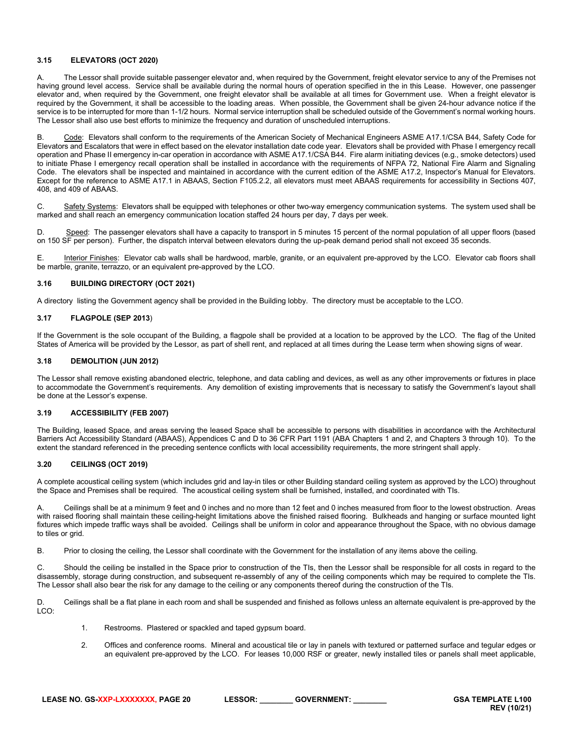# <span id="page-19-0"></span>**3.15 ELEVATORS (OCT 2020)**

A. The Lessor shall provide suitable passenger elevator and, when required by the Government, freight elevator service to any of the Premises not having ground level access. Service shall be available during the normal hours of operation specified in the in this Lease. However, one passenger elevator and, when required by the Government, one freight elevator shall be available at all times for Government use. When a freight elevator is required by the Government, it shall be accessible to the loading areas. When possible, the Government shall be given 24-hour advance notice if the service is to be interrupted for more than 1-1/2 hours. Normal service interruption shall be scheduled outside of the Government's normal working hours. The Lessor shall also use best efforts to minimize the frequency and duration of unscheduled interruptions.

Code: Elevators shall conform to the requirements of the American Society of Mechanical Engineers ASME A17.1/CSA B44, Safety Code for Elevators and Escalators that were in effect based on the elevator installation date code year. Elevators shall be provided with Phase I emergency recall operation and Phase II emergency in-car operation in accordance with ASME A17.1/CSA B44. Fire alarm initiating devices (e.g., smoke detectors) used to initiate Phase I emergency recall operation shall be installed in accordance with the requirements of NFPA 72, National Fire Alarm and Signaling Code. The elevators shall be inspected and maintained in accordance with the current edition of the ASME A17.2, Inspector's Manual for Elevators. Except for the reference to ASME A17.1 in ABAAS, Section F105.2.2, all elevators must meet ABAAS requirements for accessibility in Sections 407, 408, and 409 of ABAAS.

C. Safety Systems: Elevators shall be equipped with telephones or other two-way emergency communication systems. The system used shall be marked and shall reach an emergency communication location staffed 24 hours per day, 7 days per week.

D. Speed: The passenger elevators shall have a capacity to transport in 5 minutes 15 percent of the normal population of all upper floors (based on 150 SF per person). Further, the dispatch interval between elevators during the up-peak demand period shall not exceed 35 seconds.

E. **Interior Finishes:** Elevator cab walls shall be hardwood, marble, granite, or an equivalent pre-approved by the LCO. Elevator cab floors shall be marble, granite, terrazzo, or an equivalent pre-approved by the LCO.

# <span id="page-19-1"></span>**3.16 BUILDING DIRECTORY (OCT 2021)**

A directory listing the Government agency shall be provided in the Building lobby. The directory must be acceptable to the LCO.

# <span id="page-19-2"></span>**3.17 FLAGPOLE (SEP 2013**)

If the Government is the sole occupant of the Building, a flagpole shall be provided at a location to be approved by the LCO. The flag of the United States of America will be provided by the Lessor, as part of shell rent, and replaced at all times during the Lease term when showing signs of wear.

# <span id="page-19-3"></span>**3.18 DEMOLITION (JUN 2012)**

The Lessor shall remove existing abandoned electric, telephone, and data cabling and devices, as well as any other improvements or fixtures in place to accommodate the Government's requirements. Any demolition of existing improvements that is necessary to satisfy the Government's layout shall be done at the Lessor's expense.

# <span id="page-19-4"></span>**3.19 ACCESSIBILITY (FEB 2007)**

The Building, leased Space, and areas serving the leased Space shall be accessible to persons with disabilities in accordance with the Architectural Barriers Act Accessibility Standard (ABAAS), Appendices C and D to 36 CFR Part 1191 (ABA Chapters 1 and 2, and Chapters 3 through 10). To the extent the standard referenced in the preceding sentence conflicts with local accessibility requirements, the more stringent shall apply.

# <span id="page-19-5"></span>**3.20 CEILINGS (OCT 2019)**

A complete acoustical ceiling system (which includes grid and lay-in tiles or other Building standard ceiling system as approved by the LCO) throughout the Space and Premises shall be required. The acoustical ceiling system shall be furnished, installed, and coordinated with TIs.

A. Ceilings shall be at a minimum 9 feet and 0 inches and no more than 12 feet and 0 inches measured from floor to the lowest obstruction. Areas with raised flooring shall maintain these ceiling-height limitations above the finished raised flooring. Bulkheads and hanging or surface mounted light fixtures which impede traffic ways shall be avoided. Ceilings shall be uniform in color and appearance throughout the Space, with no obvious damage to tiles or grid.

B. Prior to closing the ceiling, the Lessor shall coordinate with the Government for the installation of any items above the ceiling.

Should the ceiling be installed in the Space prior to construction of the TIs, then the Lessor shall be responsible for all costs in regard to the disassembly, storage during construction, and subsequent re-assembly of any of the ceiling components which may be required to complete the TIs. The Lessor shall also bear the risk for any damage to the ceiling or any components thereof during the construction of the TIs.

D. Ceilings shall be a flat plane in each room and shall be suspended and finished as follows unless an alternate equivalent is pre-approved by the LCO:

- 1. Restrooms. Plastered or spackled and taped gypsum board.
- 2. Offices and conference rooms. Mineral and acoustical tile or lay in panels with textured or patterned surface and tegular edges or an equivalent pre-approved by the LCO. For leases 10,000 RSF or greater, newly installed tiles or panels shall meet applicable,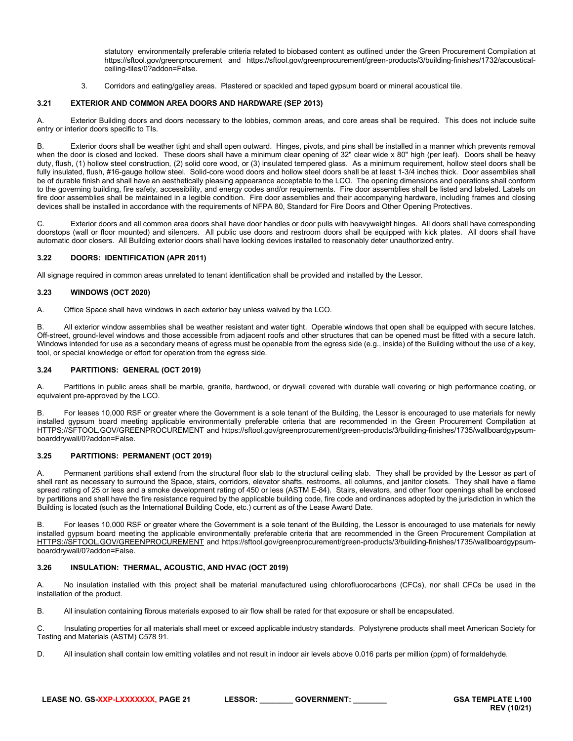statutory environmentally preferable criteria related to biobased content as outlined under the Green Procurement Compilation at https://sftool.gov/greenprocurement and https://sftool.gov/greenprocurement/green-products/3/building-finishes/1732/acousticalceiling-tiles/0?addon=False.

3. Corridors and eating/galley areas. Plastered or spackled and taped gypsum board or mineral acoustical tile.

# <span id="page-20-0"></span>**3.21 EXTERIOR AND COMMON AREA DOORS AND HARDWARE (SEP 2013)**

A. Exterior Building doors and doors necessary to the lobbies, common areas, and core areas shall be required. This does not include suite entry or interior doors specific to TIs.

B. Exterior doors shall be weather tight and shall open outward. Hinges, pivots, and pins shall be installed in a manner which prevents removal when the door is closed and locked. These doors shall have a minimum clear opening of 32" clear wide x 80" high (per leaf). Doors shall be heavy duty, flush, (1) hollow steel construction, (2) solid core wood, or (3) insulated tempered glass. As a minimum requirement, hollow steel doors shall be fully insulated, flush, #16-gauge hollow steel. Solid-core wood doors and hollow steel doors shall be at least 1-3/4 inches thick. Door assemblies shall be of durable finish and shall have an aesthetically pleasing appearance acceptable to the LCO. The opening dimensions and operations shall conform to the governing building, fire safety, accessibility, and energy codes and/or requirements. Fire door assemblies shall be listed and labeled. Labels on fire door assemblies shall be maintained in a legible condition. Fire door assemblies and their accompanying hardware, including frames and closing devices shall be installed in accordance with the requirements of NFPA 80, Standard for Fire Doors and Other Opening Protectives.

C. Exterior doors and all common area doors shall have door handles or door pulls with heavyweight hinges. All doors shall have corresponding doorstops (wall or floor mounted) and silencers. All public use doors and restroom doors shall be equipped with kick plates. All doors shall have automatic door closers. All Building exterior doors shall have locking devices installed to reasonably deter unauthorized entry.

# <span id="page-20-1"></span>**3.22 DOORS: IDENTIFICATION (APR 2011)**

All signage required in common areas unrelated to tenant identification shall be provided and installed by the Lessor.

# <span id="page-20-2"></span>**3.23 WINDOWS (OCT 2020)**

A. Office Space shall have windows in each exterior bay unless waived by the LCO.

B. All exterior window assemblies shall be weather resistant and water tight. Operable windows that open shall be equipped with secure latches. Off-street, ground-level windows and those accessible from adjacent roofs and other structures that can be opened must be fitted with a secure latch. Windows intended for use as a secondary means of egress must be openable from the egress side (e.g., inside) of the Building without the use of a key, tool, or special knowledge or effort for operation from the egress side.

# <span id="page-20-3"></span>**3.24 PARTITIONS: GENERAL (OCT 2019)**

A. Partitions in public areas shall be marble, granite, hardwood, or drywall covered with durable wall covering or high performance coating, or equivalent pre-approved by the LCO.

B. For leases 10,000 RSF or greater where the Government is a sole tenant of the Building, the Lessor is encouraged to use materials for newly installed gypsum board meeting applicable environmentally preferable criteria that are recommended in the Green Procurement Compilation at HTTPS://SFTOOL.GOV/GREENPROCUREMENT and https://sftool.gov/greenprocurement/green-products/3/building-finishes/1735/wallboardgypsumboarddrywall/0?addon=False.

# <span id="page-20-4"></span>**3.25 PARTITIONS: PERMANENT (OCT 2019)**

A. Permanent partitions shall extend from the structural floor slab to the structural ceiling slab. They shall be provided by the Lessor as part of shell rent as necessary to surround the Space, stairs, corridors, elevator shafts, restrooms, all columns, and janitor closets. They shall have a flame spread rating of 25 or less and a smoke development rating of 450 or less (ASTM E-84). Stairs, elevators, and other floor openings shall be enclosed by partitions and shall have the fire resistance required by the applicable building code, fire code and ordinances adopted by the jurisdiction in which the Building is located (such as the International Building Code, etc.) current as of the Lease Award Date.

B. For leases 10,000 RSF or greater where the Government is a sole tenant of the Building, the Lessor is encouraged to use materials for newly installed gypsum board meeting the applicable environmentally preferable criteria that are recommended in the Green Procurement Compilation at [HTTPS://SFTOOL.GOV/GREENPROCUREMENT](https://sftool.gov/GREENPROCUREMENT) and https://sftool.gov/greenprocurement/green-products/3/building-finishes/1735/wallboardgypsumboarddrywall/0?addon=False.

# <span id="page-20-5"></span>**3.26 INSULATION: THERMAL, ACOUSTIC, AND HVAC (OCT 2019)**

A. No insulation installed with this project shall be material manufactured using chlorofluorocarbons (CFCs), nor shall CFCs be used in the installation of the product.

B. All insulation containing fibrous materials exposed to air flow shall be rated for that exposure or shall be encapsulated.

C. Insulating properties for all materials shall meet or exceed applicable industry standards. Polystyrene products shall meet American Society for Testing and Materials (ASTM) C578 91.

D. All insulation shall contain low emitting volatiles and not result in indoor air levels above 0.016 parts per million (ppm) of formaldehyde.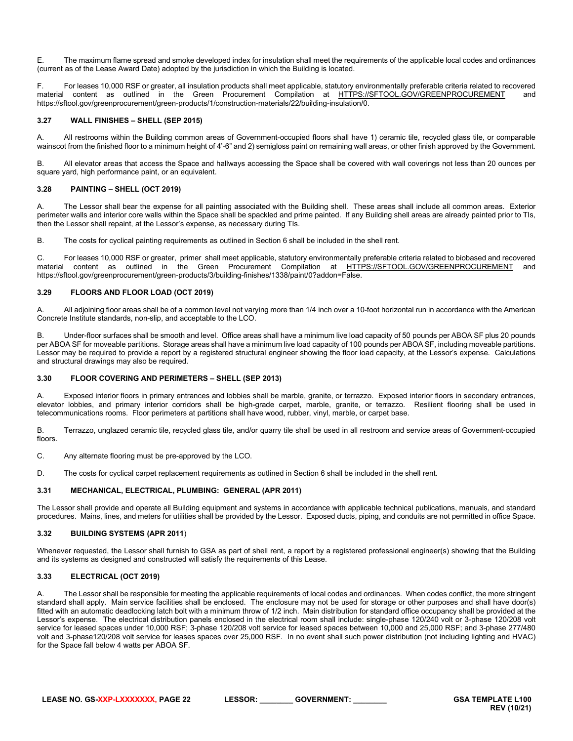E. The maximum flame spread and smoke developed index for insulation shall meet the requirements of the applicable local codes and ordinances (current as of the Lease Award Date) adopted by the jurisdiction in which the Building is located.

F. For leases 10,000 RSF or greater, all insulation products shall meet applicable, statutory environmentally preferable criteria related to recovered material content as outlined in the Green Procurement Compilation at [HTTPS://SFTOOL.GOV/GREENPROCUREMENT](https://sftool.gov/GREENPROCUREMENT) and https://sftool.gov/greenprocurement/green-products/1/construction-materials/22/building-insulation/0.

# <span id="page-21-0"></span>**3.27 WALL FINISHES – SHELL (SEP 2015)**

A. All restrooms within the Building common areas of Government-occupied floors shall have 1) ceramic tile, recycled glass tile, or comparable wainscot from the finished floor to a minimum height of 4'-6" and 2) semigloss paint on remaining wall areas, or other finish approved by the Government.

B. All elevator areas that access the Space and hallways accessing the Space shall be covered with wall coverings not less than 20 ounces per square yard, high performance paint, or an equivalent.

# <span id="page-21-1"></span>**3.28 PAINTING – SHELL (OCT 2019)**

A. The Lessor shall bear the expense for all painting associated with the Building shell. These areas shall include all common areas. Exterior perimeter walls and interior core walls within the Space shall be spackled and prime painted. If any Building shell areas are already painted prior to TIs, then the Lessor shall repaint, at the Lessor's expense, as necessary during TIs.

B. The costs for cyclical painting requirements as outlined in Section 6 shall be included in the shell rent.

C. For leases 10,000 RSF or greater, primer shall meet applicable, statutory environmentally preferable criteria related to biobased and recovered material content as outlined in the Green Procurement Compilation at [HTTPS://SFTOOL.GOV/GREENPROCUREMENT](https://sftool.gov/GREENPROCUREMENT) and https://sftool.gov/greenprocurement/green-products/3/building-finishes/1338/paint/0?addon=False.

# <span id="page-21-2"></span>**3.29 FLOORS AND FLOOR LOAD (OCT 2019)**

A. All adjoining floor areas shall be of a common level not varying more than 1/4 inch over a 10-foot horizontal run in accordance with the American Concrete Institute standards, non-slip, and acceptable to the LCO.

B. Under-floor surfaces shall be smooth and level. Office areas shall have a minimum live load capacity of 50 pounds per ABOA SF plus 20 pounds per ABOA SF for moveable partitions. Storage areas shall have a minimum live load capacity of 100 pounds per ABOA SF, including moveable partitions. Lessor may be required to provide a report by a registered structural engineer showing the floor load capacity, at the Lessor's expense. Calculations and structural drawings may also be required.

# <span id="page-21-3"></span>**3.30 FLOOR COVERING AND PERIMETERS – SHELL (SEP 2013)**

A. Exposed interior floors in primary entrances and lobbies shall be marble, granite, or terrazzo. Exposed interior floors in secondary entrances, elevator lobbies, and primary interior corridors shall be high-grade carpet, marble, granite, or terrazzo. Resilient flooring shall be used in telecommunications rooms. Floor perimeters at partitions shall have wood, rubber, vinyl, marble, or carpet base.

B. Terrazzo, unglazed ceramic tile, recycled glass tile, and/or quarry tile shall be used in all restroom and service areas of Government-occupied floors.

C. Any alternate flooring must be pre-approved by the LCO.

D. The costs for cyclical carpet replacement requirements as outlined in Section 6 shall be included in the shell rent.

# <span id="page-21-4"></span>**3.31 MECHANICAL, ELECTRICAL, PLUMBING: GENERAL (APR 2011)**

The Lessor shall provide and operate all Building equipment and systems in accordance with applicable technical publications, manuals, and standard procedures. Mains, lines, and meters for utilities shall be provided by the Lessor. Exposed ducts, piping, and conduits are not permitted in office Space.

# <span id="page-21-5"></span>**3.32 BUILDING SYSTEMS (APR 2011**)

Whenever requested, the Lessor shall furnish to GSA as part of shell rent, a report by a registered professional engineer(s) showing that the Building and its systems as designed and constructed will satisfy the requirements of this Lease.

# <span id="page-21-6"></span>**3.33 ELECTRICAL (OCT 2019)**

A. The Lessor shall be responsible for meeting the applicable requirements of local codes and ordinances. When codes conflict, the more stringent standard shall apply. Main service facilities shall be enclosed. The enclosure may not be used for storage or other purposes and shall have door(s) fitted with an automatic deadlocking latch bolt with a minimum throw of 1/2 inch. Main distribution for standard office occupancy shall be provided at the Lessor's expense. The electrical distribution panels enclosed in the electrical room shall include: single-phase 120/240 volt or 3-phase 120/208 volt service for leased spaces under 10,000 RSF; 3-phase 120/208 volt service for leased spaces between 10,000 and 25,000 RSF; and 3-phase 277/480 volt and 3-phase120/208 volt service for leases spaces over 25,000 RSF. In no event shall such power distribution (not including lighting and HVAC) for the Space fall below 4 watts per ABOA SF.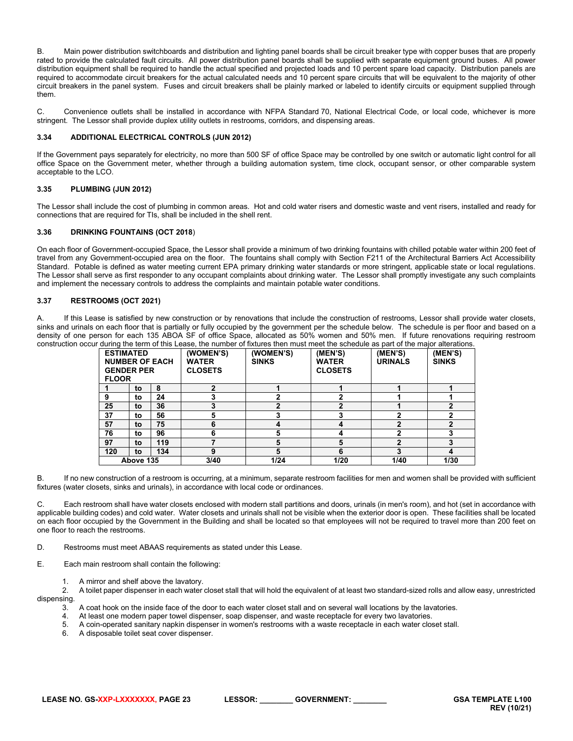B. Main power distribution switchboards and distribution and lighting panel boards shall be circuit breaker type with copper buses that are properly rated to provide the calculated fault circuits. All power distribution panel boards shall be supplied with separate equipment ground buses. All power distribution equipment shall be required to handle the actual specified and projected loads and 10 percent spare load capacity. Distribution panels are required to accommodate circuit breakers for the actual calculated needs and 10 percent spare circuits that will be equivalent to the majority of other circuit breakers in the panel system. Fuses and circuit breakers shall be plainly marked or labeled to identify circuits or equipment supplied through them.

C. Convenience outlets shall be installed in accordance with NFPA Standard 70, National Electrical Code, or local code, whichever is more stringent. The Lessor shall provide duplex utility outlets in restrooms, corridors, and dispensing areas.

# <span id="page-22-0"></span>**3.34 ADDITIONAL ELECTRICAL CONTROLS (JUN 2012)**

If the Government pays separately for electricity, no more than 500 SF of office Space may be controlled by one switch or automatic light control for all office Space on the Government meter, whether through a building automation system, time clock, occupant sensor, or other comparable system acceptable to the LCO.

# <span id="page-22-1"></span>**3.35 PLUMBING (JUN 2012)**

The Lessor shall include the cost of plumbing in common areas. Hot and cold water risers and domestic waste and vent risers, installed and ready for connections that are required for TIs, shall be included in the shell rent.

# <span id="page-22-2"></span>**3.36 DRINKING FOUNTAINS (OCT 2018**)

On each floor of Government-occupied Space, the Lessor shall provide a minimum of two drinking fountains with chilled potable water within 200 feet of travel from any Government-occupied area on the floor. The fountains shall comply with Section F211 of the Architectural Barriers Act Accessibility Standard. Potable is defined as water meeting current EPA primary drinking water standards or more stringent, applicable state or local regulations. The Lessor shall serve as first responder to any occupant complaints about drinking water. The Lessor shall promptly investigate any such complaints and implement the necessary controls to address the complaints and maintain potable water conditions.

# <span id="page-22-3"></span>**3.37 RESTROOMS (OCT 2021)**

A. If this Lease is satisfied by new construction or by renovations that include the construction of restrooms, Lessor shall provide water closets, sinks and urinals on each floor that is partially or fully occupied by the government per the schedule below. The schedule is per floor and based on a density of one person for each 135 ABOA SF of office Space, allocated as 50% women and 50% men. If future renovations requiring restroom construction occur during the term of this Lease, the number of fixtures then must meet the schedule as part of the major alterations.

| <b>FLOOR</b> | <b>ESTIMATED</b><br><b>GENDER PER</b> | <b>NUMBER OF EACH</b> | (WOMEN'S)<br><b>WATER</b><br><b>CLOSETS</b> | (WOMEN'S)<br><b>SINKS</b> | (MEN'S)<br><b>WATER</b><br><b>CLOSETS</b> | (MEN'S)<br><b>URINALS</b> | (MEN'S)<br><b>SINKS</b> |
|--------------|---------------------------------------|-----------------------|---------------------------------------------|---------------------------|-------------------------------------------|---------------------------|-------------------------|
|              | to                                    | 8                     |                                             |                           |                                           |                           |                         |
| 9            | to                                    | 24                    |                                             | 2                         | າ                                         |                           |                         |
| 25           | to                                    | 36                    |                                             | $\overline{2}$            | າ                                         |                           |                         |
| 37           | to                                    | 56                    |                                             | 3                         | 3                                         | 2                         |                         |
| 57           | to                                    | 75                    | n                                           | 4                         | 4                                         | 2                         |                         |
| 76           | to                                    | 96                    |                                             | 5                         | 4                                         | 2                         |                         |
| 97           | to                                    | 119                   |                                             | 5                         | 5                                         | $\overline{2}$            |                         |
| 120          | to                                    | 134                   |                                             | 5                         | 6                                         | 3                         | 4                       |
|              | Above 135                             |                       | 3/40                                        | 1/24                      | 1/20                                      | 1/40                      | 1/30                    |

B. If no new construction of a restroom is occurring, at a minimum, separate restroom facilities for men and women shall be provided with sufficient fixtures (water closets, sinks and urinals), in accordance with local code or ordinances.

C. Each restroom shall have water closets enclosed with modern stall partitions and doors, urinals (in men's room), and hot (set in accordance with applicable building codes) and cold water. Water closets and urinals shall not be visible when the exterior door is open. These facilities shall be located on each floor occupied by the Government in the Building and shall be located so that employees will not be required to travel more than 200 feet on one floor to reach the restrooms.

D. Restrooms must meet ABAAS requirements as stated under this Lease.

E. Each main restroom shall contain the following:

1. A mirror and shelf above the lavatory.<br>2. A toilet paper dispenser in each water

2. A toilet paper dispenser in each water closet stall that will hold the equivalent of at least two standard-sized rolls and allow easy, unrestricted dispensing.

- 3. A coat hook on the inside face of the door to each water closet stall and on several wall locations by the lavatories.
- 4. At least one modern paper towel dispenser, soap dispenser, and waste receptacle for every two lavatories.
- 5. A coin-operated sanitary napkin dispenser in women's restrooms with a waste receptacle in each water closet stall.<br>6. A disposable toilet seat cover dispenser
- 6. A disposable toilet seat cover dispenser.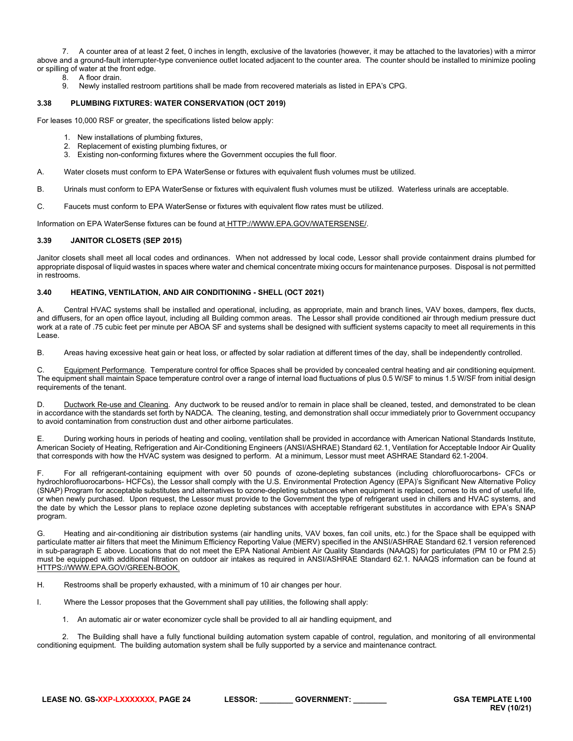7. A counter area of at least 2 feet, 0 inches in length, exclusive of the lavatories (however, it may be attached to the lavatories) with a mirror above and a ground-fault interrupter-type convenience outlet located adjacent to the counter area. The counter should be installed to minimize pooling or spilling of water at the front edge.

- 8. A floor drain.<br>9. Newly installe
- <span id="page-23-0"></span>9. Newly installed restroom partitions shall be made from recovered materials as listed in EPA's CPG.

# **3.38 PLUMBING FIXTURES: WATER CONSERVATION (OCT 2019)**

For leases 10,000 RSF or greater, the specifications listed below apply:

- 1. New installations of plumbing fixtures,<br>2. Replacement of existing plumbing fixte
- Replacement of existing plumbing fixtures, or
- 3. Existing non-conforming fixtures where the Government occupies the full floor.

A. Water closets must conform to EPA WaterSense or fixtures with equivalent flush volumes must be utilized.

- B. Urinals must conform to EPA WaterSense or fixtures with equivalent flush volumes must be utilized. Waterless urinals are acceptable.
- C. Faucets must conform to EPA WaterSense or fixtures with equivalent flow rates must be utilized.

Information on EPA WaterSense fixtures can be found at [HTTP://WWW.EPA.GOV/WATERSENSE/.](http://www.epa.gov/watersense/)

# <span id="page-23-1"></span>**3.39 JANITOR CLOSETS (SEP 2015)**

Janitor closets shall meet all local codes and ordinances. When not addressed by local code, Lessor shall provide containment drains plumbed for appropriate disposal of liquid wastes in spaces where water and chemical concentrate mixing occurs for maintenance purposes. Disposal is not permitted in restrooms.

# <span id="page-23-2"></span>**3.40 HEATING, VENTILATION, AND AIR CONDITIONING - SHELL (OCT 2021)**

A. Central HVAC systems shall be installed and operational, including, as appropriate, main and branch lines, VAV boxes, dampers, flex ducts, and diffusers, for an open office layout, including all Building common areas. The Lessor shall provide conditioned air through medium pressure duct work at a rate of .75 cubic feet per minute per ABOA SF and systems shall be designed with sufficient systems capacity to meet all requirements in this Lease.

B. Areas having excessive heat gain or heat loss, or affected by solar radiation at different times of the day, shall be independently controlled.

Equipment Performance. Temperature control for office Spaces shall be provided by concealed central heating and air conditioning equipment. The equipment shall maintain Space temperature control over a range of internal load fluctuations of plus 0.5 W/SF to minus 1.5 W/SF from initial design requirements of the tenant.

D. Ductwork Re-use and Cleaning. Any ductwork to be reused and/or to remain in place shall be cleaned, tested, and demonstrated to be clean in accordance with the standards set forth by NADCA. The cleaning, testing, and demonstration shall occur immediately prior to Government occupancy to avoid contamination from construction dust and other airborne particulates.

E. During working hours in periods of heating and cooling, ventilation shall be provided in accordance with American National Standards Institute, American Society of Heating, Refrigeration and Air-Conditioning Engineers (ANSI/ASHRAE) Standard 62.1, Ventilation for Acceptable Indoor Air Quality that corresponds with how the HVAC system was designed to perform. At a minimum, Lessor must meet ASHRAE Standard 62.1-2004.

F. For all refrigerant-containing equipment with over 50 pounds of ozone-depleting substances (including chlorofluorocarbons- CFCs or hydrochlorofluorocarbons- HCFCs), the Lessor shall comply with the U.S. Environmental Protection Agency (EPA)'s Significant New Alternative Policy (SNAP) Program for acceptable substitutes and alternatives to ozone-depleting substances when equipment is replaced, comes to its end of useful life, or when newly purchased. Upon request, the Lessor must provide to the Government the type of refrigerant used in chillers and HVAC systems, and the date by which the Lessor plans to replace ozone depleting substances with acceptable refrigerant substitutes in accordance with EPA's SNAP program.

G. Heating and air-conditioning air distribution systems (air handling units, VAV boxes, fan coil units, etc.) for the Space shall be equipped with particulate matter air filters that meet the Minimum Efficiency Reporting Value (MERV) specified in the ANSI/ASHRAE Standard 62.1 version referenced in sub-paragraph E above. Locations that do not meet the EPA National Ambient Air Quality Standards (NAAQS) for particulates (PM 10 or PM 2.5) must be equipped with additional filtration on outdoor air intakes as required in ANSI/ASHRAE Standard 62.1. NAAQS information can be found at [HTTPS://WWW.EPA.GOV/GREEN-BOOK.](https://www.epa.gov/green-book)

H. Restrooms shall be properly exhausted, with a minimum of 10 air changes per hour.

I. Where the Lessor proposes that the Government shall pay utilities, the following shall apply:

1. An automatic air or water economizer cycle shall be provided to all air handling equipment, and

2. The Building shall have a fully functional building automation system capable of control, regulation, and monitoring of all environmental conditioning equipment. The building automation system shall be fully supported by a service and maintenance contract.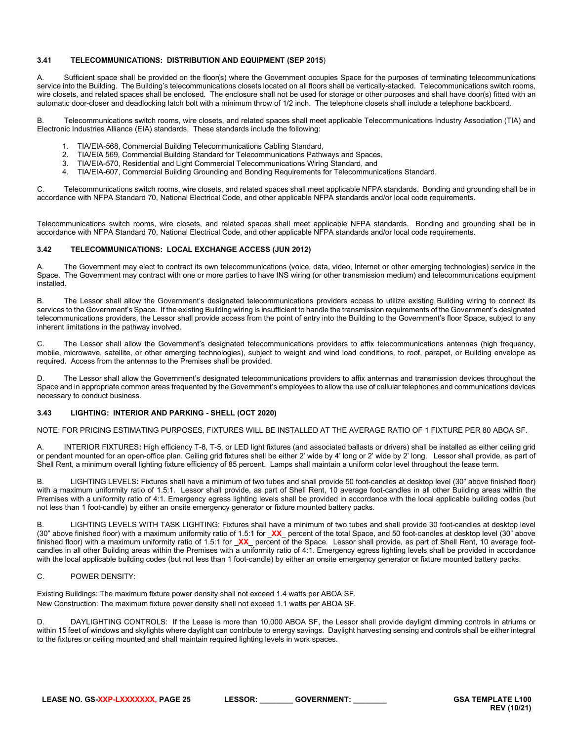# <span id="page-24-0"></span>**3.41 TELECOMMUNICATIONS: DISTRIBUTION AND EQUIPMENT (SEP 2015**)

A. Sufficient space shall be provided on the floor(s) where the Government occupies Space for the purposes of terminating telecommunications service into the Building. The Building's telecommunications closets located on all floors shall be vertically-stacked. Telecommunications switch rooms, wire closets, and related spaces shall be enclosed. The enclosure shall not be used for storage or other purposes and shall have door(s) fitted with an automatic door-closer and deadlocking latch bolt with a minimum throw of 1/2 inch. The telephone closets shall include a telephone backboard.

B. Telecommunications switch rooms, wire closets, and related spaces shall meet applicable Telecommunications Industry Association (TIA) and Electronic Industries Alliance (EIA) standards. These standards include the following:

- 1. TIA/EIA-568, Commercial Building Telecommunications Cabling Standard,
- 2. TIA/EIA 569, Commercial Building Standard for Telecommunications Pathways and Spaces,
- 3. TIA/EIA-570, Residential and Light Commercial Telecommunications Wiring Standard, and
- 4. TIA/EIA-607, Commercial Building Grounding and Bonding Requirements for Telecommunications Standard.

C. Telecommunications switch rooms, wire closets, and related spaces shall meet applicable NFPA standards. Bonding and grounding shall be in accordance with NFPA Standard 70, National Electrical Code, and other applicable NFPA standards and/or local code requirements.

Telecommunications switch rooms, wire closets, and related spaces shall meet applicable NFPA standards. Bonding and grounding shall be in accordance with NFPA Standard 70, National Electrical Code, and other applicable NFPA standards and/or local code requirements.

# <span id="page-24-1"></span>**3.42 TELECOMMUNICATIONS: LOCAL EXCHANGE ACCESS (JUN 2012)**

A. The Government may elect to contract its own telecommunications (voice, data, video, Internet or other emerging technologies) service in the Space. The Government may contract with one or more parties to have INS wiring (or other transmission medium) and telecommunications equipment installed.

B. The Lessor shall allow the Government's designated telecommunications providers access to utilize existing Building wiring to connect its services to the Government's Space. If the existing Building wiring is insufficient to handle the transmission requirements of the Government's designated telecommunications providers, the Lessor shall provide access from the point of entry into the Building to the Government's floor Space, subject to any inherent limitations in the pathway involved.

C. The Lessor shall allow the Government's designated telecommunications providers to affix telecommunications antennas (high frequency, mobile, microwave, satellite, or other emerging technologies), subject to weight and wind load conditions, to roof, parapet, or Building envelope as required. Access from the antennas to the Premises shall be provided.

D. The Lessor shall allow the Government's designated telecommunications providers to affix antennas and transmission devices throughout the Space and in appropriate common areas frequented by the Government's employees to allow the use of cellular telephones and communications devices necessary to conduct business.

# <span id="page-24-2"></span>**3.43 LIGHTING: INTERIOR AND PARKING - SHELL (OCT 2020)**

NOTE: FOR PRICING ESTIMATING PURPOSES, FIXTURES WILL BE INSTALLED AT THE AVERAGE RATIO OF 1 FIXTURE PER 80 ABOA SF.

A. INTERIOR FIXTURES**:** High efficiency T-8, T-5, or LED light fixtures (and associated ballasts or drivers) shall be installed as either ceiling grid or pendant mounted for an open-office plan. Ceiling grid fixtures shall be either 2' wide by 4' long or 2' wide by 2' long. Lessor shall provide, as part of Shell Rent, a minimum overall lighting fixture efficiency of 85 percent. Lamps shall maintain a uniform color level throughout the lease term.

B. LIGHTING LEVELS**:** Fixtures shall have a minimum of two tubes and shall provide 50 foot-candles at desktop level (30" above finished floor) with a maximum uniformity ratio of 1.5:1. Lessor shall provide, as part of Shell Rent, 10 average foot-candles in all other Building areas within the Premises with a uniformity ratio of 4:1. Emergency egress lighting levels shall be provided in accordance with the local applicable building codes (but not less than 1 foot-candle) by either an onsite emergency generator or fixture mounted battery packs.

B. LIGHTING LEVELS WITH TASK LIGHTING: Fixtures shall have a minimum of two tubes and shall provide 30 foot-candles at desktop level (30" above finished floor) with a maximum uniformity ratio of 1.5:1 for \_**XX**\_ percent of the total Space, and 50 foot-candles at desktop level (30" above finished floor) with a maximum uniformity ratio of 1.5:1 for \_**XX**\_ percent of the Space. Lessor shall provide, as part of Shell Rent, 10 average footcandles in all other Building areas within the Premises with a uniformity ratio of 4:1. Emergency egress lighting levels shall be provided in accordance with the local applicable building codes (but not less than 1 foot-candle) by either an onsite emergency generator or fixture mounted battery packs.

# C. POWER DENSITY:

Existing Buildings: The maximum fixture power density shall not exceed 1.4 watts per ABOA SF. New Construction: The maximum fixture power density shall not exceed 1.1 watts per ABOA SF.

D. DAYLIGHTING CONTROLS: If the Lease is more than 10,000 ABOA SF, the Lessor shall provide daylight dimming controls in atriums or within 15 feet of windows and skylights where daylight can contribute to energy savings. Daylight harvesting sensing and controls shall be either integral to the fixtures or ceiling mounted and shall maintain required lighting levels in work spaces.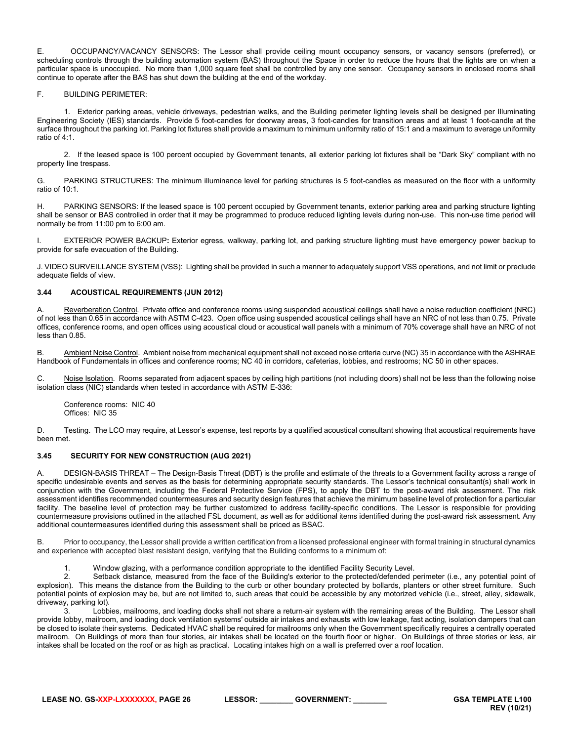E. OCCUPANCY/VACANCY SENSORS: The Lessor shall provide ceiling mount occupancy sensors, or vacancy sensors (preferred), or scheduling controls through the building automation system (BAS) throughout the Space in order to reduce the hours that the lights are on when a particular space is unoccupied. No more than 1,000 square feet shall be controlled by any one sensor. Occupancy sensors in enclosed rooms shall continue to operate after the BAS has shut down the building at the end of the workday.

# F. BUILDING PERIMETER:

1. Exterior parking areas, vehicle driveways, pedestrian walks, and the Building perimeter lighting levels shall be designed per Illuminating Engineering Society (IES) standards. Provide 5 foot-candles for doorway areas, 3 foot-candles for transition areas and at least 1 foot-candle at the surface throughout the parking lot. Parking lot fixtures shall provide a maximum to minimum uniformity ratio of 15:1 and a maximum to average uniformity ratio of 4:1.

2. If the leased space is 100 percent occupied by Government tenants, all exterior parking lot fixtures shall be "Dark Sky" compliant with no property line trespass.

G. PARKING STRUCTURES: The minimum illuminance level for parking structures is 5 foot-candles as measured on the floor with a uniformity ratio of 10:1.

H. PARKING SENSORS: If the leased space is 100 percent occupied by Government tenants, exterior parking area and parking structure lighting shall be sensor or BAS controlled in order that it may be programmed to produce reduced lighting levels during non-use. This non-use time period will normally be from 11:00 pm to 6:00 am.

I. EXTERIOR POWER BACKUP**:** Exterior egress, walkway, parking lot, and parking structure lighting must have emergency power backup to provide for safe evacuation of the Building.

J. VIDEO SURVEILLANCE SYSTEM (VSS): Lighting shall be provided in such a manner to adequately support VSS operations, and not limit or preclude adequate fields of view.

# <span id="page-25-0"></span>**3.44 ACOUSTICAL REQUIREMENTS (JUN 2012)**

A. Reverberation Control. Private office and conference rooms using suspended acoustical ceilings shall have a noise reduction coefficient (NRC) of not less than 0.65 in accordance with ASTM C-423. Open office using suspended acoustical ceilings shall have an NRC of not less than 0.75. Private offices, conference rooms, and open offices using acoustical cloud or acoustical wall panels with a minimum of 70% coverage shall have an NRC of not less than 0.85.

B. Ambient Noise Control. Ambient noise from mechanical equipment shall not exceed noise criteria curve (NC) 35 in accordance with the ASHRAE Handbook of Fundamentals in offices and conference rooms; NC 40 in corridors, cafeterias, lobbies, and restrooms; NC 50 in other spaces.

C. Noise Isolation. Rooms separated from adjacent spaces by ceiling high partitions (not including doors) shall not be less than the following noise isolation class (NIC) standards when tested in accordance with ASTM E-336:

Conference rooms: NIC 40 Offices: NIC 35

D. Testing. The LCO may require, at Lessor's expense, test reports by a qualified acoustical consultant showing that acoustical requirements have been met.

# <span id="page-25-1"></span>**3.45 SECURITY FOR NEW CONSTRUCTION (AUG 2021)**

A. DESIGN-BASIS THREAT – The Design-Basis Threat (DBT) is the profile and estimate of the threats to a Government facility across a range of specific undesirable events and serves as the basis for determining appropriate security standards. The Lessor's technical consultant(s) shall work in conjunction with the Government, including the Federal Protective Service (FPS), to apply the DBT to the post-award risk assessment. The risk assessment identifies recommended countermeasures and security design features that achieve the minimum baseline level of protection for a particular facility. The baseline level of protection may be further customized to address facility-specific conditions. The Lessor is responsible for providing countermeasure provisions outlined in the attached FSL document, as well as for additional items identified during the post-award risk assessment. Any additional countermeasures identified during this assessment shall be priced as BSAC.

B. Prior to occupancy, the Lessor shall provide a written certification from a licensed professional engineer with formal training in structural dynamics and experience with accepted blast resistant design, verifying that the Building conforms to a minimum of:

1. Window glazing, with a performance condition appropriate to the identified Facility Security Level.<br>2. Setback distance, measured from the face of the Building's exterior to the protected/defended r

Setback distance, measured from the face of the Building's exterior to the protected/defended perimeter (i.e., any potential point of explosion). This means the distance from the Building to the curb or other boundary protected by bollards, planters or other street furniture. Such potential points of explosion may be, but are not limited to, such areas that could be accessible by any motorized vehicle (i.e., street, alley, sidewalk, driveway, parking lot).

3. Lobbies, mailrooms, and loading docks shall not share a return-air system with the remaining areas of the Building. The Lessor shall provide lobby, mailroom, and loading dock ventilation systems' outside air intakes and exhausts with low leakage, fast acting, isolation dampers that can be closed to isolate their systems. Dedicated HVAC shall be required for mailrooms only when the Government specifically requires a centrally operated mailroom. On Buildings of more than four stories, air intakes shall be located on the fourth floor or higher. On Buildings of three stories or less, air intakes shall be located on the roof or as high as practical. Locating intakes high on a wall is preferred over a roof location.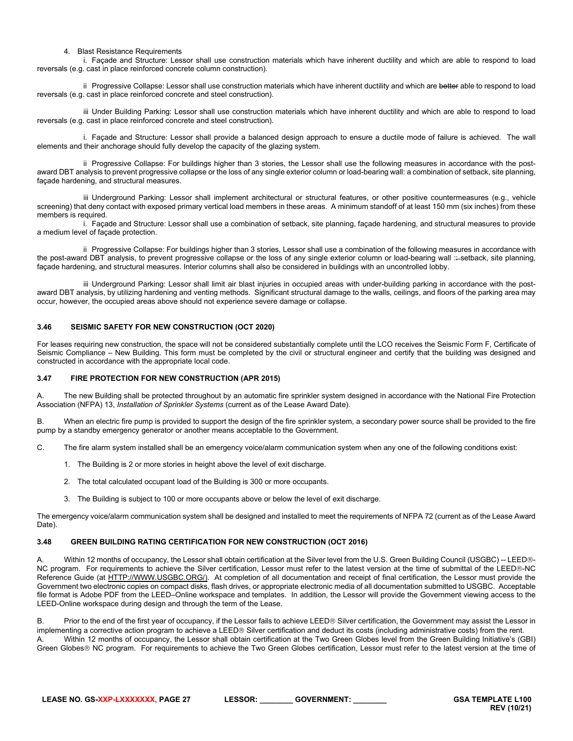# 4. Blast Resistance Requirements

i. Façade and Structure: Lessor shall use construction materials which have inherent ductility and which are able to respond to load reversals (e.g. cast in place reinforced concrete column construction).

ii Progressive Collapse: Lessor shall use construction materials which have inherent ductility and which are better able to respond to load reversals (e.g. cast in place reinforced concrete and steel construction).

iii Under Building Parking: Lessor shall use construction materials which have inherent ductility and which are able to respond to load reversals (e.g. cast in place reinforced concrete and steel construction).

i. Façade and Structure: Lessor shall provide a balanced design approach to ensure a ductile mode of failure is achieved. The wall elements and their anchorage should fully develop the capacity of the glazing system.

ii Progressive Collapse: For buildings higher than 3 stories, the Lessor shall use the following measures in accordance with the postaward DBT analysis to prevent progressive collapse or the loss of any single exterior column or load-bearing wall: a combination of setback, site planning, façade hardening, and structural measures.

iii Underground Parking: Lessor shall implement architectural or structural features, or other positive countermeasures (e.g., vehicle screening) that deny contact with exposed primary vertical load members in these areas. A minimum standoff of at least 150 mm (six inches) from these members is required.

i. Façade and Structure: Lessor shall use a combination of setback, site planning, façade hardening, and structural measures to provide a medium level of façade protection.

ii Progressive Collapse: For buildings higher than 3 stories, Lessor shall use a combination of the following measures in accordance with the post-award DBT analysis, to prevent progressive collapse or the loss of any single exterior column or load-bearing wall :: setback, site planning, façade hardening, and structural measures. Interior columns shall also be considered in buildings with an uncontrolled lobby.

iii Underground Parking: Lessor shall limit air blast injuries in occupied areas with under-building parking in accordance with the postaward DBT analysis, by utilizing hardening and venting methods. Significant structural damage to the walls, ceilings, and floors of the parking area may occur, however, the occupied areas above should not experience severe damage or collapse.

# <span id="page-26-0"></span>**3.46 SEISMIC SAFETY FOR NEW CONSTRUCTION (OCT 2020)**

For leases requiring new construction, the space will not be considered substantially complete until the LCO receives the Seismic Form F, Certificate of Seismic Compliance – New Building. This form must be completed by the civil or structural engineer and certify that the building was designed and constructed in accordance with the appropriate local code.

#### <span id="page-26-1"></span>**3.47 FIRE PROTECTION FOR NEW CONSTRUCTION (APR 2015)**

A. The new Building shall be protected throughout by an automatic fire sprinkler system designed in accordance with the National Fire Protection Association (NFPA) 13, *Installation of Sprinkler Systems* (current as of the Lease Award Date).

B. When an electric fire pump is provided to support the design of the fire sprinkler system, a secondary power source shall be provided to the fire pump by a standby emergency generator or another means acceptable to the Government.

C. The fire alarm system installed shall be an emergency voice/alarm communication system when any one of the following conditions exist:

- 1. The Building is 2 or more stories in height above the level of exit discharge.
- 2. The total calculated occupant load of the Building is 300 or more occupants.
- 3. The Building is subject to 100 or more occupants above or below the level of exit discharge.

The emergency voice/alarm communication system shall be designed and installed to meet the requirements of NFPA 72 (current as of the Lease Award Date).

# <span id="page-26-2"></span>**3.48 GREEN BUILDING RATING CERTIFICATION FOR NEW CONSTRUCTION (OCT 2016)**

Within 12 months of occupancy, the Lessor shall obtain certification at the Silver level from the U.S. Green Building Council (USGBC) -- LEED®-NC program. For requirements to achieve the Silver certification, Lessor must refer to the latest version at the time of submittal of the LEED®-NC Reference Guide (at [HTTP://WWW.USGBC.ORG/\)](http://www.usgbc.org/). At completion of all documentation and receipt of final certification, the Lessor must provide the Government two electronic copies on compact disks, flash drives, or appropriate electronic media of all documentation submitted to USGBC. Acceptable file format is Adobe PDF from the LEED–Online workspace and templates. In addition, the Lessor will provide the Government viewing access to the LEED-Online workspace during design and through the term of the Lease.

B. Prior to the end of the first year of occupancy, if the Lessor fails to achieve LEED® Silver certification, the Government may assist the Lessor in implementing a corrective action program to achieve a LEED® Silver certification and deduct its costs (including administrative costs) from the rent. A. Within 12 months of occupancy, the Lessor shall obtain certification at the Two Green Globes level from the Green Building Initiative's (GBI) Green Globes<sup>®</sup> NC program. For requirements to achieve the Two Green Globes certification, Lessor must refer to the latest version at the time of

**LEASE NO. GS-XXP-LXXXXXXX, PAGE 27 LESSOR: \_\_\_\_\_\_\_\_ GOVERNMENT: \_\_\_\_\_\_\_\_ GSA TEMPLATE L100**

**REV (10/21)**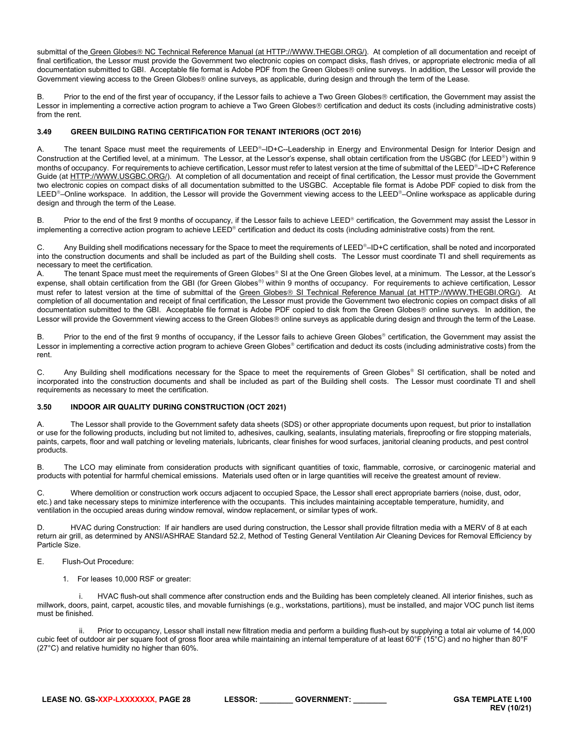submittal of the Green Globes® NC Technical Reference Manual (a[t HTTP://WWW.THEGBI.ORG/\)](http://www.thegbi.org/). At completion of all documentation and receipt of final certification, the Lessor must provide the Government two electronic copies on compact disks, flash drives, or appropriate electronic media of all documentation submitted to GBI. Acceptable file format is Adobe PDF from the Green Globes<sup>®</sup> online surveys. In addition, the Lessor will provide the Government viewing access to the Green Globes<sup>®</sup> online surveys, as applicable, during design and through the term of the Lease.

B. Prior to the end of the first year of occupancy, if the Lessor fails to achieve a Two Green Globes<sup>®</sup> certification, the Government may assist the Lessor in implementing a corrective action program to achieve a Two Green Globes® certification and deduct its costs (including administrative costs) from the rent.

# <span id="page-27-0"></span>**3.49 GREEN BUILDING RATING CERTIFICATION FOR TENANT INTERIORS (OCT 2016)**

A. The tenant Space must meet the requirements of LEED®-ID+C--Leadership in Energy and Environmental Design for Interior Design and Construction at the Certified level, at a minimum. The Lessor, at the Lessor's expense, shall obtain certification from the USGBC (for LEED®) within 9 months of occupancy. For requirements to achieve certification, Lessor must refer to latest version at the time of submittal of the LEED®-ID+C Reference Guide (at [HTTP://WWW.USGBC.ORG/\)](http://www.usgbc.org/). At completion of all documentation and receipt of final certification, the Lessor must provide the Government two electronic copies on compact disks of all documentation submitted to the USGBC. Acceptable file format is Adobe PDF copied to disk from the LEED<sup>®</sup>-Online workspace. In addition, the Lessor will provide the Government viewing access to the LEED®-Online workspace as applicable during design and through the term of the Lease.

B. Prior to the end of the first 9 months of occupancy, if the Lessor fails to achieve LEED<sup>®</sup> certification, the Government may assist the Lessor in implementing a corrective action program to achieve LEED<sup>®</sup> certification and deduct its costs (including administrative costs) from the rent.

C. Any Building shell modifications necessary for the Space to meet the requirements of LEED®–ID+C certification, shall be noted and incorporated into the construction documents and shall be included as part of the Building shell costs. The Lessor must coordinate TI and shell requirements as necessary to meet the certification.

A. The tenant Space must meet the requirements of Green Globes® SI at the One Green Globes level, at a minimum. The Lessor, at the Lessor's expense, shall obtain certification from the GBI (for Green Globes®) within 9 months of occupancy. For requirements to achieve certification, Lessor must refer to latest version at the time of submittal of the Green Globes® SI Technical Reference Manual (at [HTTP://WWW.THEGBI.ORG/\)](http://www.thegbi.org/). At completion of all documentation and receipt of final certification, the Lessor must provide the Government two electronic copies on compact disks of all documentation submitted to the GBI. Acceptable file format is Adobe PDF copied to disk from the Green Globes<sup>®</sup> online surveys. In addition, the Lessor will provide the Government viewing access to the Green Globes® online surveys as applicable during design and through the term of the Lease.

B. Prior to the end of the first 9 months of occupancy, if the Lessor fails to achieve Green Globes<sup>®</sup> certification, the Government may assist the Lessor in implementing a corrective action program to achieve Green Globes® certification and deduct its costs (including administrative costs) from the rent.

C. Any Building shell modifications necessary for the Space to meet the requirements of Green Globes<sup>®</sup> SI certification, shall be noted and incorporated into the construction documents and shall be included as part of the Building shell costs. The Lessor must coordinate TI and shell requirements as necessary to meet the certification.

# <span id="page-27-1"></span>**3.50 INDOOR AIR QUALITY DURING CONSTRUCTION (OCT 2021)**

A. The Lessor shall provide to the Government safety data sheets (SDS) or other appropriate documents upon request, but prior to installation or use for the following products, including but not limited to, adhesives, caulking, sealants, insulating materials, fireproofing or fire stopping materials, paints, carpets, floor and wall patching or leveling materials, lubricants, clear finishes for wood surfaces, janitorial cleaning products, and pest control products.

B. The LCO may eliminate from consideration products with significant quantities of toxic, flammable, corrosive, or carcinogenic material and products with potential for harmful chemical emissions. Materials used often or in large quantities will receive the greatest amount of review.

Where demolition or construction work occurs adjacent to occupied Space, the Lessor shall erect appropriate barriers (noise, dust, odor, etc.) and take necessary steps to minimize interference with the occupants. This includes maintaining acceptable temperature, humidity, and ventilation in the occupied areas during window removal, window replacement, or similar types of work.

HVAC during Construction: If air handlers are used during construction, the Lessor shall provide filtration media with a MERV of 8 at each return air grill, as determined by ANSI/ASHRAE Standard 52.2, Method of Testing General Ventilation Air Cleaning Devices for Removal Efficiency by Particle Size.

E. Flush-Out Procedure:

1. For leases 10,000 RSF or greater:

HVAC flush-out shall commence after construction ends and the Building has been completely cleaned. All interior finishes, such as millwork, doors, paint, carpet, acoustic tiles, and movable furnishings (e.g., workstations, partitions), must be installed, and major VOC punch list items must be finished.

Prior to occupancy, Lessor shall install new filtration media and perform a building flush-out by supplying a total air volume of 14,000 cubic feet of outdoor air per square foot of gross floor area while maintaining an internal temperature of at least 60°F (15°C) and no higher than 80°F (27°C) and relative humidity no higher than 60%.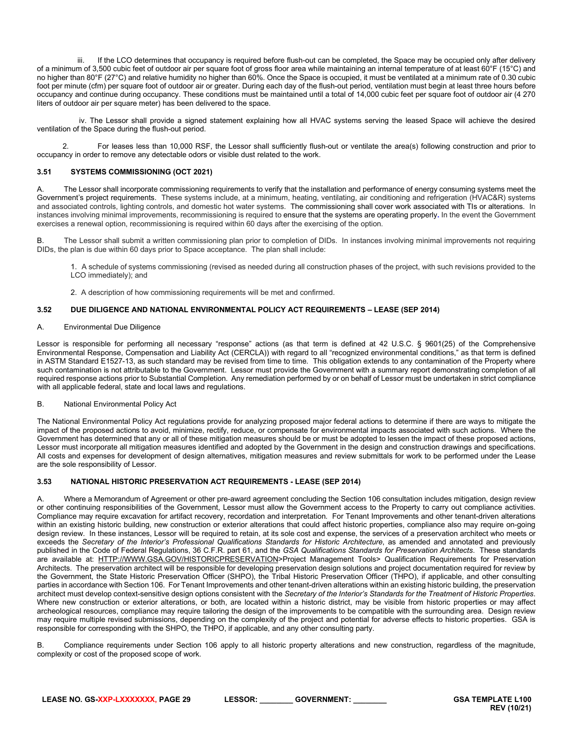If the LCO determines that occupancy is required before flush-out can be completed, the Space may be occupied only after delivery of a minimum of 3,500 cubic feet of outdoor air per square foot of gross floor area while maintaining an internal temperature of at least 60°F (15°C) and no higher than 80°F (27°C) and relative humidity no higher than 60%. Once the Space is occupied, it must be ventilated at a minimum rate of 0.30 cubic foot per minute (cfm) per square foot of outdoor air or greater. During each day of the flush-out period, ventilation must begin at least three hours before occupancy and continue during occupancy. These conditions must be maintained until a total of 14,000 cubic feet per square foot of outdoor air (4 270 liters of outdoor air per square meter) has been delivered to the space.

iv. The Lessor shall provide a signed statement explaining how all HVAC systems serving the leased Space will achieve the desired ventilation of the Space during the flush-out period.

2. For leases less than 10,000 RSF, the Lessor shall sufficiently flush-out or ventilate the area(s) following construction and prior to occupancy in order to remove any detectable odors or visible dust related to the work.

# <span id="page-28-0"></span>**3.51 SYSTEMS COMMISSIONING (OCT 2021)**

A. The Lessor shall incorporate commissioning requirements to verify that the installation and performance of energy consuming systems meet the Government's project requirements. These systems include, at a minimum, heating, ventilating, air conditioning and refrigeration (HVAC&R) systems and associated controls, lighting controls, and domestic hot water systems. The commissioning shall cover work associated with TIs or alterations. In instances involving minimal improvements, recommissioning is required to ensure that the systems are operating properly**.** In the event the Government exercises a renewal option, recommissioning is required within 60 days after the exercising of the option.

B. The Lessor shall submit a written commissioning plan prior to completion of DIDs. In instances involving minimal improvements not requiring DIDs, the plan is due within 60 days prior to Space acceptance. The plan shall include:

1. A schedule of systems commissioning (revised as needed during all construction phases of the project, with such revisions provided to the LCO immediately); and

<span id="page-28-1"></span>2. A description of how commissioning requirements will be met and confirmed.

# **3.52 DUE DILIGENCE AND NATIONAL ENVIRONMENTAL POLICY ACT REQUIREMENTS – LEASE (SEP 2014)**

# A. Environmental Due Diligence

Lessor is responsible for performing all necessary "response" actions (as that term is defined at 42 U.S.C. § 9601(25) of the Comprehensive Environmental Response, Compensation and Liability Act (CERCLA)) with regard to all "recognized environmental conditions," as that term is defined in ASTM Standard E1527-13, as such standard may be revised from time to time. This obligation extends to any contamination of the Property where such contamination is not attributable to the Government. Lessor must provide the Government with a summary report demonstrating completion of all required response actions prior to Substantial Completion. Any remediation performed by or on behalf of Lessor must be undertaken in strict compliance with all applicable federal, state and local laws and regulations.

# B. National Environmental Policy Act

The National Environmental Policy Act regulations provide for analyzing proposed major federal actions to determine if there are ways to mitigate the impact of the proposed actions to avoid, minimize, rectify, reduce, or compensate for environmental impacts associated with such actions. Where the Government has determined that any or all of these mitigation measures should be or must be adopted to lessen the impact of these proposed actions, Lessor must incorporate all mitigation measures identified and adopted by the Government in the design and construction drawings and specifications. All costs and expenses for development of design alternatives, mitigation measures and review submittals for work to be performed under the Lease are the sole responsibility of Lessor.

# <span id="page-28-2"></span>**3.53 NATIONAL HISTORIC PRESERVATION ACT REQUIREMENTS - LEASE (SEP 2014)**

A. Where a Memorandum of Agreement or other pre-award agreement concluding the Section 106 consultation includes mitigation, design review or other continuing responsibilities of the Government, Lessor must allow the Government access to the Property to carry out compliance activities. Compliance may require excavation for artifact recovery, recordation and interpretation. For Tenant Improvements and other tenant-driven alterations within an existing historic building, new construction or exterior alterations that could affect historic properties, compliance also may require on-going design review. In these instances, Lessor will be required to retain, at its sole cost and expense, the services of a preservation architect who meets or exceeds the *Secretary of the Interior's Professional Qualifications Standards for Historic Architecture*, as amended and annotated and previously published in the Code of Federal Regulations, 36 C.F.R. part 61, and the *GSA Qualifications Standards for Preservation Architects*. These standards are available at: [HTTP://WWW.GSA.GOV/HISTORICPRESERVATION>](http://www.gsa.gov/historicpreservation)Project Management Tools> Qualification Requirements for Preservation Architects. The preservation architect will be responsible for developing preservation design solutions and project documentation required for review by the Government, the State Historic Preservation Officer (SHPO), the Tribal Historic Preservation Officer (THPO), if applicable, and other consulting parties in accordance with Section 106. For Tenant Improvements and other tenant-driven alterations within an existing historic building, the preservation architect must develop context-sensitive design options consistent with the *Secretary of the Interior's Standards for the Treatment of Historic Properties*. Where new construction or exterior alterations, or both, are located within a historic district, may be visible from historic properties or may affect archeological resources, compliance may require tailoring the design of the improvements to be compatible with the surrounding area. Design review may require multiple revised submissions, depending on the complexity of the project and potential for adverse effects to historic properties. GSA is responsible for corresponding with the SHPO, the THPO, if applicable, and any other consulting party.

B. Compliance requirements under Section 106 apply to all historic property alterations and new construction, regardless of the magnitude, complexity or cost of the proposed scope of work.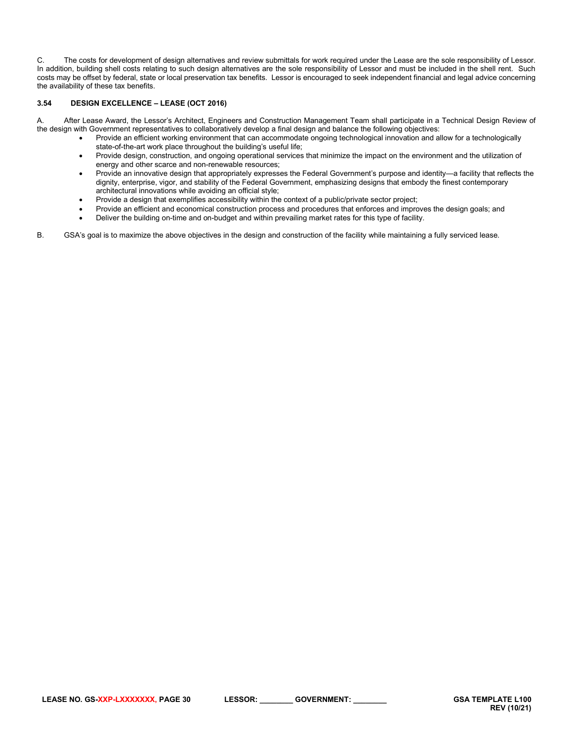C. The costs for development of design alternatives and review submittals for work required under the Lease are the sole responsibility of Lessor. In addition, building shell costs relating to such design alternatives are the sole responsibility of Lessor and must be included in the shell rent. Such costs may be offset by federal, state or local preservation tax benefits. Lessor is encouraged to seek independent financial and legal advice concerning the availability of these tax benefits.

# <span id="page-29-0"></span>**3.54 DESIGN EXCELLENCE – LEASE (OCT 2016)**

A. After Lease Award, the Lessor's Architect, Engineers and Construction Management Team shall participate in a Technical Design Review of the design with Government representatives to collaboratively develop a final design and balance the following objectives:

- Provide an efficient working environment that can accommodate ongoing technological innovation and allow for a technologically state-of-the-art work place throughout the building's useful life;
- Provide design, construction, and ongoing operational services that minimize the impact on the environment and the utilization of energy and other scarce and non-renewable resources;
- Provide an innovative design that appropriately expresses the Federal Government's purpose and identity—a facility that reflects the dignity, enterprise, vigor, and stability of the Federal Government, emphasizing designs that embody the finest contemporary architectural innovations while avoiding an official style;
- Provide a design that exemplifies accessibility within the context of a public/private sector project;
- Provide an efficient and economical construction process and procedures that enforces and improves the design goals; and
- Deliver the building on-time and on-budget and within prevailing market rates for this type of facility.

B. GSA's goal is to maximize the above objectives in the design and construction of the facility while maintaining a fully serviced lease.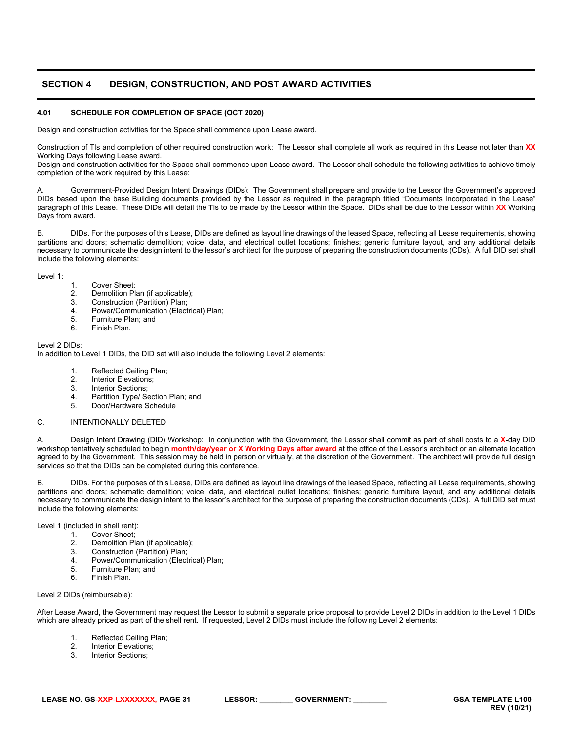# <span id="page-30-0"></span>**SECTION 4 DESIGN, CONSTRUCTION, AND POST AWARD ACTIVITIES**

# <span id="page-30-1"></span>**4.01 SCHEDULE FOR COMPLETION OF SPACE (OCT 2020)**

Design and construction activities for the Space shall commence upon Lease award.

Construction of TIs and completion of other required construction work: The Lessor shall complete all work as required in this Lease not later than **XX**  Working Days following Lease award.

Design and construction activities for the Space shall commence upon Lease award. The Lessor shall schedule the following activities to achieve timely completion of the work required by this Lease:

Government-Provided Design Intent Drawings (DIDs): The Government shall prepare and provide to the Lessor the Government's approved DIDs based upon the base Building documents provided by the Lessor as required in the paragraph titled "Documents Incorporated in the Lease" paragraph of this Lease. These DIDs will detail the TIs to be made by the Lessor within the Space. DIDs shall be due to the Lessor within **XX** Working Days from award.

B. DIDs. For the purposes of this Lease, DIDs are defined as layout line drawings of the leased Space, reflecting all Lease requirements, showing partitions and doors; schematic demolition; voice, data, and electrical outlet locations; finishes; generic furniture layout, and any additional details necessary to communicate the design intent to the lessor's architect for the purpose of preparing the construction documents (CDs). A full DID set shall include the following elements:

Level 1:

- 1. Cover Sheet;<br>2. Demolition Pla 2. Demolition Plan (if applicable);<br>3. Construction (Partition) Plan:
- 3. Construction (Partition) Plan;
- 4. Power/Communication (Electrical) Plan;<br>5. Furniture Plan: and
- 5. Furniture Plan; and<br>6. Finish Plan
- Finish Plan.

# Level 2 DIDs:

In addition to Level 1 DIDs, the DID set will also include the following Level 2 elements:

- 1. Reflected Ceiling Plan;
- 
- 2. Interior Elevations;<br>3. Interior Sections: Interior Sections:
- 4. Partition Type/ Section Plan; and<br>5. Door/Hardware Schedule
- 5. Door/Hardware Schedule

# C. INTENTIONALLY DELETED

A. Design Intent Drawing (DID) Workshop: In conjunction with the Government, the Lessor shall commit as part of shell costs to a **X-**day DID workshop tentatively scheduled to begin **month/day/year or X Working Days after award** at the office of the Lessor's architect or an alternate location agreed to by the Government. This session may be held in person or virtually, at the discretion of the Government. The architect will provide full design services so that the DIDs can be completed during this conference.

B. DIDs. For the purposes of this Lease, DIDs are defined as layout line drawings of the leased Space, reflecting all Lease requirements, showing partitions and doors; schematic demolition; voice, data, and electrical outlet locations; finishes; generic furniture layout, and any additional details necessary to communicate the design intent to the lessor's architect for the purpose of preparing the construction documents (CDs). A full DID set must include the following elements:

Level 1 (included in shell rent):

- 1. Cover Sheet;<br>2. Demolition Pla
- 2. Demolition Plan (if applicable);<br>3. Construction (Partition) Plan:
- 3. Construction (Partition) Plan;<br>4 Power/Communication (Flect
- Power/Communication (Electrical) Plan;
- 5. Furniture Plan; and<br>6. Finish Plan
- Finish Plan.

Level 2 DIDs (reimbursable):

After Lease Award, the Government may request the Lessor to submit a separate price proposal to provide Level 2 DIDs in addition to the Level 1 DIDs which are already priced as part of the shell rent. If requested, Level 2 DIDs must include the following Level 2 elements:

- 1. Reflected Ceiling Plan;<br>2. Interior Elevations:
- 2. Interior Elevations;<br>3. Interior Sections
- Interior Sections;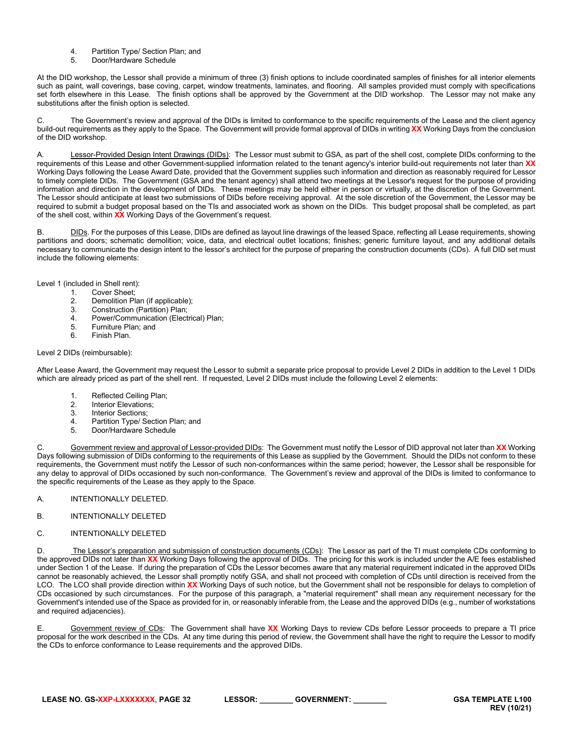- 4. Partition Type/ Section Plan; and<br>5. Door/Hardware Schedule
- 5. Door/Hardware Schedule

At the DID workshop, the Lessor shall provide a minimum of three (3) finish options to include coordinated samples of finishes for all interior elements such as paint, wall coverings, base coving, carpet, window treatments, laminates, and flooring. All samples provided must comply with specifications set forth elsewhere in this Lease. The finish options shall be approved by the Government at the DID workshop. The Lessor may not make any substitutions after the finish option is selected.

C. The Government's review and approval of the DIDs is limited to conformance to the specific requirements of the Lease and the client agency build-out requirements as they apply to the Space. The Government will provide formal approval of DIDs in writing **XX** Working Days from the conclusion of the DID workshop.

A. Lessor-Provided Design Intent Drawings (DIDs): The Lessor must submit to GSA, as part of the shell cost, complete DIDs conforming to the requirements of this Lease and other Government-supplied information related to the tenant agency's interior build-out requirements not later than **XX** Working Days following the Lease Award Date, provided that the Government supplies such information and direction as reasonably required for Lessor to timely complete DIDs. The Government (GSA and the tenant agency) shall attend two meetings at the Lessor's request for the purpose of providing information and direction in the development of DIDs. These meetings may be held either in person or virtually, at the discretion of the Government. The Lessor should anticipate at least two submissions of DIDs before receiving approval. At the sole discretion of the Government, the Lessor may be required to submit a budget proposal based on the TIs and associated work as shown on the DIDs. This budget proposal shall be completed, as part of the shell cost, within **XX** Working Days of the Government's request.

B. DIDs. For the purposes of this Lease, DIDs are defined as layout line drawings of the leased Space, reflecting all Lease requirements, showing partitions and doors; schematic demolition; voice, data, and electrical outlet locations; finishes; generic furniture layout, and any additional details necessary to communicate the design intent to the lessor's architect for the purpose of preparing the construction documents (CDs). A full DID set must include the following elements:

Level 1 (included in Shell rent):

- 1. Cover Sheet;<br>2. Demolition Pla
- 2. Demolition Plan (if applicable);<br>3. Construction (Partition) Plan:
- 3. Construction (Partition) Plan;<br>4. Power/Communication (Elect
- Power/Communication (Electrical) Plan;
- 5. Furniture Plan; and<br>6. Finish Plan
- Finish Plan.

Level 2 DIDs (reimbursable):

After Lease Award, the Government may request the Lessor to submit a separate price proposal to provide Level 2 DIDs in addition to the Level 1 DIDs which are already priced as part of the shell rent. If requested, Level 2 DIDs must include the following Level 2 elements:

- 1. Reflected Ceiling Plan;<br>2. Interior Elevations;
- 2. Interior Elevations;<br>3. Interior Sections;
- Interior Sections;
- 4. Partition Type/ Section Plan; and<br>5. Door/Hardware Schedule
- 5. Door/Hardware Schedule

C. Government review and approval of Lessor-provided DIDs: The Government must notify the Lessor of DID approval not later than **XX** Working Days following submission of DIDs conforming to the requirements of this Lease as supplied by the Government. Should the DIDs not conform to these requirements, the Government must notify the Lessor of such non-conformances within the same period; however, the Lessor shall be responsible for any delay to approval of DIDs occasioned by such non-conformance. The Government's review and approval of the DIDs is limited to conformance to the specific requirements of the Lease as they apply to the Space.

- A. INTENTIONALLY DELETED.
- B. INTENTIONALLY DELETED
- C. INTENTIONALLY DELETED

The Lessor's preparation and submission of construction documents (CDs): The Lessor as part of the TI must complete CDs conforming to the approved DIDs not later than **XX** Working Days following the approval of DIDs. The pricing for this work is included under the A/E fees established under Section 1 of the Lease. If during the preparation of CDs the Lessor becomes aware that any material requirement indicated in the approved DIDs cannot be reasonably achieved, the Lessor shall promptly notify GSA, and shall not proceed with completion of CDs until direction is received from the LCO. The LCO shall provide direction within **XX** Working Days of such notice, but the Government shall not be responsible for delays to completion of CDs occasioned by such circumstances. For the purpose of this paragraph, a "material requirement" shall mean any requirement necessary for the Government's intended use of the Space as provided for in, or reasonably inferable from, the Lease and the approved DIDs (e.g., number of workstations and required adjacencies).

E. Government review of CDs: The Government shall have **XX** Working Days to review CDs before Lessor proceeds to prepare a TI price proposal for the work described in the CDs. At any time during this period of review, the Government shall have the right to require the Lessor to modify the CDs to enforce conformance to Lease requirements and the approved DIDs.

**LEASE NO. GS-XXP-LXXXXXXX, PAGE 32 LESSOR: \_\_\_\_\_\_\_\_ GOVERNMENT: \_\_\_\_\_\_\_\_ GSA TEMPLATE L100**

**REV (10/21)**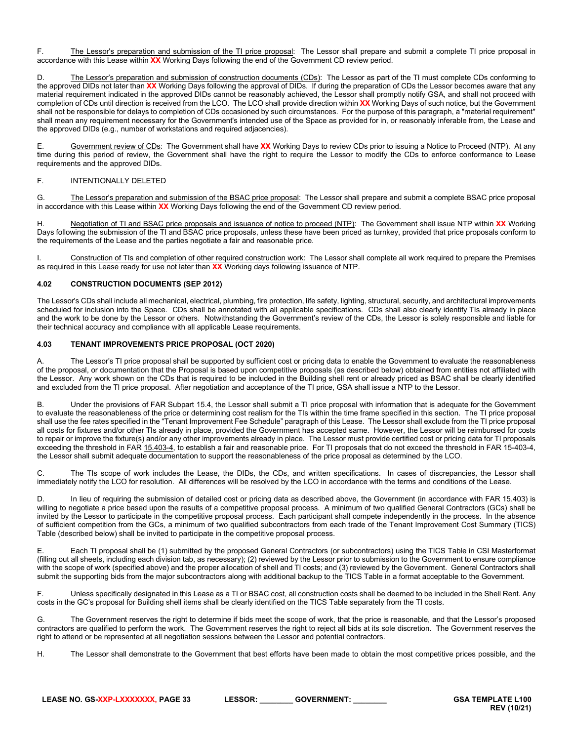F. The Lessor's preparation and submission of the TI price proposal: The Lessor shall prepare and submit a complete TI price proposal in accordance with this Lease within **XX** Working Days following the end of the Government CD review period.

D. The Lessor's preparation and submission of construction documents (CDs): The Lessor as part of the TI must complete CDs conforming to the approved DIDs not later than **XX** Working Days following the approval of DIDs. If during the preparation of CDs the Lessor becomes aware that any material requirement indicated in the approved DIDs cannot be reasonably achieved, the Lessor shall promptly notify GSA, and shall not proceed with completion of CDs until direction is received from the LCO. The LCO shall provide direction within **XX** Working Days of such notice, but the Government shall not be responsible for delays to completion of CDs occasioned by such circumstances. For the purpose of this paragraph, a "material requirement" shall mean any requirement necessary for the Government's intended use of the Space as provided for in, or reasonably inferable from, the Lease and the approved DIDs (e.g., number of workstations and required adjacencies).

E. Government review of CDs: The Government shall have **XX** Working Days to review CDs prior to issuing a Notice to Proceed (NTP). At any time during this period of review, the Government shall have the right to require the Lessor to modify the CDs to enforce conformance to Lease requirements and the approved DIDs.

# F. INTENTIONALLY DELETED

G. The Lessor's preparation and submission of the BSAC price proposal: The Lessor shall prepare and submit a complete BSAC price proposal in accordance with this Lease within **XX** Working Days following the end of the Government CD review period.

H. Negotiation of TI and BSAC price proposals and issuance of notice to proceed (NTP): The Government shall issue NTP within XX Working Days following the submission of the TI and BSAC price proposals, unless these have been priced as turnkey, provided that price proposals conform to the requirements of the Lease and the parties negotiate a fair and reasonable price.

I. Construction of TIs and completion of other required construction work: The Lessor shall complete all work required to prepare the Premises as required in this Lease ready for use not later than **XX** Working days following issuance of NTP.

# <span id="page-32-0"></span>**4.02 CONSTRUCTION DOCUMENTS (SEP 2012)**

The Lessor's CDs shall include all mechanical, electrical, plumbing, fire protection, life safety, lighting, structural, security, and architectural improvements scheduled for inclusion into the Space. CDs shall be annotated with all applicable specifications. CDs shall also clearly identify TIs already in place and the work to be done by the Lessor or others. Notwithstanding the Government's review of the CDs, the Lessor is solely responsible and liable for their technical accuracy and compliance with all applicable Lease requirements.

# <span id="page-32-1"></span>**4.03 TENANT IMPROVEMENTS PRICE PROPOSAL (OCT 2020)**

A. The Lessor's TI price proposal shall be supported by sufficient cost or pricing data to enable the Government to evaluate the reasonableness of the proposal, or documentation that the Proposal is based upon competitive proposals (as described below) obtained from entities not affiliated with the Lessor. Any work shown on the CDs that is required to be included in the Building shell rent or already priced as BSAC shall be clearly identified and excluded from the TI price proposal. After negotiation and acceptance of the TI price, GSA shall issue a NTP to the Lessor.

B. Under the provisions of FAR Subpart 15.4, the Lessor shall submit a TI price proposal with information that is adequate for the Government to evaluate the reasonableness of the price or determining cost realism for the TIs within the time frame specified in this section. The TI price proposal shall use the fee rates specified in the "Tenant Improvement Fee Schedule" paragraph of this Lease. The Lessor shall exclude from the TI price proposal all costs for fixtures and/or other TIs already in place, provided the Government has accepted same. However, the Lessor will be reimbursed for costs to repair or improve the fixture(s) and/or any other improvements already in place. The Lessor must provide certified cost or pricing data for TI proposals exceeding the threshold in FA[R 15.403-4,](https://www.acquisition.gov/far/current/html/Subpart%2015_4.html#wp1208430) to establish a fair and reasonable price. For TI proposals that do not exceed the threshold in FAR 15-403-4, the Lessor shall submit adequate documentation to support the reasonableness of the price proposal as determined by the LCO.

C. The TIs scope of work includes the Lease, the DIDs, the CDs, and written specifications. In cases of discrepancies, the Lessor shall immediately notify the LCO for resolution. All differences will be resolved by the LCO in accordance with the terms and conditions of the Lease.

D. In lieu of requiring the submission of detailed cost or pricing data as described above, the Government (in accordance with FAR 15.403) is willing to negotiate a price based upon the results of a competitive proposal process. A minimum of two qualified General Contractors (GCs) shall be invited by the Lessor to participate in the competitive proposal process. Each participant shall compete independently in the process. In the absence of sufficient competition from the GCs, a minimum of two qualified subcontractors from each trade of the Tenant Improvement Cost Summary (TICS) Table (described below) shall be invited to participate in the competitive proposal process.

E. Each TI proposal shall be (1) submitted by the proposed General Contractors (or subcontractors) using the TICS Table in CSI Masterformat (filling out all sheets, including each division tab, as necessary); (2) reviewed by the Lessor prior to submission to the Government to ensure compliance with the scope of work (specified above) and the proper allocation of shell and TI costs; and (3) reviewed by the Government. General Contractors shall submit the supporting bids from the major subcontractors along with additional backup to the TICS Table in a format acceptable to the Government.

F. Unless specifically designated in this Lease as a TI or BSAC cost, all construction costs shall be deemed to be included in the Shell Rent. Any costs in the GC's proposal for Building shell items shall be clearly identified on the TICS Table separately from the TI costs.

G. The Government reserves the right to determine if bids meet the scope of work, that the price is reasonable, and that the Lessor's proposed contractors are qualified to perform the work. The Government reserves the right to reject all bids at its sole discretion. The Government reserves the right to attend or be represented at all negotiation sessions between the Lessor and potential contractors.

H. The Lessor shall demonstrate to the Government that best efforts have been made to obtain the most competitive prices possible, and the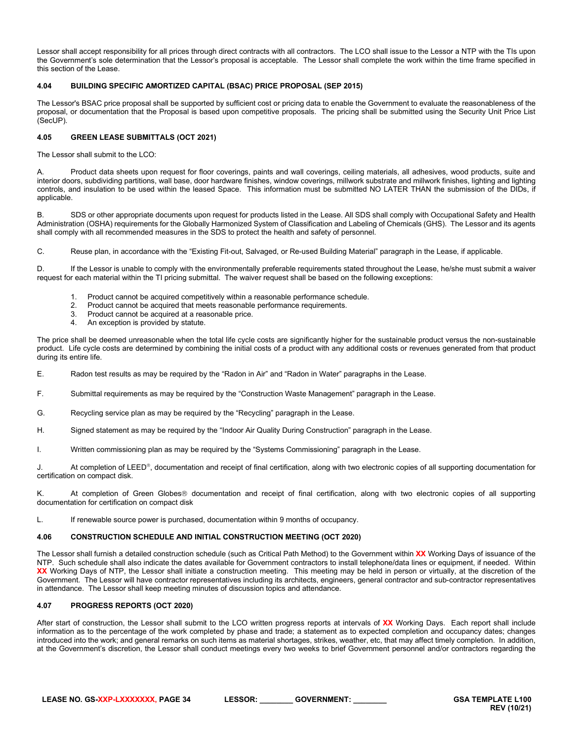Lessor shall accept responsibility for all prices through direct contracts with all contractors. The LCO shall issue to the Lessor a NTP with the TIs upon the Government's sole determination that the Lessor's proposal is acceptable. The Lessor shall complete the work within the time frame specified in this section of the Lease.

# <span id="page-33-0"></span>**4.04 BUILDING SPECIFIC AMORTIZED CAPITAL (BSAC) PRICE PROPOSAL (SEP 2015)**

The Lessor's BSAC price proposal shall be supported by sufficient cost or pricing data to enable the Government to evaluate the reasonableness of the proposal, or documentation that the Proposal is based upon competitive proposals. The pricing shall be submitted using the Security Unit Price List (SecUP).

# <span id="page-33-1"></span>**4.05 GREEN LEASE SUBMITTALS (OCT 2021)**

The Lessor shall submit to the LCO:

Product data sheets upon request for floor coverings, paints and wall coverings, ceiling materials, all adhesives, wood products, suite and interior doors, subdividing partitions, wall base, door hardware finishes, window coverings, millwork substrate and millwork finishes, lighting and lighting controls, and insulation to be used within the leased Space. This information must be submitted NO LATER THAN the submission of the DIDs, if applicable.

B. SDS or other appropriate documents upon request for products listed in the Lease. All SDS shall comply with Occupational Safety and Health Administration (OSHA) requirements for the Globally Harmonized System of Classification and Labeling of Chemicals (GHS). The Lessor and its agents shall comply with all recommended measures in the SDS to protect the health and safety of personnel.

C. Reuse plan, in accordance with the "Existing Fit-out, Salvaged, or Re-used Building Material" paragraph in the Lease, if applicable.

D. If the Lessor is unable to comply with the environmentally preferable requirements stated throughout the Lease, he/she must submit a waiver request for each material within the TI pricing submittal. The waiver request shall be based on the following exceptions:

- 1. Product cannot be acquired competitively within a reasonable performance schedule.
- 2. Product cannot be acquired that meets reasonable performance requirements.
- 3. Product cannot be acquired at a reasonable price.
- 4. An exception is provided by statute.

The price shall be deemed unreasonable when the total life cycle costs are significantly higher for the sustainable product versus the non-sustainable product. Life cycle costs are determined by combining the initial costs of a product with any additional costs or revenues generated from that product during its entire life.

E. Radon test results as may be required by the "Radon in Air" and "Radon in Water" paragraphs in the Lease.

- F. Submittal requirements as may be required by the "Construction Waste Management" paragraph in the Lease.
- G. Recycling service plan as may be required by the "Recycling" paragraph in the Lease.
- H. Signed statement as may be required by the "Indoor Air Quality During Construction" paragraph in the Lease.
- I. Written commissioning plan as may be required by the "Systems Commissioning" paragraph in the Lease.

J. At completion of LEED®, documentation and receipt of final certification, along with two electronic copies of all supporting documentation for certification on compact disk.

K. At completion of Green Globes<sup>®</sup> documentation and receipt of final certification, along with two electronic copies of all supporting documentation for certification on compact disk

L. If renewable source power is purchased, documentation within 9 months of occupancy.

# <span id="page-33-2"></span>**4.06 CONSTRUCTION SCHEDULE AND INITIAL CONSTRUCTION MEETING (OCT 2020)**

The Lessor shall furnish a detailed construction schedule (such as Critical Path Method) to the Government within **XX** Working Days of issuance of the NTP. Such schedule shall also indicate the dates available for Government contractors to install telephone/data lines or equipment, if needed. Within **XX** Working Days of NTP, the Lessor shall initiate a construction meeting. This meeting may be held in person or virtually, at the discretion of the Government. The Lessor will have contractor representatives including its architects, engineers, general contractor and sub-contractor representatives in attendance. The Lessor shall keep meeting minutes of discussion topics and attendance.

# <span id="page-33-3"></span>**4.07 PROGRESS REPORTS (OCT 2020)**

After start of construction, the Lessor shall submit to the LCO written progress reports at intervals of **XX** Working Days. Each report shall include information as to the percentage of the work completed by phase and trade; a statement as to expected completion and occupancy dates; changes introduced into the work; and general remarks on such items as material shortages, strikes, weather, etc, that may affect timely completion. In addition, at the Government's discretion, the Lessor shall conduct meetings every two weeks to brief Government personnel and/or contractors regarding the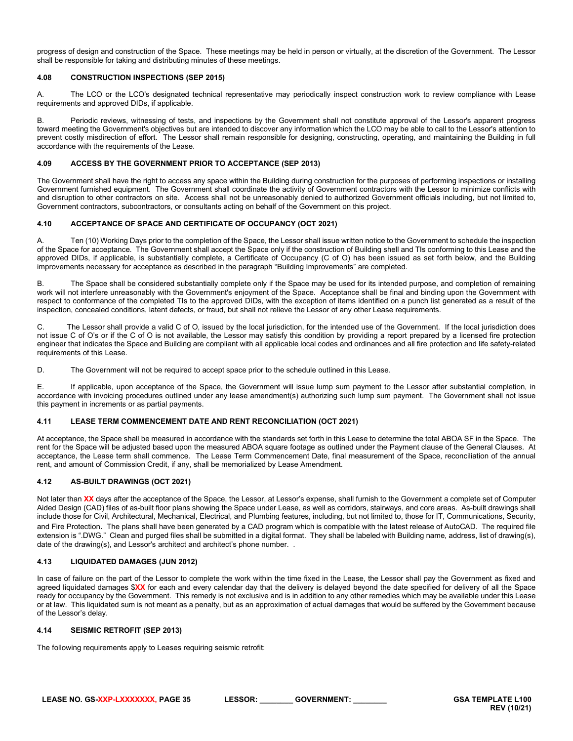progress of design and construction of the Space. These meetings may be held in person or virtually, at the discretion of the Government. The Lessor shall be responsible for taking and distributing minutes of these meetings.

# <span id="page-34-0"></span>**4.08 CONSTRUCTION INSPECTIONS (SEP 2015)**

A. The LCO or the LCO's designated technical representative may periodically inspect construction work to review compliance with Lease requirements and approved DIDs, if applicable.

B. Periodic reviews, witnessing of tests, and inspections by the Government shall not constitute approval of the Lessor's apparent progress toward meeting the Government's objectives but are intended to discover any information which the LCO may be able to call to the Lessor's attention to prevent costly misdirection of effort. The Lessor shall remain responsible for designing, constructing, operating, and maintaining the Building in full accordance with the requirements of the Lease.

# <span id="page-34-1"></span>**4.09 ACCESS BY THE GOVERNMENT PRIOR TO ACCEPTANCE (SEP 2013)**

The Government shall have the right to access any space within the Building during construction for the purposes of performing inspections or installing Government furnished equipment. The Government shall coordinate the activity of Government contractors with the Lessor to minimize conflicts with and disruption to other contractors on site. Access shall not be unreasonably denied to authorized Government officials including, but not limited to, Government contractors, subcontractors, or consultants acting on behalf of the Government on this project.

# <span id="page-34-2"></span>**4.10 ACCEPTANCE OF SPACE AND CERTIFICATE OF OCCUPANCY (OCT 2021)**

Ten (10) Working Days prior to the completion of the Space, the Lessor shall issue written notice to the Government to schedule the inspection of the Space for acceptance. The Government shall accept the Space only if the construction of Building shell and TIs conforming to this Lease and the approved DIDs, if applicable, is substantially complete, a Certificate of Occupancy (C of O) has been issued as set forth below, and the Building improvements necessary for acceptance as described in the paragraph "Building Improvements" are completed.

B. The Space shall be considered substantially complete only if the Space may be used for its intended purpose, and completion of remaining work will not interfere unreasonably with the Government's enjoyment of the Space. Acceptance shall be final and binding upon the Government with respect to conformance of the completed TIs to the approved DIDs, with the exception of items identified on a punch list generated as a result of the inspection, concealed conditions, latent defects, or fraud, but shall not relieve the Lessor of any other Lease requirements.

C. The Lessor shall provide a valid C of O, issued by the local jurisdiction, for the intended use of the Government. If the local jurisdiction does not issue C of O's or if the C of O is not available, the Lessor may satisfy this condition by providing a report prepared by a licensed fire protection engineer that indicates the Space and Building are compliant with all applicable local codes and ordinances and all fire protection and life safety-related requirements of this Lease.

D. The Government will not be required to accept space prior to the schedule outlined in this Lease.

E. If applicable, upon acceptance of the Space, the Government will issue lump sum payment to the Lessor after substantial completion, in accordance with invoicing procedures outlined under any lease amendment(s) authorizing such lump sum payment. The Government shall not issue this payment in increments or as partial payments.

# <span id="page-34-3"></span>**4.11 LEASE TERM COMMENCEMENT DATE AND RENT RECONCILIATION (OCT 2021)**

At acceptance, the Space shall be measured in accordance with the standards set forth in this Lease to determine the total ABOA SF in the Space. The rent for the Space will be adjusted based upon the measured ABOA square footage as outlined under the Payment clause of the General Clauses. At acceptance, the Lease term shall commence. The Lease Term Commencement Date, final measurement of the Space, reconciliation of the annual rent, and amount of Commission Credit, if any, shall be memorialized by Lease Amendment.

# <span id="page-34-4"></span>**4.12 AS-BUILT DRAWINGS (OCT 2021)**

Not later than **XX** days after the acceptance of the Space, the Lessor, at Lessor's expense, shall furnish to the Government a complete set of Computer Aided Design (CAD) files of as-built floor plans showing the Space under Lease, as well as corridors, stairways, and core areas. As-built drawings shall include those for Civil, Architectural, Mechanical, Electrical, and Plumbing features, including, but not limited to, those for IT, Communications, Security, and Fire Protection. The plans shall have been generated by a CAD program which is compatible with the latest release of AutoCAD. The required file extension is ".DWG." Clean and purged files shall be submitted in a digital format. They shall be labeled with Building name, address, list of drawing(s), date of the drawing(s), and Lessor's architect and architect's phone number. .

# <span id="page-34-5"></span>**4.13 LIQUIDATED DAMAGES (JUN 2012)**

In case of failure on the part of the Lessor to complete the work within the time fixed in the Lease, the Lessor shall pay the Government as fixed and agreed liquidated damages \$**XX** for each and every calendar day that the delivery is delayed beyond the date specified for delivery of all the Space ready for occupancy by the Government. This remedy is not exclusive and is in addition to any other remedies which may be available under this Lease or at law. This liquidated sum is not meant as a penalty, but as an approximation of actual damages that would be suffered by the Government because of the Lessor's delay.

# <span id="page-34-6"></span>**4.14 SEISMIC RETROFIT (SEP 2013)**

The following requirements apply to Leases requiring seismic retrofit: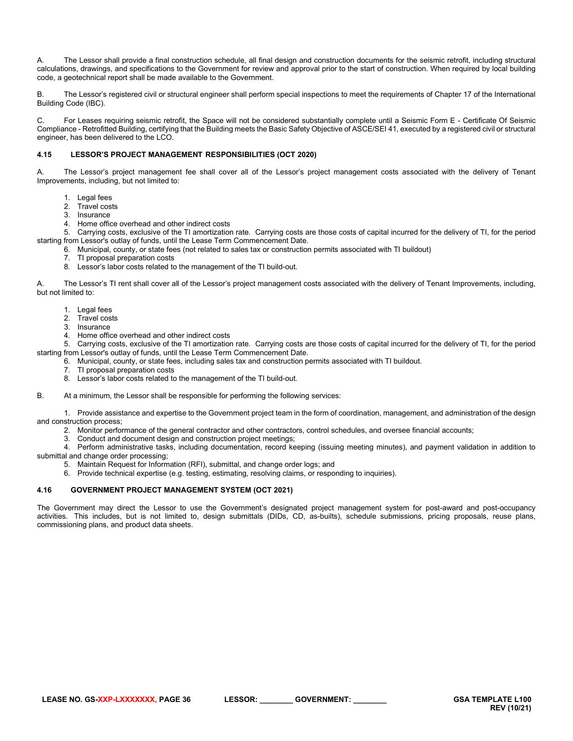A. The Lessor shall provide a final construction schedule, all final design and construction documents for the seismic retrofit, including structural calculations, drawings, and specifications to the Government for review and approval prior to the start of construction. When required by local building code, a geotechnical report shall be made available to the Government.

B. The Lessor's registered civil or structural engineer shall perform special inspections to meet the requirements of Chapter 17 of the International Building Code (IBC).

C. For Leases requiring seismic retrofit, the Space will not be considered substantially complete until a Seismic Form E - Certificate Of Seismic Compliance - Retrofitted Building, certifying that the Building meets the Basic Safety Objective of ASCE/SEI 41, executed by a registered civil or structural engineer, has been delivered to the LCO.

# <span id="page-35-0"></span>**4.15 LESSOR'S PROJECT MANAGEMENT RESPONSIBILITIES (OCT 2020)**

A. The Lessor's project management fee shall cover all of the Lessor's project management costs associated with the delivery of Tenant Improvements, including, but not limited to:

- 1. Legal fees
- 2. Travel costs
- 3. Insurance
- 4. Home office overhead and other indirect costs

5. Carrying costs, exclusive of the TI amortization rate. Carrying costs are those costs of capital incurred for the delivery of TI, for the period starting from Lessor's outlay of funds, until the Lease Term Commencement Date.

- 6. Municipal, county, or state fees (not related to sales tax or construction permits associated with TI buildout)
- 7. TI proposal preparation costs
- 8. Lessor's labor costs related to the management of the TI build-out.

A. The Lessor's TI rent shall cover all of the Lessor's project management costs associated with the delivery of Tenant Improvements, including, but not limited to:

- 1. Legal fees
- 2. Travel costs
- 3. Insurance
- 4. Home office overhead and other indirect costs

5. Carrying costs, exclusive of the TI amortization rate. Carrying costs are those costs of capital incurred for the delivery of TI, for the period starting from Lessor's outlay of funds, until the Lease Term Commencement Date.

- 6. Municipal, county, or state fees, including sales tax and construction permits associated with TI buildout.
	- 7. TI proposal preparation costs
- 8. Lessor's labor costs related to the management of the TI build-out.
- B. At a minimum, the Lessor shall be responsible for performing the following services:

1. Provide assistance and expertise to the Government project team in the form of coordination, management, and administration of the design and construction process;

- 2. Monitor performance of the general contractor and other contractors, control schedules, and oversee financial accounts;
- 3. Conduct and document design and construction project meetings;

4. Perform administrative tasks, including documentation, record keeping (issuing meeting minutes), and payment validation in addition to

- submittal and change order processing;
	- 5. Maintain Request for Information (RFI), submittal, and change order logs; and
	- 6. Provide technical expertise (e.g. testing, estimating, resolving claims, or responding to inquiries).

# <span id="page-35-1"></span>**4.16 GOVERNMENT PROJECT MANAGEMENT SYSTEM (OCT 2021)**

The Government may direct the Lessor to use the Government's designated project management system for post-award and post-occupancy activities. This includes, but is not limited to, design submittals (DIDs, CD, as-builts), schedule submissions, pricing proposals, reuse plans, commissioning plans, and product data sheets.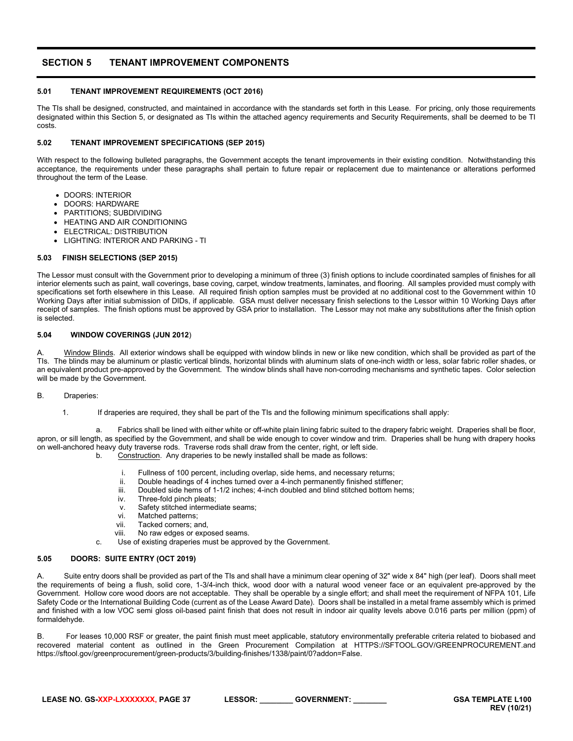# <span id="page-36-0"></span>**SECTION 5 TENANT IMPROVEMENT COMPONENTS**

# <span id="page-36-1"></span>**5.01 TENANT IMPROVEMENT REQUIREMENTS (OCT 2016)**

The TIs shall be designed, constructed, and maintained in accordance with the standards set forth in this Lease. For pricing, only those requirements designated within this Section 5, or designated as TIs within the attached agency requirements and Security Requirements, shall be deemed to be TI costs.

# <span id="page-36-2"></span>**5.02 TENANT IMPROVEMENT SPECIFICATIONS (SEP 2015)**

With respect to the following bulleted paragraphs, the Government accepts the tenant improvements in their existing condition. Notwithstanding this acceptance, the requirements under these paragraphs shall pertain to future repair or replacement due to maintenance or alterations performed throughout the term of the Lease.

- DOORS: INTERIOR
- DOORS: HARDWARE
- PARTITIONS; SUBDIVIDING
- HEATING AND AIR CONDITIONING
- ELECTRICAL: DISTRIBUTION
- <span id="page-36-3"></span>• LIGHTING: INTERIOR AND PARKING - TI

# **5.03 FINISH SELECTIONS (SEP 2015)**

The Lessor must consult with the Government prior to developing a minimum of three (3) finish options to include coordinated samples of finishes for all interior elements such as paint, wall coverings, base coving, carpet, window treatments, laminates, and flooring. All samples provided must comply with specifications set forth elsewhere in this Lease. All required finish option samples must be provided at no additional cost to the Government within 10 Working Days after initial submission of DIDs, if applicable. GSA must deliver necessary finish selections to the Lessor within 10 Working Days after receipt of samples. The finish options must be approved by GSA prior to installation. The Lessor may not make any substitutions after the finish option is selected.

# <span id="page-36-4"></span>**5.04 WINDOW COVERINGS (JUN 2012**)

Window Blinds. All exterior windows shall be equipped with window blinds in new or like new condition, which shall be provided as part of the TIs. The blinds may be aluminum or plastic vertical blinds, horizontal blinds with aluminum slats of one-inch width or less, solar fabric roller shades, or an equivalent product pre-approved by the Government. The window blinds shall have non-corroding mechanisms and synthetic tapes. Color selection will be made by the Government.

# B. Draperies:

1. If draperies are required, they shall be part of the TIs and the following minimum specifications shall apply:

a. Fabrics shall be lined with either white or off-white plain lining fabric suited to the drapery fabric weight. Draperies shall be floor, apron, or sill length, as specified by the Government, and shall be wide enough to cover window and trim. Draperies shall be hung with drapery hooks on well-anchored heavy duty traverse rods. Traverse rods shall draw from the center, right, or left side.

b. Construction. Any draperies to be newly installed shall be made as follows:

- i. Fullness of 100 percent, including overlap, side hems, and necessary returns;<br>ii. Double headings of 4 inches turned over a 4-inch permanently finished stiffene
- 
- ii. Double headings of 4 inches turned over a 4-inch permanently finished stiffener;<br>iii. Doubled side hems of 1-1/2 inches: 4-inch doubled and blind stitched bottom her Doubled side hems of 1-1/2 inches; 4-inch doubled and blind stitched bottom hems;
- iv. Three-fold pinch pleats;
- v. Safety stitched intermediate seams;<br>vi. Matched patterns;
- 
- vi. Matched patterns;<br>vii. Tacked corners: a
- vii. Tacked corners; and,<br>viii. No raw edges or expo No raw edges or exposed seams.
- c. Use of existing draperies must be approved by the Government.

# <span id="page-36-5"></span>**5.05 DOORS: SUITE ENTRY (OCT 2019)**

A. Suite entry doors shall be provided as part of the TIs and shall have a minimum clear opening of 32" wide x 84" high (per leaf). Doors shall meet the requirements of being a flush, solid core, 1-3/4-inch thick, wood door with a natural wood veneer face or an equivalent pre-approved by the Government. Hollow core wood doors are not acceptable. They shall be operable by a single effort; and shall meet the requirement of NFPA 101, Life Safety Code or the International Building Code (current as of the Lease Award Date). Doors shall be installed in a metal frame assembly which is primed and finished with a low VOC semi gloss oil-based paint finish that does not result in indoor air quality levels above 0.016 parts per million (ppm) of formaldehyde.

B. For leases 10,000 RSF or greater, the paint finish must meet applicable, statutory environmentally preferable criteria related to biobased and recovered material content as outlined in the Green Procurement Compilation at HTTPS://SFTOOL.GOV/GREENPROCUREMENT.and https://sftool.gov/greenprocurement/green-products/3/building-finishes/1338/paint/0?addon=False.

| LEASE NO. GS-XXP-LXXXXXXX. PAGE 37 | <b>LESSOR:</b> | <b>GOVERNMENT</b> |
|------------------------------------|----------------|-------------------|
|                                    |                |                   |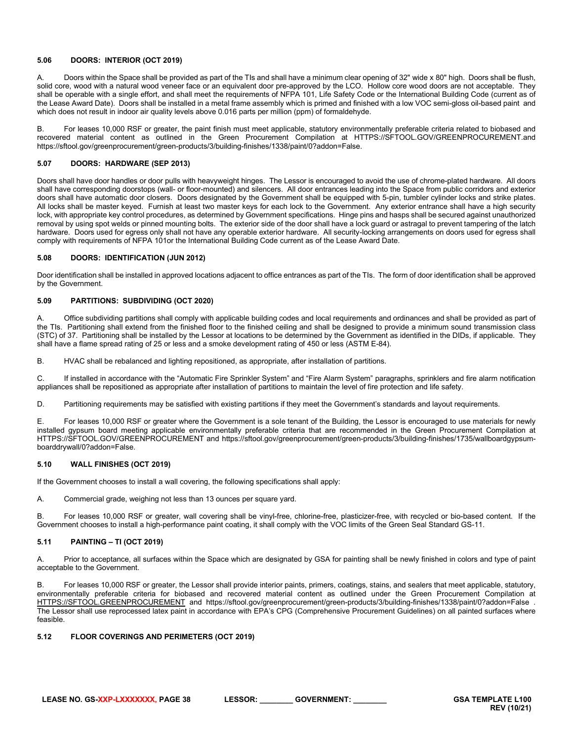# <span id="page-37-0"></span>**5.06 DOORS: INTERIOR (OCT 2019)**

A. Doors within the Space shall be provided as part of the TIs and shall have a minimum clear opening of 32" wide x 80" high. Doors shall be flush, solid core, wood with a natural wood veneer face or an equivalent door pre-approved by the LCO. Hollow core wood doors are not acceptable. They shall be operable with a single effort, and shall meet the requirements of NFPA 101, Life Safety Code or the International Building Code (current as of the Lease Award Date). Doors shall be installed in a metal frame assembly which is primed and finished with a low VOC semi-gloss oil-based paint and which does not result in indoor air quality levels above 0.016 parts per million (ppm) of formaldehyde.

B. For leases 10,000 RSF or greater, the paint finish must meet applicable, statutory environmentally preferable criteria related to biobased and recovered material content as outlined in the Green Procurement Compilation at HTTPS://SFTOOL.GOV/GREENPROCUREMENT.and https://sftool.gov/greenprocurement/green-products/3/building-finishes/1338/paint/0?addon=False.

# <span id="page-37-1"></span>**5.07 DOORS: HARDWARE (SEP 2013)**

Doors shall have door handles or door pulls with heavyweight hinges. The Lessor is encouraged to avoid the use of chrome-plated hardware. All doors shall have corresponding doorstops (wall- or floor-mounted) and silencers. All door entrances leading into the Space from public corridors and exterior doors shall have automatic door closers. Doors designated by the Government shall be equipped with 5-pin, tumbler cylinder locks and strike plates. All locks shall be master keyed. Furnish at least two master keys for each lock to the Government. Any exterior entrance shall have a high security lock, with appropriate key control procedures, as determined by Government specifications. Hinge pins and hasps shall be secured against unauthorized removal by using spot welds or pinned mounting bolts. The exterior side of the door shall have a lock guard or astragal to prevent tampering of the latch hardware. Doors used for egress only shall not have any operable exterior hardware. All security-locking arrangements on doors used for egress shall comply with requirements of NFPA 101or the International Building Code current as of the Lease Award Date.

# <span id="page-37-2"></span>**5.08 DOORS: IDENTIFICATION (JUN 2012)**

Door identification shall be installed in approved locations adjacent to office entrances as part of the TIs. The form of door identification shall be approved by the Government.

# <span id="page-37-3"></span>**5.09 PARTITIONS: SUBDIVIDING (OCT 2020)**

A. Office subdividing partitions shall comply with applicable building codes and local requirements and ordinances and shall be provided as part of the TIs. Partitioning shall extend from the finished floor to the finished ceiling and shall be designed to provide a minimum sound transmission class (STC) of 37. Partitioning shall be installed by the Lessor at locations to be determined by the Government as identified in the DIDs, if applicable. They shall have a flame spread rating of 25 or less and a smoke development rating of 450 or less (ASTM E-84).

B. HVAC shall be rebalanced and lighting repositioned, as appropriate, after installation of partitions.

C. If installed in accordance with the "Automatic Fire Sprinkler System" and "Fire Alarm System" paragraphs, sprinklers and fire alarm notification appliances shall be repositioned as appropriate after installation of partitions to maintain the level of fire protection and life safety.

D. Partitioning requirements may be satisfied with existing partitions if they meet the Government's standards and layout requirements.

E. For leases 10,000 RSF or greater where the Government is a sole tenant of the Building, the Lessor is encouraged to use materials for newly installed gypsum board meeting applicable environmentally preferable criteria that are recommended in the Green Procurement Compilation at HTTPS://SFTOOL.GOV/GREENPROCUREMENT and https://sftool.gov/greenprocurement/green-products/3/building-finishes/1735/wallboardgypsumboarddrywall/0?addon=False.

# <span id="page-37-4"></span>**5.10 WALL FINISHES (OCT 2019)**

If the Government chooses to install a wall covering, the following specifications shall apply:

A. Commercial grade, weighing not less than 13 ounces per square yard.

B. For leases 10,000 RSF or greater, wall covering shall be vinyl-free, chlorine-free, plasticizer-free, with recycled or bio-based content. If the Government chooses to install a high-performance paint coating, it shall comply with the VOC limits of the Green Seal Standard GS-11.

# <span id="page-37-5"></span>**5.11 PAINTING – TI (OCT 2019)**

A. Prior to acceptance, all surfaces within the Space which are designated by GSA for painting shall be newly finished in colors and type of paint acceptable to the Government.

B. For leases 10,000 RSF or greater, the Lessor shall provide interior paints, primers, coatings, stains, and sealers that meet applicable, statutory, environmentally preferable criteria for biobased and recovered material content as outlined under the Green Procurement Compilation at [HTTPS://SFTOOL.GREENPROCUREMENT](https://sftool.greenprocurement/) and https://sftool.gov/greenprocurement/green-products/3/building-finishes/1338/paint/0?addon=False . The Lessor shall use reprocessed latex paint in accordance with EPA's CPG (Comprehensive Procurement Guidelines) on all painted surfaces where feasible.

# <span id="page-37-6"></span>**5.12 FLOOR COVERINGS AND PERIMETERS (OCT 2019)**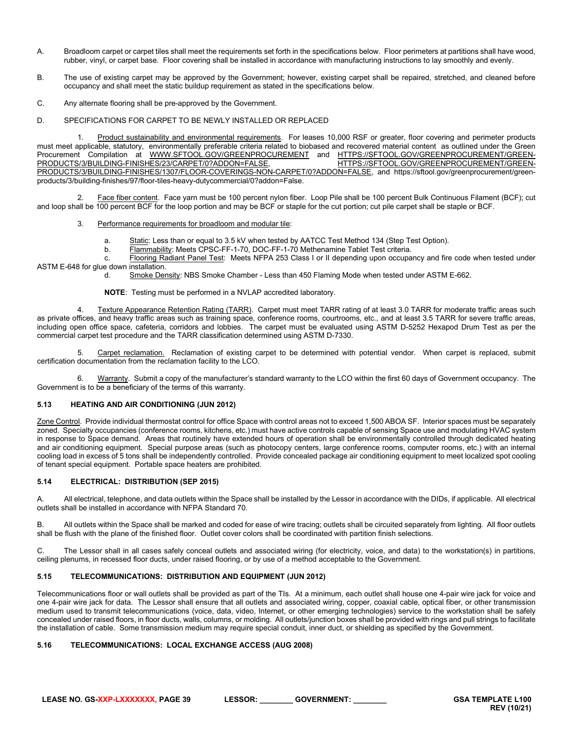- A. Broadloom carpet or carpet tiles shall meet the requirements set forth in the specifications below. Floor perimeters at partitions shall have wood, rubber, vinyl, or carpet base. Floor covering shall be installed in accordance with manufacturing instructions to lay smoothly and evenly.
- B. The use of existing carpet may be approved by the Government; however, existing carpet shall be repaired, stretched, and cleaned before occupancy and shall meet the static buildup requirement as stated in the specifications below.
- C. Any alternate flooring shall be pre-approved by the Government.
- D. SPECIFICATIONS FOR CARPET TO BE NEWLY INSTALLED OR REPLACED

Product sustainability and environmental requirements. For leases 10,000 RSF or greater, floor covering and perimeter products must meet applicable, statutory, environmentally preferable criteria related to biobased and recovered material content as outlined under the Green Procurement Compilation at [WWW.SFTOOL.GOV/GREENPROCUREMENT](http://www.sftool.gov/greenprocurement) and HTTPS://SFTOOL.GOV/GREENPROCUREMENT/GREEN-<br>PRODUCTS/3/BUILDING-FINISHES/23/CARPET/0?ADDON=FALSE, [HTTPS://SFTOOL.GOV/GREENPROCUREMENT/GREEN-](https://sftool.gov/greenprocurement/green-products/3/building-finishes/23/carpet/0?addon=False)PRODUCTS/3/BUILDING-FINISHES/23/CARPET/0?ADDON=FALSE, [PRODUCTS/3/BUILDING-FINISHES/1307/FLOOR-COVERINGS-NON-CARPET/0?ADDON=FALSE,](https://sftool.gov/greenprocurement/green-products/3/building-finishes/1307/floor-coverings-non-carpet/0?addon=False) and https://sftool.gov/greenprocurement/greenproducts/3/building-finishes/97/floor-tiles-heavy-dutycommercial/0?addon=False.

2. Face fiber content. Face yarn must be 100 percent nylon fiber. Loop Pile shall be 100 percent Bulk Continuous Filament (BCF); cut and loop shall be 100 percent BCF for the loop portion and may be BCF or staple for the cut portion; cut pile carpet shall be staple or BCF.

- 3. Performance requirements for broadloom and modular tile:
	- a. Static: Less than or equal to 3.5 kV when tested by AATCC Test Method 134 (Step Test Option).
	- b. Flammability: Meets CPSC-FF-1-70, DOC-FF-1-70 Methenamine Tablet Test criteria.
- c. Flooring Radiant Panel Test: Meets NFPA 253 Class I or II depending upon occupancy and fire code when tested under ASTM E-648 for glue down installation.
	- d. Smoke Density: NBS Smoke Chamber Less than 450 Flaming Mode when tested under ASTM E-662.
	- **NOTE**: Testing must be performed in a NVLAP accredited laboratory.

4. Texture Appearance Retention Rating (TARR). Carpet must meet TARR rating of at least 3.0 TARR for moderate traffic areas such as private offices, and heavy traffic areas such as training space, conference rooms, courtrooms, etc., and at least 3.5 TARR for severe traffic areas, including open office space, cafeteria, corridors and lobbies. The carpet must be evaluated using ASTM D-5252 Hexapod Drum Test as per the commercial carpet test procedure and the TARR classification determined using ASTM D-7330.

Carpet reclamation. Reclamation of existing carpet to be determined with potential vendor. When carpet is replaced, submit certification documentation from the reclamation facility to the LCO.

6. Warranty. Submit a copy of the manufacturer's standard warranty to the LCO within the first 60 days of Government occupancy. The Government is to be a beneficiary of the terms of this warranty.

# <span id="page-38-0"></span>**5.13 HEATING AND AIR CONDITIONING (JUN 2012)**

Zone Control. Provide individual thermostat control for office Space with control areas not to exceed 1,500 ABOA SF. Interior spaces must be separately zoned. Specialty occupancies (conference rooms, kitchens, etc.) must have active controls capable of sensing Space use and modulating HVAC system in response to Space demand. Areas that routinely have extended hours of operation shall be environmentally controlled through dedicated heating and air conditioning equipment. Special purpose areas (such as photocopy centers, large conference rooms, computer rooms, etc.) with an internal cooling load in excess of 5 tons shall be independently controlled. Provide concealed package air conditioning equipment to meet localized spot cooling of tenant special equipment. Portable space heaters are prohibited.

#### <span id="page-38-1"></span>**5.14 ELECTRICAL: DISTRIBUTION (SEP 2015)**

A. All electrical, telephone, and data outlets within the Space shall be installed by the Lessor in accordance with the DIDs, if applicable. All electrical outlets shall be installed in accordance with NFPA Standard 70.

B. All outlets within the Space shall be marked and coded for ease of wire tracing; outlets shall be circuited separately from lighting. All floor outlets shall be flush with the plane of the finished floor. Outlet cover colors shall be coordinated with partition finish selections.

C. The Lessor shall in all cases safely conceal outlets and associated wiring (for electricity, voice, and data) to the workstation(s) in partitions, ceiling plenums, in recessed floor ducts, under raised flooring, or by use of a method acceptable to the Government.

# <span id="page-38-2"></span>**5.15 TELECOMMUNICATIONS: DISTRIBUTION AND EQUIPMENT (JUN 2012)**

Telecommunications floor or wall outlets shall be provided as part of the TIs. At a minimum, each outlet shall house one 4-pair wire jack for voice and one 4-pair wire jack for data. The Lessor shall ensure that all outlets and associated wiring, copper, coaxial cable, optical fiber, or other transmission medium used to transmit telecommunications (voice, data, video, Internet, or other emerging technologies) service to the workstation shall be safely concealed under raised floors, in floor ducts, walls, columns, or molding. All outlets/junction boxes shall be provided with rings and pull strings to facilitate the installation of cable. Some transmission medium may require special conduit, inner duct, or shielding as specified by the Government.

# <span id="page-38-3"></span>**5.16 TELECOMMUNICATIONS: LOCAL EXCHANGE ACCESS (AUG 2008)**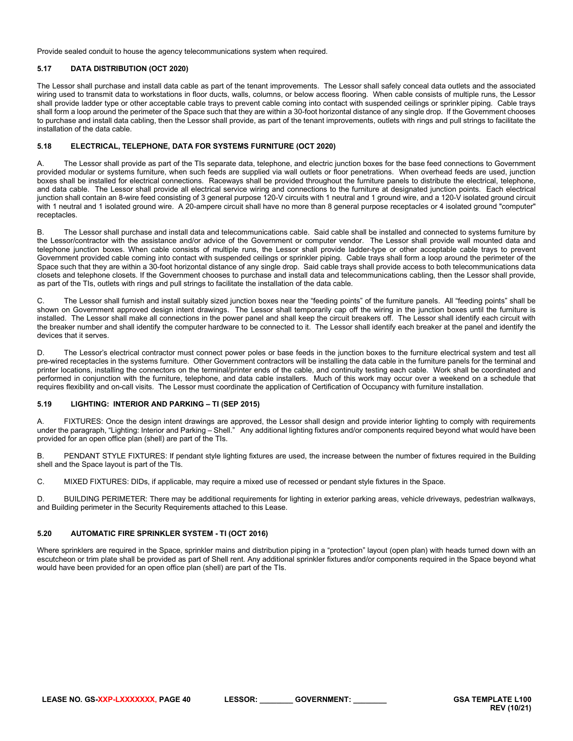Provide sealed conduit to house the agency telecommunications system when required.

# <span id="page-39-0"></span>**5.17 DATA DISTRIBUTION (OCT 2020)**

The Lessor shall purchase and install data cable as part of the tenant improvements. The Lessor shall safely conceal data outlets and the associated wiring used to transmit data to workstations in floor ducts, walls, columns, or below access flooring. When cable consists of multiple runs, the Lessor shall provide ladder type or other acceptable cable trays to prevent cable coming into contact with suspended ceilings or sprinkler piping. Cable trays shall form a loop around the perimeter of the Space such that they are within a 30-foot horizontal distance of any single drop. If the Government chooses to purchase and install data cabling, then the Lessor shall provide, as part of the tenant improvements, outlets with rings and pull strings to facilitate the installation of the data cable.

# <span id="page-39-1"></span>**5.18 ELECTRICAL, TELEPHONE, DATA FOR SYSTEMS FURNITURE (OCT 2020)**

A. The Lessor shall provide as part of the TIs separate data, telephone, and electric junction boxes for the base feed connections to Government provided modular or systems furniture, when such feeds are supplied via wall outlets or floor penetrations. When overhead feeds are used, junction boxes shall be installed for electrical connections. Raceways shall be provided throughout the furniture panels to distribute the electrical, telephone, and data cable. The Lessor shall provide all electrical service wiring and connections to the furniture at designated junction points. Each electrical junction shall contain an 8-wire feed consisting of 3 general purpose 120-V circuits with 1 neutral and 1 ground wire, and a 120-V isolated ground circuit with 1 neutral and 1 isolated ground wire. A 20-ampere circuit shall have no more than 8 general purpose receptacles or 4 isolated ground "computer" receptacles.

B. The Lessor shall purchase and install data and telecommunications cable. Said cable shall be installed and connected to systems furniture by the Lessor/contractor with the assistance and/or advice of the Government or computer vendor. The Lessor shall provide wall mounted data and telephone junction boxes. When cable consists of multiple runs, the Lessor shall provide ladder-type or other acceptable cable trays to prevent Government provided cable coming into contact with suspended ceilings or sprinkler piping. Cable trays shall form a loop around the perimeter of the Space such that they are within a 30-foot horizontal distance of any single drop. Said cable trays shall provide access to both telecommunications data closets and telephone closets. If the Government chooses to purchase and install data and telecommunications cabling, then the Lessor shall provide, as part of the TIs, outlets with rings and pull strings to facilitate the installation of the data cable.

C. The Lessor shall furnish and install suitably sized junction boxes near the "feeding points" of the furniture panels. All "feeding points" shall be shown on Government approved design intent drawings. The Lessor shall temporarily cap off the wiring in the junction boxes until the furniture is installed. The Lessor shall make all connections in the power panel and shall keep the circuit breakers off. The Lessor shall identify each circuit with the breaker number and shall identify the computer hardware to be connected to it. The Lessor shall identify each breaker at the panel and identify the devices that it serves.

D. The Lessor's electrical contractor must connect power poles or base feeds in the junction boxes to the furniture electrical system and test all pre-wired receptacles in the systems furniture. Other Government contractors will be installing the data cable in the furniture panels for the terminal and printer locations, installing the connectors on the terminal/printer ends of the cable, and continuity testing each cable. Work shall be coordinated and performed in conjunction with the furniture, telephone, and data cable installers. Much of this work may occur over a weekend on a schedule that requires flexibility and on-call visits. The Lessor must coordinate the application of Certification of Occupancy with furniture installation.

# <span id="page-39-2"></span>**5.19 LIGHTING: INTERIOR AND PARKING – TI (SEP 2015)**

A. FIXTURES: Once the design intent drawings are approved, the Lessor shall design and provide interior lighting to comply with requirements under the paragraph, "Lighting: Interior and Parking – Shell." Any additional lighting fixtures and/or components required beyond what would have been provided for an open office plan (shell) are part of the TIs.

B. PENDANT STYLE FIXTURES: If pendant style lighting fixtures are used, the increase between the number of fixtures required in the Building shell and the Space layout is part of the TIs.

C. MIXED FIXTURES: DIDs, if applicable, may require a mixed use of recessed or pendant style fixtures in the Space.

D. BUILDING PERIMETER: There may be additional requirements for lighting in exterior parking areas, vehicle driveways, pedestrian walkways, and Building perimeter in the Security Requirements attached to this Lease.

# <span id="page-39-3"></span>**5.20 AUTOMATIC FIRE SPRINKLER SYSTEM - TI (OCT 2016)**

Where sprinklers are required in the Space, sprinkler mains and distribution piping in a "protection" layout (open plan) with heads turned down with an escutcheon or trim plate shall be provided as part of Shell rent. Any additional sprinkler fixtures and/or components required in the Space beyond what would have been provided for an open office plan (shell) are part of the TIs.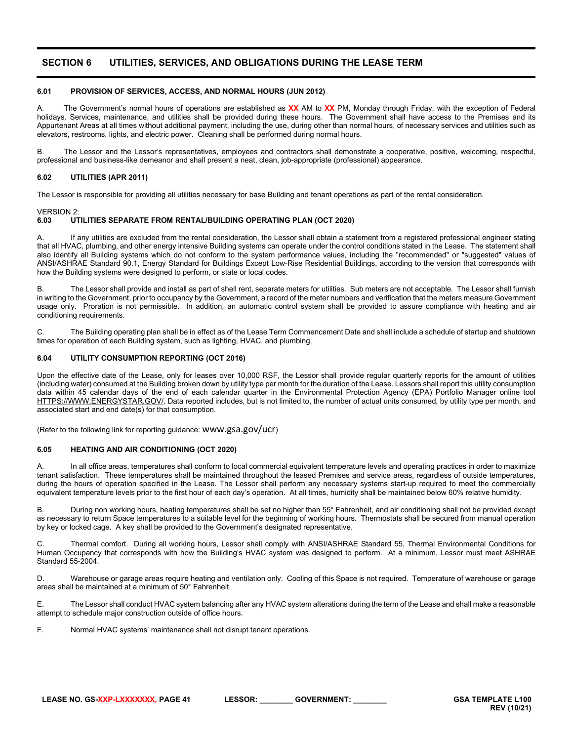# <span id="page-40-0"></span>**SECTION 6 UTILITIES, SERVICES, AND OBLIGATIONS DURING THE LEASE TERM**

# <span id="page-40-1"></span>**6.01 PROVISION OF SERVICES, ACCESS, AND NORMAL HOURS (JUN 2012)**

A. The Government's normal hours of operations are established as **XX** AM to **XX** PM, Monday through Friday, with the exception of Federal holidays. Services, maintenance, and utilities shall be provided during these hours. The Government shall have access to the Premises and its Appurtenant Areas at all times without additional payment, including the use, during other than normal hours, of necessary services and utilities such as elevators, restrooms, lights, and electric power. Cleaning shall be performed during normal hours.

B. The Lessor and the Lessor's representatives, employees and contractors shall demonstrate a cooperative, positive, welcoming, respectful, professional and business-like demeanor and shall present a neat, clean, job-appropriate (professional) appearance.

#### <span id="page-40-2"></span>**6.02 UTILITIES (APR 2011)**

The Lessor is responsible for providing all utilities necessary for base Building and tenant operations as part of the rental consideration.

# VERSION 2:<br>6.03 UT

# <span id="page-40-3"></span>**6.03 UTILITIES SEPARATE FROM RENTAL/BUILDING OPERATING PLAN (OCT 2020)**

A. If any utilities are excluded from the rental consideration, the Lessor shall obtain a statement from a registered professional engineer stating that all HVAC, plumbing, and other energy intensive Building systems can operate under the control conditions stated in the Lease. The statement shall also identify all Building systems which do not conform to the system performance values, including the "recommended" or "suggested" values of ANSI/ASHRAE Standard 90.1, Energy Standard for Buildings Except Low-Rise Residential Buildings, according to the version that corresponds with how the Building systems were designed to perform, or state or local codes.

B. The Lessor shall provide and install as part of shell rent, separate meters for utilities. Sub meters are not acceptable. The Lessor shall furnish in writing to the Government, prior to occupancy by the Government, a record of the meter numbers and verification that the meters measure Government usage only. Proration is not permissible. In addition, an automatic control system shall be provided to assure compliance with heating and air conditioning requirements.

C. The Building operating plan shall be in effect as of the Lease Term Commencement Date and shall include a schedule of startup and shutdown times for operation of each Building system, such as lighting, HVAC, and plumbing.

#### <span id="page-40-4"></span>**6.04 UTILITY CONSUMPTION REPORTING (OCT 2016)**

Upon the effective date of the Lease, only for leases over 10,000 RSF, the Lessor shall provide regular quarterly reports for the amount of utilities (including water) consumed at the Building broken down by utility type per month for the duration of the Lease. Lessors shall report this utility consumption data within 45 calendar days of the end of each calendar quarter in the Environmental Protection Agency (EPA) Portfolio Manager online tool [HTTPS://WWW.ENERGYSTAR.GOV/.](https://www.energystar.gov/) Data reported includes, but is not limited to, the number of actual units consumed, by utility type per month, and associated start and end date(s) for that consumption.

(Refer to the following link for reporting guidance: [www.gsa.gov/ucr](http://www.gsa.gov/ucr))

#### <span id="page-40-5"></span>**6.05 HEATING AND AIR CONDITIONING (OCT 2020)**

A. In all office areas, temperatures shall conform to local commercial equivalent temperature levels and operating practices in order to maximize tenant satisfaction. These temperatures shall be maintained throughout the leased Premises and service areas, regardless of outside temperatures, during the hours of operation specified in the Lease. The Lessor shall perform any necessary systems start-up required to meet the commercially equivalent temperature levels prior to the first hour of each day's operation. At all times, humidity shall be maintained below 60% relative humidity.

B. During non working hours, heating temperatures shall be set no higher than 55° Fahrenheit, and air conditioning shall not be provided except as necessary to return Space temperatures to a suitable level for the beginning of working hours. Thermostats shall be secured from manual operation by key or locked cage. A key shall be provided to the Government's designated representative.

C. Thermal comfort. During all working hours, Lessor shall comply with ANSI/ASHRAE Standard 55, Thermal Environmental Conditions for Human Occupancy that corresponds with how the Building's HVAC system was designed to perform. At a minimum, Lessor must meet ASHRAE Standard 55-2004.

D. Warehouse or garage areas require heating and ventilation only. Cooling of this Space is not required. Temperature of warehouse or garage areas shall be maintained at a minimum of 50° Fahrenheit.

E. The Lessor shall conduct HVAC system balancing after any HVAC system alterations during the term of the Lease and shall make a reasonable attempt to schedule major construction outside of office hours.

F. Normal HVAC systems' maintenance shall not disrupt tenant operations.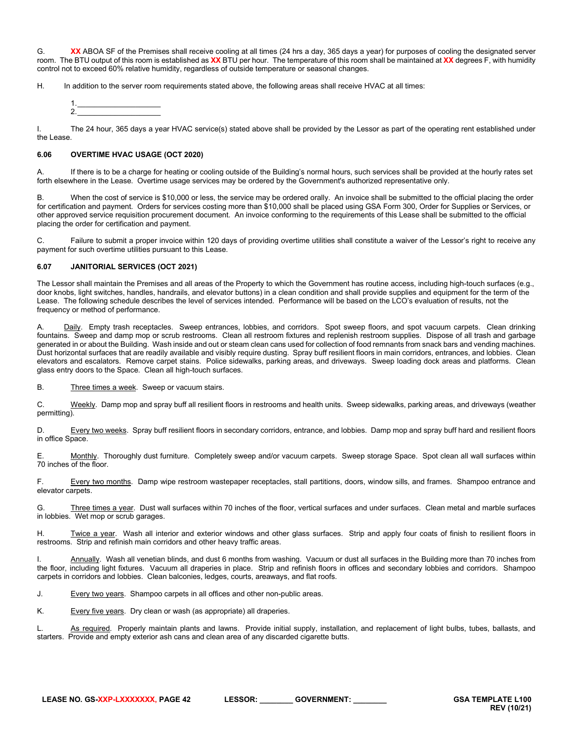G. XX ABOA SF of the Premises shall receive cooling at all times (24 hrs a day, 365 days a year) for purposes of cooling the designated server room. The BTU output of this room is established as **XX** BTU per hour. The temperature of this room shall be maintained at **XX** degrees F, with humidity control not to exceed 60% relative humidity, regardless of outside temperature or seasonal changes.

H. In addition to the server room requirements stated above, the following areas shall receive HVAC at all times:

I. The 24 hour, 365 days a year HVAC service(s) stated above shall be provided by the Lessor as part of the operating rent established under the Lease.

# <span id="page-41-0"></span>**6.06 OVERTIME HVAC USAGE (OCT 2020)**

A. If there is to be a charge for heating or cooling outside of the Building's normal hours, such services shall be provided at the hourly rates set forth elsewhere in the Lease. Overtime usage services may be ordered by the Government's authorized representative only.

B. When the cost of service is \$10,000 or less, the service may be ordered orally. An invoice shall be submitted to the official placing the order for certification and payment. Orders for services costing more than \$10,000 shall be placed using GSA Form 300, Order for Supplies or Services, or other approved service requisition procurement document. An invoice conforming to the requirements of this Lease shall be submitted to the official placing the order for certification and payment.

C. Failure to submit a proper invoice within 120 days of providing overtime utilities shall constitute a waiver of the Lessor's right to receive any payment for such overtime utilities pursuant to this Lease.

# <span id="page-41-1"></span>**6.07 JANITORIAL SERVICES (OCT 2021)**

The Lessor shall maintain the Premises and all areas of the Property to which the Government has routine access, including high-touch surfaces (e.g., door knobs, light switches, handles, handrails, and elevator buttons) in a clean condition and shall provide supplies and equipment for the term of the Lease. The following schedule describes the level of services intended. Performance will be based on the LCO's evaluation of results, not the frequency or method of performance.

A. Daily. Empty trash receptacles. Sweep entrances, lobbies, and corridors. Spot sweep floors, and spot vacuum carpets. Clean drinking fountains. Sweep and damp mop or scrub restrooms. Clean all restroom fixtures and replenish restroom supplies. Dispose of all trash and garbage generated in or about the Building. Wash inside and out or steam clean cans used for collection of food remnants from snack bars and vending machines. Dust horizontal surfaces that are readily available and visibly require dusting. Spray buff resilient floors in main corridors, entrances, and lobbies. Clean elevators and escalators. Remove carpet stains. Police sidewalks, parking areas, and driveways. Sweep loading dock areas and platforms. Clean glass entry doors to the Space. Clean all high-touch surfaces.

B. Three times a week. Sweep or vacuum stairs.

C. Weekly. Damp mop and spray buff all resilient floors in restrooms and health units. Sweep sidewalks, parking areas, and driveways (weather permitting).

D. Every two weeks. Spray buff resilient floors in secondary corridors, entrance, and lobbies. Damp mop and spray buff hard and resilient floors in office Space.

E. Monthly. Thoroughly dust furniture. Completely sweep and/or vacuum carpets. Sweep storage Space. Spot clean all wall surfaces within 70 inches of the floor.

F. Every two months. Damp wipe restroom wastepaper receptacles, stall partitions, doors, window sills, and frames. Shampoo entrance and elevator carpets.

G. Three times a year. Dust wall surfaces within 70 inches of the floor, vertical surfaces and under surfaces. Clean metal and marble surfaces in lobbies. Wet mop or scrub garages.

H. Twice a year. Wash all interior and exterior windows and other glass surfaces. Strip and apply four coats of finish to resilient floors in restrooms. Strip and refinish main corridors and other heavy traffic areas.

I. Annually. Wash all venetian blinds, and dust 6 months from washing. Vacuum or dust all surfaces in the Building more than 70 inches from the floor, including light fixtures. Vacuum all draperies in place. Strip and refinish floors in offices and secondary lobbies and corridors. Shampoo carpets in corridors and lobbies. Clean balconies, ledges, courts, areaways, and flat roofs.

J. Every two years. Shampoo carpets in all offices and other non-public areas.

K. Every five years. Dry clean or wash (as appropriate) all draperies.

L. As required. Properly maintain plants and lawns. Provide initial supply, installation, and replacement of light bulbs, tubes, ballasts, and starters. Provide and empty exterior ash cans and clean area of any discarded cigarette butts.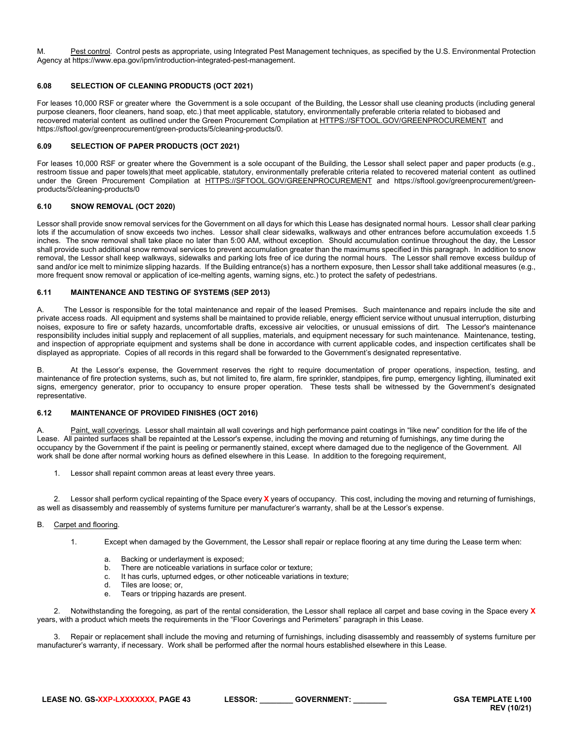M. Pest control. Control pests as appropriate, using Integrated Pest Management techniques, as specified by the U.S. Environmental Protection Agency at https://www.epa.gov/ipm/introduction-integrated-pest-management.

# <span id="page-42-0"></span>**6.08 SELECTION OF CLEANING PRODUCTS (OCT 2021)**

For leases 10,000 RSF or greater where the Government is a sole occupant of the Building, the Lessor shall use cleaning products (including general purpose cleaners, floor cleaners, hand soap, etc.) that meet applicable, statutory, environmentally preferable criteria related to biobased and recovered material content as outlined under the Green Procurement Compilation a[t HTTPS://SFTOOL.GOV/GREENPROCUREMENT](https://sftool.gov/greenprocurement) and https://sftool.gov/greenprocurement/green-products/5/cleaning-products/0.

# <span id="page-42-1"></span>**6.09 SELECTION OF PAPER PRODUCTS (OCT 2021)**

For leases 10,000 RSF or greater where the Government is a sole occupant of the Building, the Lessor shall select paper and paper products (e.g., restroom tissue and paper towels)that meet applicable, statutory, environmentally preferable criteria related to recovered material content as outlined under the Green Procurement Compilation at [HTTPS://SFTOOL.GOV/GREENPROCUREMENT](https://sftool.gov/greenprocurement) and https://sftool.gov/greenprocurement/greenproducts/5/cleaning-products/0

# <span id="page-42-2"></span>**6.10 SNOW REMOVAL (OCT 2020)**

Lessor shall provide snow removal services for the Government on all days for which this Lease has designated normal hours. Lessor shall clear parking lots if the accumulation of snow exceeds two inches. Lessor shall clear sidewalks, walkways and other entrances before accumulation exceeds 1.5 inches. The snow removal shall take place no later than 5:00 AM, without exception. Should accumulation continue throughout the day, the Lessor shall provide such additional snow removal services to prevent accumulation greater than the maximums specified in this paragraph. In addition to snow removal, the Lessor shall keep walkways, sidewalks and parking lots free of ice during the normal hours. The Lessor shall remove excess buildup of sand and/or ice melt to minimize slipping hazards. If the Building entrance(s) has a northern exposure, then Lessor shall take additional measures (e.g., more frequent snow removal or application of ice-melting agents, warning signs, etc.) to protect the safety of pedestrians.

# <span id="page-42-3"></span>**6.11 MAINTENANCE AND TESTING OF SYSTEMS (SEP 2013)**

A. The Lessor is responsible for the total maintenance and repair of the leased Premises. Such maintenance and repairs include the site and private access roads. All equipment and systems shall be maintained to provide reliable, energy efficient service without unusual interruption, disturbing noises, exposure to fire or safety hazards, uncomfortable drafts, excessive air velocities, or unusual emissions of dirt. The Lessor's maintenance responsibility includes initial supply and replacement of all supplies, materials, and equipment necessary for such maintenance. Maintenance, testing, and inspection of appropriate equipment and systems shall be done in accordance with current applicable codes, and inspection certificates shall be displayed as appropriate. Copies of all records in this regard shall be forwarded to the Government's designated representative.

B. At the Lessor's expense, the Government reserves the right to require documentation of proper operations, inspection, testing, and maintenance of fire protection systems, such as, but not limited to, fire alarm, fire sprinkler, standpipes, fire pump, emergency lighting, illuminated exit signs, emergency generator, prior to occupancy to ensure proper operation. These tests shall be witnessed by the Government's designated representative.

# <span id="page-42-4"></span>**6.12 MAINTENANCE OF PROVIDED FINISHES (OCT 2016)**

A. Paint, wall coverings. Lessor shall maintain all wall coverings and high performance paint coatings in "like new" condition for the life of the Lease. All painted surfaces shall be repainted at the Lessor's expense, including the moving and returning of furnishings, any time during the occupancy by the Government if the paint is peeling or permanently stained, except where damaged due to the negligence of the Government. All work shall be done after normal working hours as defined elsewhere in this Lease. In addition to the foregoing requirement,

1. Lessor shall repaint common areas at least every three years.

2. Lessor shall perform cyclical repainting of the Space every **X** years of occupancy. This cost, including the moving and returning of furnishings, as well as disassembly and reassembly of systems furniture per manufacturer's warranty, shall be at the Lessor's expense.

# B. Carpet and flooring.

- 1. Except when damaged by the Government, the Lessor shall repair or replace flooring at any time during the Lease term when:
	- a. Backing or underlayment is exposed;
	- b. There are noticeable variations in surface color or texture;
	- c. It has curls, upturned edges, or other noticeable variations in texture;
	- d. Tiles are loose; or,
	- e. Tears or tripping hazards are present.

2. Notwithstanding the foregoing, as part of the rental consideration, the Lessor shall replace all carpet and base coving in the Space every **X** years, with a product which meets the requirements in the "Floor Coverings and Perimeters" paragraph in this Lease.

Repair or replacement shall include the moving and returning of furnishings, including disassembly and reassembly of systems furniture per manufacturer's warranty, if necessary. Work shall be performed after the normal hours established elsewhere in this Lease.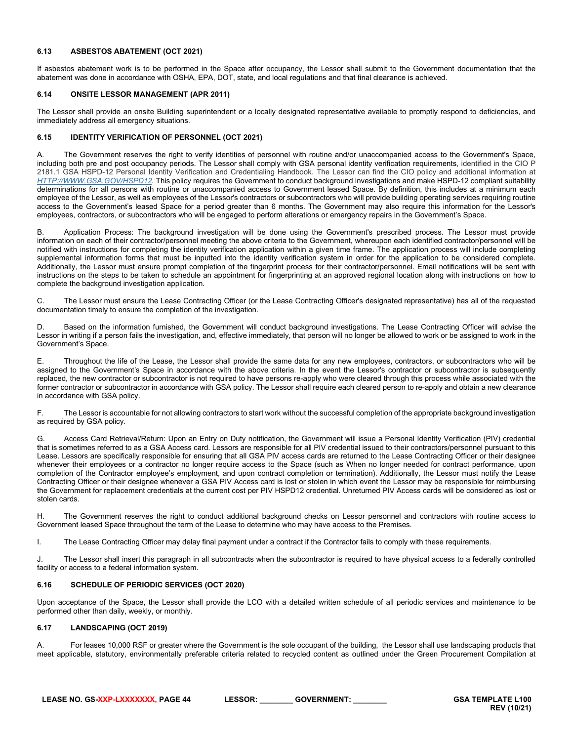# <span id="page-43-0"></span>**6.13 ASBESTOS ABATEMENT (OCT 2021)**

If asbestos abatement work is to be performed in the Space after occupancy, the Lessor shall submit to the Government documentation that the abatement was done in accordance with OSHA, EPA, DOT, state, and local regulations and that final clearance is achieved.

#### <span id="page-43-1"></span>**6.14 ONSITE LESSOR MANAGEMENT (APR 2011)**

The Lessor shall provide an onsite Building superintendent or a locally designated representative available to promptly respond to deficiencies, and immediately address all emergency situations.

# <span id="page-43-2"></span>**6.15 IDENTITY VERIFICATION OF PERSONNEL (OCT 2021)**

A. The Government reserves the right to verify identities of personnel with routine and/or unaccompanied access to the Government's Space, including both pre and post occupancy periods. The Lessor shall comply with GSA personal identity verification requirements, identified in the CIO P 2181.1 GSA HSPD-12 Personal Identity Verification and Credentialing Handbook. The Lessor can find the CIO policy and additional information at *[HTTP://WWW.GSA.GOV/HSPD12.](http://www.gsa.gov/hspd12)* This policy requires the Government to conduct background investigations and make HSPD-12 compliant suitability determinations for all persons with routine or unaccompanied access to Government leased Space. By definition, this includes at a minimum each employee of the Lessor, as well as employees of the Lessor's contractors or subcontractors who will provide building operating services requiring routine access to the Government's leased Space for a period greater than 6 months. The Government may also require this information for the Lessor's employees, contractors, or subcontractors who will be engaged to perform alterations or emergency repairs in the Government's Space.

B. Application Process: The background investigation will be done using the Government's prescribed process. The Lessor must provide information on each of their contractor/personnel meeting the above criteria to the Government, whereupon each identified contractor/personnel will be notified with instructions for completing the identity verification application within a given time frame. The application process will include completing supplemental information forms that must be inputted into the identity verification system in order for the application to be considered complete. Additionally, the Lessor must ensure prompt completion of the fingerprint process for their contractor/personnel. Email notifications will be sent with instructions on the steps to be taken to schedule an appointment for fingerprinting at an approved regional location along with instructions on how to complete the background investigation application.

C. The Lessor must ensure the Lease Contracting Officer (or the Lease Contracting Officer's designated representative) has all of the requested documentation timely to ensure the completion of the investigation.

D. Based on the information furnished, the Government will conduct background investigations. The Lease Contracting Officer will advise the Lessor in writing if a person fails the investigation, and, effective immediately, that person will no longer be allowed to work or be assigned to work in the Government's Space.

E. Throughout the life of the Lease, the Lessor shall provide the same data for any new employees, contractors, or subcontractors who will be assigned to the Government's Space in accordance with the above criteria. In the event the Lessor's contractor or subcontractor is subsequently replaced, the new contractor or subcontractor is not required to have persons re-apply who were cleared through this process while associated with the former contractor or subcontractor in accordance with GSA policy. The Lessor shall require each cleared person to re-apply and obtain a new clearance in accordance with GSA policy.

F. The Lessor is accountable for not allowing contractors to start work without the successful completion of the appropriate background investigation as required by GSA policy.

G. Access Card Retrieval/Return: Upon an Entry on Duty notification, the Government will issue a Personal Identity Verification (PIV) credential that is sometimes referred to as a GSA Access card. Lessors are responsible for all PIV credential issued to their contractors/personnel pursuant to this Lease. Lessors are specifically responsible for ensuring that all GSA PIV access cards are returned to the Lease Contracting Officer or their designee whenever their employees or a contractor no longer require access to the Space (such as When no longer needed for contract performance, upon completion of the Contractor employee's employment, and upon contract completion or termination). Additionally, the Lessor must notify the Lease Contracting Officer or their designee whenever a GSA PIV Access card is lost or stolen in which event the Lessor may be responsible for reimbursing the Government for replacement credentials at the current cost per PIV HSPD12 credential. Unreturned PIV Access cards will be considered as lost or stolen cards.

H. The Government reserves the right to conduct additional background checks on Lessor personnel and contractors with routine access to Government leased Space throughout the term of the Lease to determine who may have access to the Premises.

I. The Lease Contracting Officer may delay final payment under a contract if the Contractor fails to comply with these requirements.

J. The Lessor shall insert this paragraph in all subcontracts when the subcontractor is required to have physical access to a federally controlled facility or access to a federal information system.

# <span id="page-43-3"></span>**6.16 SCHEDULE OF PERIODIC SERVICES (OCT 2020)**

Upon acceptance of the Space, the Lessor shall provide the LCO with a detailed written schedule of all periodic services and maintenance to be performed other than daily, weekly, or monthly.

# <span id="page-43-4"></span>**6.17 LANDSCAPING (OCT 2019)**

A. For leases 10,000 RSF or greater where the Government is the sole occupant of the building, the Lessor shall use landscaping products that meet applicable, statutory, environmentally preferable criteria related to recycled content as outlined under the Green Procurement Compilation at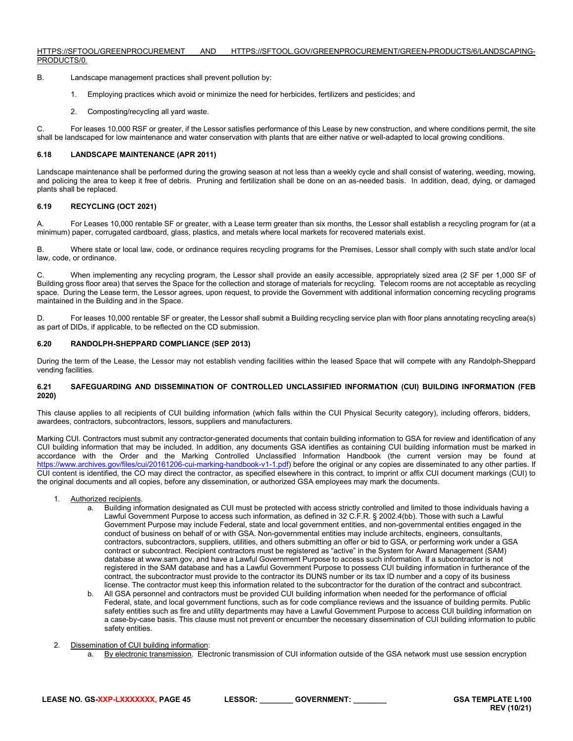#### [HTTPS://SFTOOL/GREENPROCUREMENT](https://sftool/GREENPROCUREMENT) AND [HTTPS://SFTOOL.GOV/GREENPROCUREMENT/GREEN-PRODUCTS/6/LANDSCAPING-](https://sftool.gov/greenprocurement/green-products/6/landscaping-products/0)[PRODUCTS/0.](https://sftool.gov/greenprocurement/green-products/6/landscaping-products/0)

- B. Landscape management practices shall prevent pollution by:
	- 1. Employing practices which avoid or minimize the need for herbicides, fertilizers and pesticides; and
	- 2. Composting/recycling all yard waste.

C. For leases 10,000 RSF or greater, if the Lessor satisfies performance of this Lease by new construction, and where conditions permit, the site shall be landscaped for low maintenance and water conservation with plants that are either native or well-adapted to local growing conditions.

# <span id="page-44-0"></span>**6.18 LANDSCAPE MAINTENANCE (APR 2011)**

Landscape maintenance shall be performed during the growing season at not less than a weekly cycle and shall consist of watering, weeding, mowing, and policing the area to keep it free of debris. Pruning and fertilization shall be done on an as-needed basis. In addition, dead, dying, or damaged plants shall be replaced.

# <span id="page-44-1"></span>**6.19 RECYCLING (OCT 2021)**

A. For Leases 10,000 rentable SF or greater, with a Lease term greater than six months, the Lessor shall establish a recycling program for (at a minimum) paper, corrugated cardboard, glass, plastics, and metals where local markets for recovered materials exist.

B. Where state or local law, code, or ordinance requires recycling programs for the Premises, Lessor shall comply with such state and/or local law, code, or ordinance.

C. When implementing any recycling program, the Lessor shall provide an easily accessible, appropriately sized area (2 SF per 1,000 SF of Building gross floor area) that serves the Space for the collection and storage of materials for recycling. Telecom rooms are not acceptable as recycling space. During the Lease term, the Lessor agrees, upon request, to provide the Government with additional information concerning recycling programs maintained in the Building and in the Space.

D. For leases 10,000 rentable SF or greater, the Lessor shall submit a Building recycling service plan with floor plans annotating recycling area(s) as part of DIDs, if applicable, to be reflected on the CD submission.

# <span id="page-44-2"></span>**6.20 RANDOLPH-SHEPPARD COMPLIANCE (SEP 2013)**

During the term of the Lease, the Lessor may not establish vending facilities within the leased Space that will compete with any Randolph-Sheppard vending facilities.

#### <span id="page-44-3"></span>**6.21 SAFEGUARDING AND DISSEMINATION OF CONTROLLED UNCLASSIFIED INFORMATION (CUI) BUILDING INFORMATION (FEB 2020)**

This clause applies to all recipients of CUI building information (which falls within the CUI Physical Security category), including offerors, bidders, awardees, contractors, subcontractors, lessors, suppliers and manufacturers.

Marking CUI. Contractors must submit any contractor-generated documents that contain building information to GSA for review and identification of any CUI building information that may be included. In addition, any documents GSA identifies as containing CUI building information must be marked in accordance with the Order and the Marking Controlled Unclassified Information Handbook (the current version may be found at [https://www.archives.gov/files/cui/20161206-cui-marking-handbook-v1-1.pdf\)](https://www.archives.gov/files/cui/20161206-cui-marking-handbook-v1-1.pdf) before the original or any copies are disseminated to any other parties. If CUI content is identified, the CO may direct the contractor, as specified elsewhere in this contract, to imprint or affix CUI document markings (CUI) to the original documents and all copies, before any dissemination, or authorized GSA employees may mark the documents.

- 1. Authorized recipients.
	- a. Building information designated as CUI must be protected with access strictly controlled and limited to those individuals having a Lawful Government Purpose to access such information, as defined in 32 C.F.R. § 2002.4(bb). Those with such a Lawful Government Purpose may include Federal, state and local government entities, and non-governmental entities engaged in the conduct of business on behalf of or with GSA. Non-governmental entities may include architects, engineers, consultants, contractors, subcontractors, suppliers, utilities, and others submitting an offer or bid to GSA, or performing work under a GSA contract or subcontract. Recipient contractors must be registered as "active" in the System for Award Management (SAM) database a[t www.sam.gov,](http://www.sam.gov/) and have a Lawful Government Purpose to access such information. If a subcontractor is not registered in the SAM database and has a Lawful Government Purpose to possess CUI building information in furtherance of the contract, the subcontractor must provide to the contractor its DUNS number or its tax ID number and a copy of its business license. The contractor must keep this information related to the subcontractor for the duration of the contract and subcontract.
	- b. All GSA personnel and contractors must be provided CUI building information when needed for the performance of official Federal, state, and local government functions, such as for code compliance reviews and the issuance of building permits. Public safety entities such as fire and utility departments may have a Lawful Government Purpose to access CUI building information on a case-by-case basis. This clause must not prevent or encumber the necessary dissemination of CUI building information to public safety entities.
- 2. Dissemination of CUI building information:
	- a. By electronic transmission. Electronic transmission of CUI information outside of the GSA network must use session encryption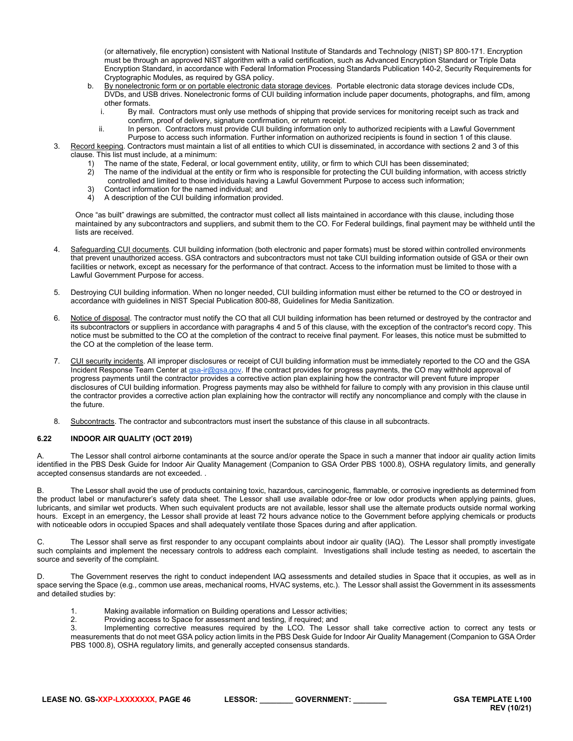(or alternatively, file encryption) consistent with National Institute of Standards and Technology (NIST) SP 800-171. Encryption must be through an approved NIST algorithm with a valid certification, such as Advanced Encryption Standard or Triple Data Encryption Standard, in accordance with Federal Information Processing Standards Publication 140-2, Security Requirements for Cryptographic Modules, as required by GSA policy.

- b. By nonelectronic form or on portable electronic data storage devices. Portable electronic data storage devices include CDs, DVDs, and USB drives. Nonelectronic forms of CUI building information include paper documents, photographs, and film, among other formats.<br>i. By mai
	- By mail. Contractors must only use methods of shipping that provide services for monitoring receipt such as track and confirm, proof of delivery, signature confirmation, or return receipt.
	- ii. In person. Contractors must provide CUI building information only to authorized recipients with a Lawful Government
- Purpose to access such information. Further information on authorized recipients is found in section 1 of this clause. 3. Record keeping. Contractors must maintain a list of all entities to which CUI is disseminated, in accordance with sections 2 and 3 of this clause. This list must include, at a minimum:
	- 1) The name of the state, Federal, or local government entity, utility, or firm to which CUI has been disseminated;<br>2) The name of the individual at the entity or firm who is responsible for protecting the CUI building inf
	- 2) The name of the individual at the entity or firm who is responsible for protecting the CUI building information, with access strictly controlled and limited to those individuals having a Lawful Government Purpose to access such information;
	- 3) Contact information for the named individual; and
	- 4) A description of the CUI building information provided.

Once "as built" drawings are submitted, the contractor must collect all lists maintained in accordance with this clause, including those maintained by any subcontractors and suppliers, and submit them to the CO. For Federal buildings, final payment may be withheld until the lists are received.

- 4. Safeguarding CUI documents. CUI building information (both electronic and paper formats) must be stored within controlled environments that prevent unauthorized access. GSA contractors and subcontractors must not take CUI building information outside of GSA or their own facilities or network, except as necessary for the performance of that contract. Access to the information must be limited to those with a Lawful Government Purpose for access.
- 5. Destroying CUI building information. When no longer needed, CUI building information must either be returned to the CO or destroyed in accordance with guidelines in NIST Special Publication 800-88, Guidelines for Media Sanitization.
- 6. Notice of disposal. The contractor must notify the CO that all CUI building information has been returned or destroyed by the contractor and its subcontractors or suppliers in accordance with paragraphs 4 and 5 of this clause, with the exception of the contractor's record copy. This notice must be submitted to the CO at the completion of the contract to receive final payment. For leases, this notice must be submitted to the CO at the completion of the lease term.
- 7. CUI security incidents. All improper disclosures or receipt of CUI building information must be immediately reported to the CO and the GSA Incident Response Team Center at [gsa-ir@gsa.gov.](mailto:gsa-ir@gsa.gov) If the contract provides for progress payments, the CO may withhold approval of progress payments until the contractor provides a corrective action plan explaining how the contractor will prevent future improper disclosures of CUI building information. Progress payments may also be withheld for failure to comply with any provision in this clause until the contractor provides a corrective action plan explaining how the contractor will rectify any noncompliance and comply with the clause in the future.
- 8. Subcontracts. The contractor and subcontractors must insert the substance of this clause in all subcontracts.

# <span id="page-45-0"></span>**6.22 INDOOR AIR QUALITY (OCT 2019)**

The Lessor shall control airborne contaminants at the source and/or operate the Space in such a manner that indoor air quality action limits identified in the PBS Desk Guide for Indoor Air Quality Management (Companion to GSA Order PBS 1000.8), OSHA regulatory limits, and generally accepted consensus standards are not exceeded. .

B. The Lessor shall avoid the use of products containing toxic, hazardous, carcinogenic, flammable, or corrosive ingredients as determined from the product label or manufacturer's safety data sheet. The Lessor shall use available odor-free or low odor products when applying paints, glues, lubricants, and similar wet products. When such equivalent products are not available, lessor shall use the alternate products outside normal working hours. Except in an emergency, the Lessor shall provide at least 72 hours advance notice to the Government before applying chemicals or products with noticeable odors in occupied Spaces and shall adequately ventilate those Spaces during and after application.

C. The Lessor shall serve as first responder to any occupant complaints about indoor air quality (IAQ). The Lessor shall promptly investigate such complaints and implement the necessary controls to address each complaint. Investigations shall include testing as needed, to ascertain the source and severity of the complaint.

D. The Government reserves the right to conduct independent IAQ assessments and detailed studies in Space that it occupies, as well as in space serving the Space (e.g., common use areas, mechanical rooms, HVAC systems, etc.). The Lessor shall assist the Government in its assessments and detailed studies by:

- 1. Making available information on Building operations and Lessor activities;
- 2. Providing access to Space for assessment and testing, if required; and<br>3 **by Implementing corrective measures** required by the LCO. The Les

Implementing corrective measures required by the LCO. The Lessor shall take corrective action to correct any tests or measurements that do not meet GSA policy action limits in the PBS Desk Guide for Indoor Air Quality Management (Companion to GSA Order PBS 1000.8), OSHA regulatory limits, and generally accepted consensus standards.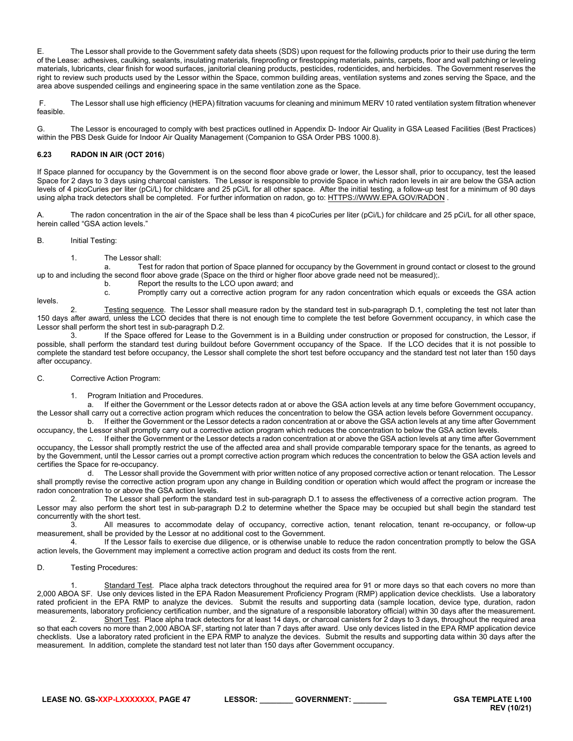E. The Lessor shall provide to the Government safety data sheets (SDS) upon request for the following products prior to their use during the term of the Lease: adhesives, caulking, sealants, insulating materials, fireproofing or firestopping materials, paints, carpets, floor and wall patching or leveling materials, lubricants, clear finish for wood surfaces, janitorial cleaning products, pesticides, rodenticides, and herbicides. The Government reserves the right to review such products used by the Lessor within the Space, common building areas, ventilation systems and zones serving the Space, and the area above suspended ceilings and engineering space in the same ventilation zone as the Space.

F. The Lessor shall use high efficiency (HEPA) filtration vacuums for cleaning and minimum MERV 10 rated ventilation system filtration whenever feasible.

G. The Lessor is encouraged to comply with best practices outlined in Appendix D- Indoor Air Quality in GSA Leased Facilities (Best Practices) within the PBS Desk Guide for Indoor Air Quality Management (Companion to GSA Order PBS 1000.8).

# <span id="page-46-0"></span>**6.23 RADON IN AIR (OCT 2016**)

If Space planned for occupancy by the Government is on the second floor above grade or lower, the Lessor shall, prior to occupancy, test the leased Space for 2 days to 3 days using charcoal canisters. The Lessor is responsible to provide Space in which radon levels in air are below the GSA action levels of 4 picoCuries per liter (pCi/L) for childcare and 25 pCi/L for all other space. After the initial testing, a follow-up test for a minimum of 90 days using alpha track detectors shall be completed. For further information on radon, go to[: HTTPS://WWW.EPA.GOV/RADON](https://www.epa.gov/radon) .

A. The radon concentration in the air of the Space shall be less than 4 picoCuries per liter (pCi/L) for childcare and 25 pCi/L for all other space, herein called "GSA action levels."

# B. Initial Testing:

1. The Lessor shall:

a. Test for radon that portion of Space planned for occupancy by the Government in ground contact or closest to the ground up to and including the second floor above grade (Space on the third or higher floor above grade need not be measured);.

b. Report the results to the LCO upon award; and

levels.

c. Promptly carry out a corrective action program for any radon concentration which equals or exceeds the GSA action 2. Testing sequence. The Lessor shall measure radon by the standard test in sub-paragraph D.1, completing the test not later than

150 days after award, unless the LCO decides that there is not enough time to complete the test before Government occupancy, in which case the Lessor shall perform the short test in sub-paragraph D.2. If the Space offered for Lease to the Government is in a Building under construction or proposed for construction, the Lessor, if

possible, shall perform the standard test during buildout before Government occupancy of the Space. If the LCO decides that it is not possible to complete the standard test before occupancy, the Lessor shall complete the short test before occupancy and the standard test not later than 150 days after occupancy.

# C. Corrective Action Program:

1. Program Initiation and Procedures.

a. If either the Government or the Lessor detects radon at or above the GSA action levels at any time before Government occupancy, the Lessor shall carry out a corrective action program which reduces the concentration to below the GSA action levels before Government occupancy.

b. If either the Government or the Lessor detects a radon concentration at or above the GSA action levels at any time after Government occupancy, the Lessor shall promptly carry out a corrective action program which reduces the concentration to below the GSA action levels.<br>C. If either the Government or the Lessor detects a radon concentration at or above

If either the Government or the Lessor detects a radon concentration at or above the GSA action levels at any time after Government occupancy, the Lessor shall promptly restrict the use of the affected area and shall provide comparable temporary space for the tenants, as agreed to by the Government, until the Lessor carries out a prompt corrective action program which reduces the concentration to below the GSA action levels and certifies the Space for re-occupancy.

d. The Lessor shall provide the Government with prior written notice of any proposed corrective action or tenant relocation. The Lessor shall promptly revise the corrective action program upon any change in Building condition or operation which would affect the program or increase the radon concentration to or above the GSA action levels.<br>The Lessor shall perform the stand

The Lessor shall perform the standard test in sub-paragraph D.1 to assess the effectiveness of a corrective action program. The Lessor may also perform the short test in sub-paragraph D.2 to determine whether the Space may be occupied but shall begin the standard test concurrently with the short test.<br>3<br>All measur

All measures to accommodate delay of occupancy, corrective action, tenant relocation, tenant re-occupancy, or follow-up measurement, shall be provided by the Lessor at no additional cost to the Government.

4. If the Lessor fails to exercise due diligence, or is otherwise unable to reduce the radon concentration promptly to below the GSA action levels, the Government may implement a corrective action program and deduct its costs from the rent.

# D. Testing Procedures:

Standard Test. Place alpha track detectors throughout the required area for 91 or more days so that each covers no more than 2,000 ABOA SF. Use only devices listed in the EPA Radon Measurement Proficiency Program (RMP) application device checklists. Use a laboratory rated proficient in the EPA RMP to analyze the devices. Submit the results and supporting data (sample location, device type, duration, radon measurements, laboratory proficiency certification number, and the signature of a responsible laboratory official) within 30 days after the measurement.

Short Test. Place alpha track detectors for at least 14 days, or charcoal canisters for 2 days to 3 days, throughout the required area so that each covers no more than 2,000 ABOA SF, starting not later than 7 days after award. Use only devices listed in the EPA RMP application device checklists. Use a laboratory rated proficient in the EPA RMP to analyze the devices. Submit the results and supporting data within 30 days after the measurement. In addition, complete the standard test not later than 150 days after Government occupancy.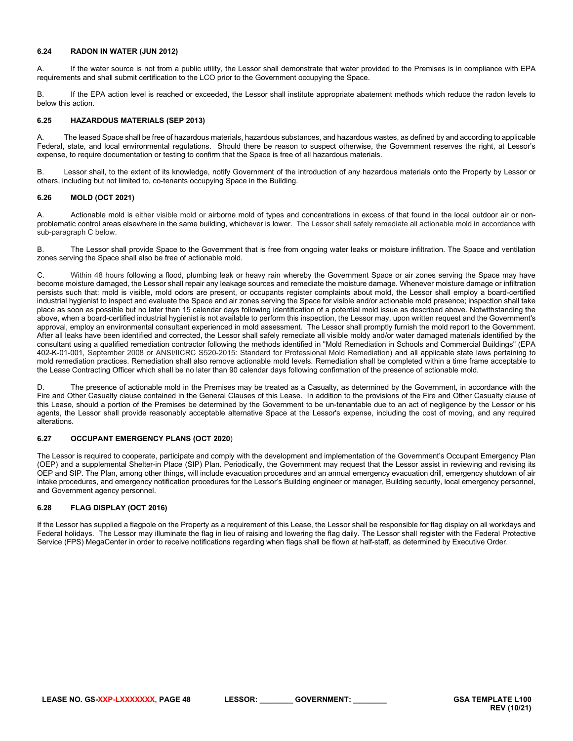# <span id="page-47-0"></span>**6.24 RADON IN WATER (JUN 2012)**

A. If the water source is not from a public utility, the Lessor shall demonstrate that water provided to the Premises is in compliance with EPA requirements and shall submit certification to the LCO prior to the Government occupying the Space.

B. If the EPA action level is reached or exceeded, the Lessor shall institute appropriate abatement methods which reduce the radon levels to below this action.

# <span id="page-47-1"></span>**6.25 HAZARDOUS MATERIALS (SEP 2013)**

The leased Space shall be free of hazardous materials, hazardous substances, and hazardous wastes, as defined by and according to applicable Federal, state, and local environmental regulations. Should there be reason to suspect otherwise, the Government reserves the right, at Lessor's expense, to require documentation or testing to confirm that the Space is free of all hazardous materials.

B. Lessor shall, to the extent of its knowledge, notify Government of the introduction of any hazardous materials onto the Property by Lessor or others, including but not limited to, co-tenants occupying Space in the Building.

# <span id="page-47-2"></span>**6.26 MOLD (OCT 2021)**

A. Actionable mold is either visible mold or airborne mold of types and concentrations in excess of that found in the local outdoor air or nonproblematic control areas elsewhere in the same building, whichever is lower. The Lessor shall safely remediate all actionable mold in accordance with sub-paragraph C below.

B. The Lessor shall provide Space to the Government that is free from ongoing water leaks or moisture infiltration. The Space and ventilation zones serving the Space shall also be free of actionable mold.

C. Within 48 hours following a flood, plumbing leak or heavy rain whereby the Government Space or air zones serving the Space may have become moisture damaged, the Lessor shall repair any leakage sources and remediate the moisture damage. Whenever moisture damage or infiltration persists such that: mold is visible, mold odors are present, or occupants register complaints about mold, the Lessor shall employ a board-certified industrial hygienist to inspect and evaluate the Space and air zones serving the Space for visible and/or actionable mold presence; inspection shall take place as soon as possible but no later than 15 calendar days following identification of a potential mold issue as described above. Notwithstanding the above, when a board-certified industrial hygienist is not available to perform this inspection, the Lessor may, upon written request and the Government's approval, employ an environmental consultant experienced in mold assessment. The Lessor shall promptly furnish the mold report to the Government. After all leaks have been identified and corrected, the Lessor shall safely remediate all visible moldy and/or water damaged materials identified by the consultant using a qualified remediation contractor following the methods identified in "Mold Remediation in Schools and Commercial Buildings" (EPA 402-K-01-001, September 2008 or ANSI/IICRC S520-2015: Standard for Professional Mold Remediation) and all applicable state laws pertaining to mold remediation practices. Remediation shall also remove actionable mold levels. Remediation shall be completed within a time frame acceptable to the Lease Contracting Officer which shall be no later than 90 calendar days following confirmation of the presence of actionable mold.

The presence of actionable mold in the Premises may be treated as a Casualty, as determined by the Government, in accordance with the Fire and Other Casualty clause contained in the General Clauses of this Lease. In addition to the provisions of the Fire and Other Casualty clause of this Lease, should a portion of the Premises be determined by the Government to be un-tenantable due to an act of negligence by the Lessor or his agents, the Lessor shall provide reasonably acceptable alternative Space at the Lessor's expense, including the cost of moving, and any required alterations.

# <span id="page-47-3"></span>**6.27 OCCUPANT EMERGENCY PLANS (OCT 2020**)

The Lessor is required to cooperate, participate and comply with the development and implementation of the Government's Occupant Emergency Plan (OEP) and a supplemental Shelter-in Place (SIP) Plan. Periodically, the Government may request that the Lessor assist in reviewing and revising its OEP and SIP. The Plan, among other things, will include evacuation procedures and an annual emergency evacuation drill, emergency shutdown of air intake procedures, and emergency notification procedures for the Lessor's Building engineer or manager, Building security, local emergency personnel, and Government agency personnel.

# <span id="page-47-4"></span>**6.28 FLAG DISPLAY (OCT 2016)**

If the Lessor has supplied a flagpole on the Property as a requirement of this Lease, the Lessor shall be responsible for flag display on all workdays and Federal holidays. The Lessor may illuminate the flag in lieu of raising and lowering the flag daily. The Lessor shall register with the Federal Protective Service (FPS) MegaCenter in order to receive notifications regarding when flags shall be flown at half-staff, as determined by Executive Order.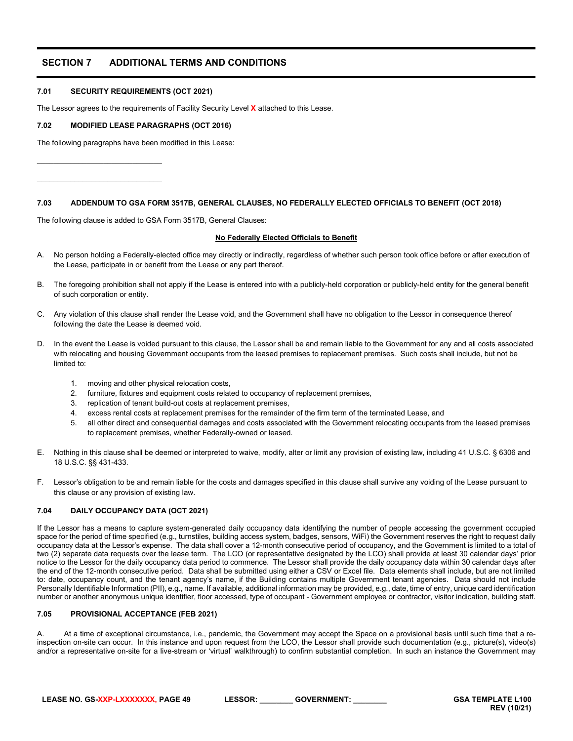# <span id="page-48-0"></span>**SECTION 7 ADDITIONAL TERMS AND CONDITIONS**

# <span id="page-48-1"></span>**7.01 SECURITY REQUIREMENTS (OCT 2021)**

 $\_$ \_\_\_\_\_\_\_\_\_\_\_\_\_\_\_\_\_\_\_\_\_\_\_\_\_\_\_\_\_\_

The Lessor agrees to the requirements of Facility Security Level **X** attached to this Lease.

# <span id="page-48-2"></span>**7.02 MODIFIED LEASE PARAGRAPHS (OCT 2016)**

The following paragraphs have been modified in this Lease:

<span id="page-48-3"></span>**7.03 ADDENDUM TO GSA FORM 3517B, GENERAL CLAUSES, NO FEDERALLY ELECTED OFFICIALS TO BENEFIT (OCT 2018)**

The following clause is added to GSA Form 3517B, General Clauses:

# **No Federally Elected Officials to Benefit**

- A. No person holding a Federally-elected office may directly or indirectly, regardless of whether such person took office before or after execution of the Lease, participate in or benefit from the Lease or any part thereof.
- B. The foregoing prohibition shall not apply if the Lease is entered into with a publicly-held corporation or publicly-held entity for the general benefit of such corporation or entity.
- C. Any violation of this clause shall render the Lease void, and the Government shall have no obligation to the Lessor in consequence thereof following the date the Lease is deemed void.
- D. In the event the Lease is voided pursuant to this clause, the Lessor shall be and remain liable to the Government for any and all costs associated with relocating and housing Government occupants from the leased premises to replacement premises. Such costs shall include, but not be limited to:
	- 1. moving and other physical relocation costs,
	- 2. furniture, fixtures and equipment costs related to occupancy of replacement premises,
	- 3. replication of tenant build-out costs at replacement premises,
	- 4. excess rental costs at replacement premises for the remainder of the firm term of the terminated Lease, and
	- 5. all other direct and consequential damages and costs associated with the Government relocating occupants from the leased premises to replacement premises, whether Federally-owned or leased.
- E. Nothing in this clause shall be deemed or interpreted to waive, modify, alter or limit any provision of existing law, including 41 U.S.C. § 6306 and 18 U.S.C. §§ 431-433.
- F. Lessor's obligation to be and remain liable for the costs and damages specified in this clause shall survive any voiding of the Lease pursuant to this clause or any provision of existing law.

# <span id="page-48-4"></span>**7.04 DAILY OCCUPANCY DATA (OCT 2021)**

If the Lessor has a means to capture system-generated daily occupancy data identifying the number of people accessing the government occupied space for the period of time specified (e.g., turnstiles, building access system, badges, sensors, WiFi) the Government reserves the right to request daily occupancy data at the Lessor's expense. The data shall cover a 12-month consecutive period of occupancy, and the Government is limited to a total of two (2) separate data requests over the lease term. The LCO (or representative designated by the LCO) shall provide at least 30 calendar days' prior notice to the Lessor for the daily occupancy data period to commence. The Lessor shall provide the daily occupancy data within 30 calendar days after the end of the 12-month consecutive period. Data shall be submitted using either a CSV or Excel file. Data elements shall include, but are not limited to: date, occupancy count, and the tenant agency's name, if the Building contains multiple Government tenant agencies. Data should not include Personally Identifiable Information (PII), e.g., name. If available, additional information may be provided, e.g., date, time of entry, unique card identification number or another anonymous unique identifier, floor accessed, type of occupant - Government employee or contractor, visitor indication, building staff.

# <span id="page-48-5"></span>**7.05 PROVISIONAL ACCEPTANCE (FEB 2021)**

At a time of exceptional circumstance, i.e., pandemic, the Government may accept the Space on a provisional basis until such time that a reinspection on-site can occur. In this instance and upon request from the LCO, the Lessor shall provide such documentation (e.g., picture(s), video(s) and/or a representative on-site for a live-stream or 'virtual' walkthrough) to confirm substantial completion. In such an instance the Government may

**LEASE NO. GS-XXP-LXXXXXXX, PAGE 49 LESSOR: \_\_\_\_\_\_\_\_ GOVERNMENT: \_\_\_\_\_\_\_\_ GSA TEMPLATE L100**

**REV (10/21)**